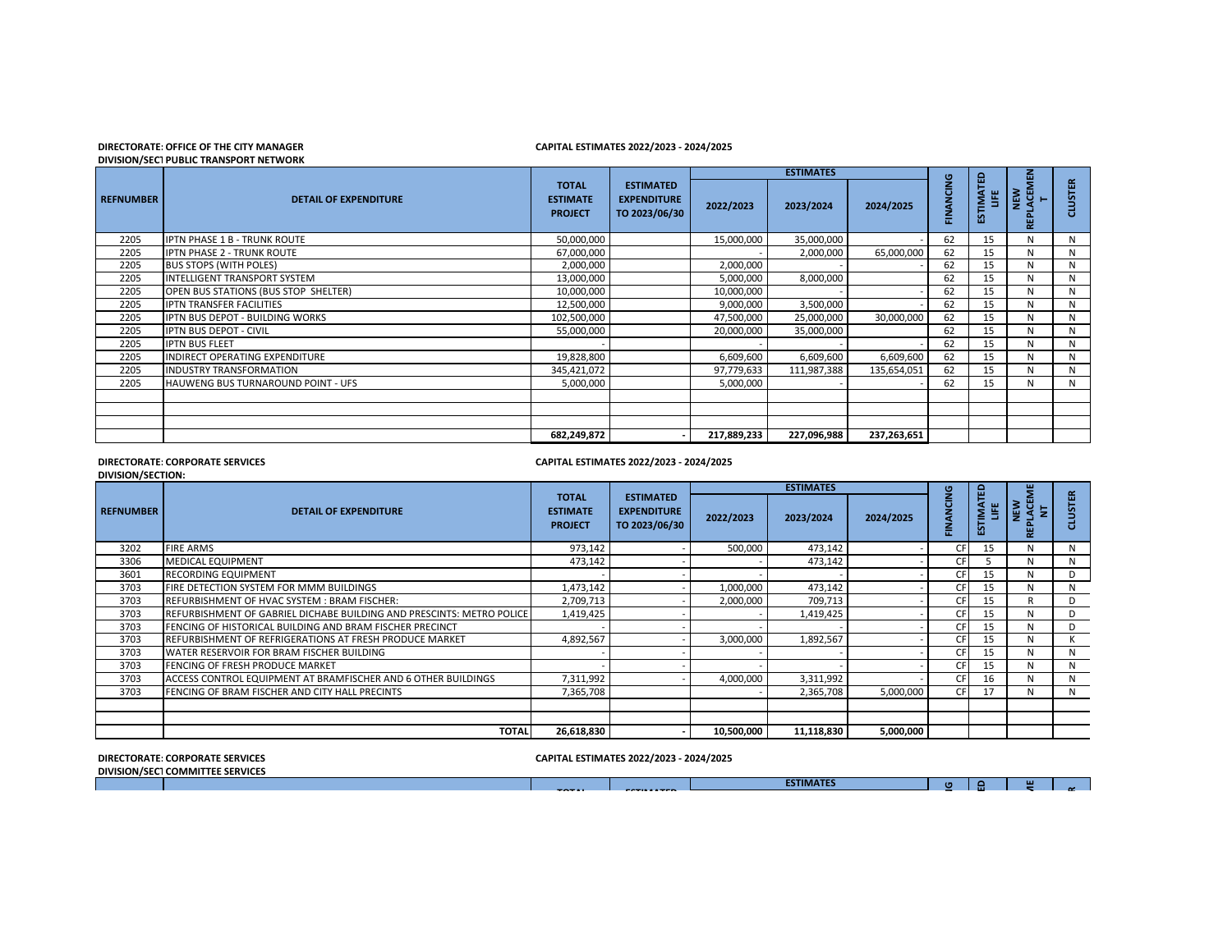### **DIRECTORATE:OFFICE OF THE CITY MANAGER CAPITAL ESTIMATES 2022/2023 - 2024/2025**

**DIVISION/SECT PUBLIC TRANSPORT NETWORK** 

| FINANCING<br><b>CLUSTER</b><br><b>TOTAL</b><br><b>ESTIMATED</b><br><b>STIMATI</b><br><b>NEW</b><br>š<br><b>DETAIL OF EXPENDITURE</b><br><b>ESTIMATE</b><br><b>EXPENDITURE</b><br>$\blacksquare$<br>2022/2023<br>2023/2024<br>2024/2025<br>TO 2023/06/30<br><b>PROJECT</b><br>뿑<br>ш<br>50,000,000<br>35,000,000<br>62<br>2205<br><b>IPTN PHASE 1 B - TRUNK ROUTE</b><br>15,000,000<br>15<br>N<br>N<br>67,000,000<br>65,000,000<br>62<br>2205<br>2,000,000<br>15<br><b>IPTN PHASE 2 - TRUNK ROUTE</b><br>N<br>N<br>62<br>2205<br>2,000,000<br>15<br><b>BUS STOPS (WITH POLES)</b><br>2,000,000<br>N<br>N<br>8,000,000<br>INTELLIGENT TRANSPORT SYSTEM<br>13,000,000<br>62<br>15<br>2205<br>5,000,000<br>N<br>N<br>62<br>15<br>2205<br>OPEN BUS STATIONS (BUS STOP SHELTER)<br>10,000,000<br>10,000,000<br>N<br>N<br>3,500,000<br>62<br>15<br>N<br>2205<br><b>IPTN TRANSFER FACILITIES</b><br>12,500,000<br>9,000,000<br>N<br>102,500,000<br>62<br>15<br>2205<br><b>IPTN BUS DEPOT - BUILDING WORKS</b><br>47,500,000<br>25,000,000<br>30,000,000<br>N<br>N<br>62<br>55,000,000<br>35,000,000<br>15<br>2205<br><b>IPTN BUS DEPOT - CIVIL</b><br>20,000,000<br>N<br>N<br>62<br>15<br>2205<br><b>IPTN BUS FLEET</b><br>N<br>N<br>62<br>15<br>INDIRECT OPERATING EXPENDITURE<br>19,828,800<br>6,609,600<br>6,609,600<br>N<br>2205<br>6,609,600<br>N<br>62<br>15<br>2205<br><b>INDUSTRY TRANSFORMATION</b><br>345,421,072<br>97,779,633<br>111,987,388<br>N<br>N<br>135,654,051<br>62<br>2205<br><b>HAUWENG BUS TURNAROUND POINT - UFS</b><br>5,000,000<br>5,000,000<br>15<br>N<br>N<br>682,249,872<br>217,889,233<br>227,096,988<br>237,263,651 |                  |  | <b>ESTIMATES</b> |  |  | 읎 | <b>AEN</b> |  |
|--------------------------------------------------------------------------------------------------------------------------------------------------------------------------------------------------------------------------------------------------------------------------------------------------------------------------------------------------------------------------------------------------------------------------------------------------------------------------------------------------------------------------------------------------------------------------------------------------------------------------------------------------------------------------------------------------------------------------------------------------------------------------------------------------------------------------------------------------------------------------------------------------------------------------------------------------------------------------------------------------------------------------------------------------------------------------------------------------------------------------------------------------------------------------------------------------------------------------------------------------------------------------------------------------------------------------------------------------------------------------------------------------------------------------------------------------------------------------------------------------------------------------------------------------------------------------------------------------------------------------------------------|------------------|--|------------------|--|--|---|------------|--|
|                                                                                                                                                                                                                                                                                                                                                                                                                                                                                                                                                                                                                                                                                                                                                                                                                                                                                                                                                                                                                                                                                                                                                                                                                                                                                                                                                                                                                                                                                                                                                                                                                                            | <b>REFNUMBER</b> |  |                  |  |  |   |            |  |
|                                                                                                                                                                                                                                                                                                                                                                                                                                                                                                                                                                                                                                                                                                                                                                                                                                                                                                                                                                                                                                                                                                                                                                                                                                                                                                                                                                                                                                                                                                                                                                                                                                            |                  |  |                  |  |  |   |            |  |
|                                                                                                                                                                                                                                                                                                                                                                                                                                                                                                                                                                                                                                                                                                                                                                                                                                                                                                                                                                                                                                                                                                                                                                                                                                                                                                                                                                                                                                                                                                                                                                                                                                            |                  |  |                  |  |  |   |            |  |
|                                                                                                                                                                                                                                                                                                                                                                                                                                                                                                                                                                                                                                                                                                                                                                                                                                                                                                                                                                                                                                                                                                                                                                                                                                                                                                                                                                                                                                                                                                                                                                                                                                            |                  |  |                  |  |  |   |            |  |
|                                                                                                                                                                                                                                                                                                                                                                                                                                                                                                                                                                                                                                                                                                                                                                                                                                                                                                                                                                                                                                                                                                                                                                                                                                                                                                                                                                                                                                                                                                                                                                                                                                            |                  |  |                  |  |  |   |            |  |
|                                                                                                                                                                                                                                                                                                                                                                                                                                                                                                                                                                                                                                                                                                                                                                                                                                                                                                                                                                                                                                                                                                                                                                                                                                                                                                                                                                                                                                                                                                                                                                                                                                            |                  |  |                  |  |  |   |            |  |
|                                                                                                                                                                                                                                                                                                                                                                                                                                                                                                                                                                                                                                                                                                                                                                                                                                                                                                                                                                                                                                                                                                                                                                                                                                                                                                                                                                                                                                                                                                                                                                                                                                            |                  |  |                  |  |  |   |            |  |
|                                                                                                                                                                                                                                                                                                                                                                                                                                                                                                                                                                                                                                                                                                                                                                                                                                                                                                                                                                                                                                                                                                                                                                                                                                                                                                                                                                                                                                                                                                                                                                                                                                            |                  |  |                  |  |  |   |            |  |
|                                                                                                                                                                                                                                                                                                                                                                                                                                                                                                                                                                                                                                                                                                                                                                                                                                                                                                                                                                                                                                                                                                                                                                                                                                                                                                                                                                                                                                                                                                                                                                                                                                            |                  |  |                  |  |  |   |            |  |
|                                                                                                                                                                                                                                                                                                                                                                                                                                                                                                                                                                                                                                                                                                                                                                                                                                                                                                                                                                                                                                                                                                                                                                                                                                                                                                                                                                                                                                                                                                                                                                                                                                            |                  |  |                  |  |  |   |            |  |
|                                                                                                                                                                                                                                                                                                                                                                                                                                                                                                                                                                                                                                                                                                                                                                                                                                                                                                                                                                                                                                                                                                                                                                                                                                                                                                                                                                                                                                                                                                                                                                                                                                            |                  |  |                  |  |  |   |            |  |
|                                                                                                                                                                                                                                                                                                                                                                                                                                                                                                                                                                                                                                                                                                                                                                                                                                                                                                                                                                                                                                                                                                                                                                                                                                                                                                                                                                                                                                                                                                                                                                                                                                            |                  |  |                  |  |  |   |            |  |
|                                                                                                                                                                                                                                                                                                                                                                                                                                                                                                                                                                                                                                                                                                                                                                                                                                                                                                                                                                                                                                                                                                                                                                                                                                                                                                                                                                                                                                                                                                                                                                                                                                            |                  |  |                  |  |  |   |            |  |
|                                                                                                                                                                                                                                                                                                                                                                                                                                                                                                                                                                                                                                                                                                                                                                                                                                                                                                                                                                                                                                                                                                                                                                                                                                                                                                                                                                                                                                                                                                                                                                                                                                            |                  |  |                  |  |  |   |            |  |
|                                                                                                                                                                                                                                                                                                                                                                                                                                                                                                                                                                                                                                                                                                                                                                                                                                                                                                                                                                                                                                                                                                                                                                                                                                                                                                                                                                                                                                                                                                                                                                                                                                            |                  |  |                  |  |  |   |            |  |
|                                                                                                                                                                                                                                                                                                                                                                                                                                                                                                                                                                                                                                                                                                                                                                                                                                                                                                                                                                                                                                                                                                                                                                                                                                                                                                                                                                                                                                                                                                                                                                                                                                            |                  |  |                  |  |  |   |            |  |
|                                                                                                                                                                                                                                                                                                                                                                                                                                                                                                                                                                                                                                                                                                                                                                                                                                                                                                                                                                                                                                                                                                                                                                                                                                                                                                                                                                                                                                                                                                                                                                                                                                            |                  |  |                  |  |  |   |            |  |

### **DIRECTORATE: CORPORATE SERVICES CAPITAL ESTIMATES 2022/2023 - 2024/2025**

**DIVISION/SECTION:**

|                  |                                                                            | <b>TOTAL</b>                      | <b>ESTIMATED</b>                        |            | <b>ESTIMATES</b> |           |           |                       |                        |                |
|------------------|----------------------------------------------------------------------------|-----------------------------------|-----------------------------------------|------------|------------------|-----------|-----------|-----------------------|------------------------|----------------|
| <b>REFNUMBER</b> | <b>DETAIL OF EXPENDITURE</b>                                               | <b>ESTIMATE</b><br><b>PROJECT</b> | <b>EXPENDITURE</b><br>TO 2023/06/30     | 2022/2023  | 2023/2024        | 2024/2025 | FINANCING | <b>ESTIMATED</b><br>当 | REPLACEME<br>NEW<br>È. | <b>CLUSTER</b> |
| 3202             | <b>FIRE ARMS</b>                                                           | 973,142                           |                                         | 500,000    | 473,142          |           | CF        | 15                    | N                      | N              |
| 3306             | <b>MEDICAL EQUIPMENT</b>                                                   | 473,142                           |                                         |            | 473,142          |           | CF        |                       | N                      | N              |
| 3601             | <b>RECORDING EQUIPMENT</b>                                                 |                                   |                                         |            |                  |           | CF        | 15                    | N                      | D              |
| 3703             | FIRE DETECTION SYSTEM FOR MMM BUILDINGS                                    | 1,473,142                         |                                         | 1,000,000  | 473,142          |           | CF        | 15                    | N                      | N              |
| 3703             | REFURBISHMENT OF HVAC SYSTEM: BRAM FISCHER:                                | 2,709,713                         |                                         | 2,000,000  | 709,713          |           | CF        | 15                    | R                      | D              |
| 3703             | REFURBISHMENT OF GABRIEL DICHABE BUILDING AND PRESCINTS: METRO POLICE      | 1,419,425                         |                                         |            | 1,419,425        |           | CF        | 15                    | N                      | D              |
| 3703             | FENCING OF HISTORICAL BUILDING AND BRAM FISCHER PRECINCT                   |                                   |                                         |            |                  |           | CF        | 15                    | N                      | D              |
| 3703             | <b>REFURBISHMENT OF REFRIGERATIONS AT FRESH PRODUCE MARKET</b>             | 4,892,567                         |                                         | 3,000,000  | 1,892,567        |           | CF        | 15                    | N                      | К              |
| 3703             | WATER RESERVOIR FOR BRAM FISCHER BUILDING                                  |                                   |                                         |            |                  |           | CF        | 15                    | N                      | N              |
| 3703             | FENCING OF FRESH PRODUCE MARKET                                            |                                   |                                         |            |                  |           | CF        | 15                    | $\mathsf{N}$           | N              |
| 3703             | ACCESS CONTROL EQUIPMENT AT BRAMFISCHER AND 6 OTHER BUILDINGS              | 7,311,992                         |                                         | 4,000,000  | 3,311,992        |           | CF        | 16                    | N                      | N              |
| 3703             | FENCING OF BRAM FISCHER AND CITY HALL PRECINTS                             | 7,365,708                         |                                         |            | 2,365,708        | 5,000,000 | CF        | 17                    | N                      | N              |
|                  |                                                                            |                                   |                                         |            |                  |           |           |                       |                        |                |
|                  | <b>TOTAL</b>                                                               | 26,618,830                        |                                         | 10,500,000 | 11,118,830       | 5,000,000 |           |                       |                        |                |
|                  | <b>DIRECTORATE: CORPORATE SERVICES</b><br>DIVISION/SECT COMMITTEE SERVICES |                                   | CAPITAL ESTIMATES 2022/2023 - 2024/2025 |            |                  |           |           |                       |                        |                |
|                  |                                                                            |                                   |                                         |            | <b>ESTIMATES</b> |           | G         | e                     | 뿓                      |                |
|                  |                                                                            |                                   |                                         |            |                  |           |           |                       |                        |                |

| المستحدث | ----------- | <b>FCTIBAATEC</b> | O<br>- | . | $\mathbf{u}$<br><b>Service Service</b> | $\sim$ |
|----------|-------------|-------------------|--------|---|----------------------------------------|--------|
|          |             |                   |        |   |                                        |        |
|          |             |                   |        |   |                                        |        |
|          |             |                   |        |   |                                        |        |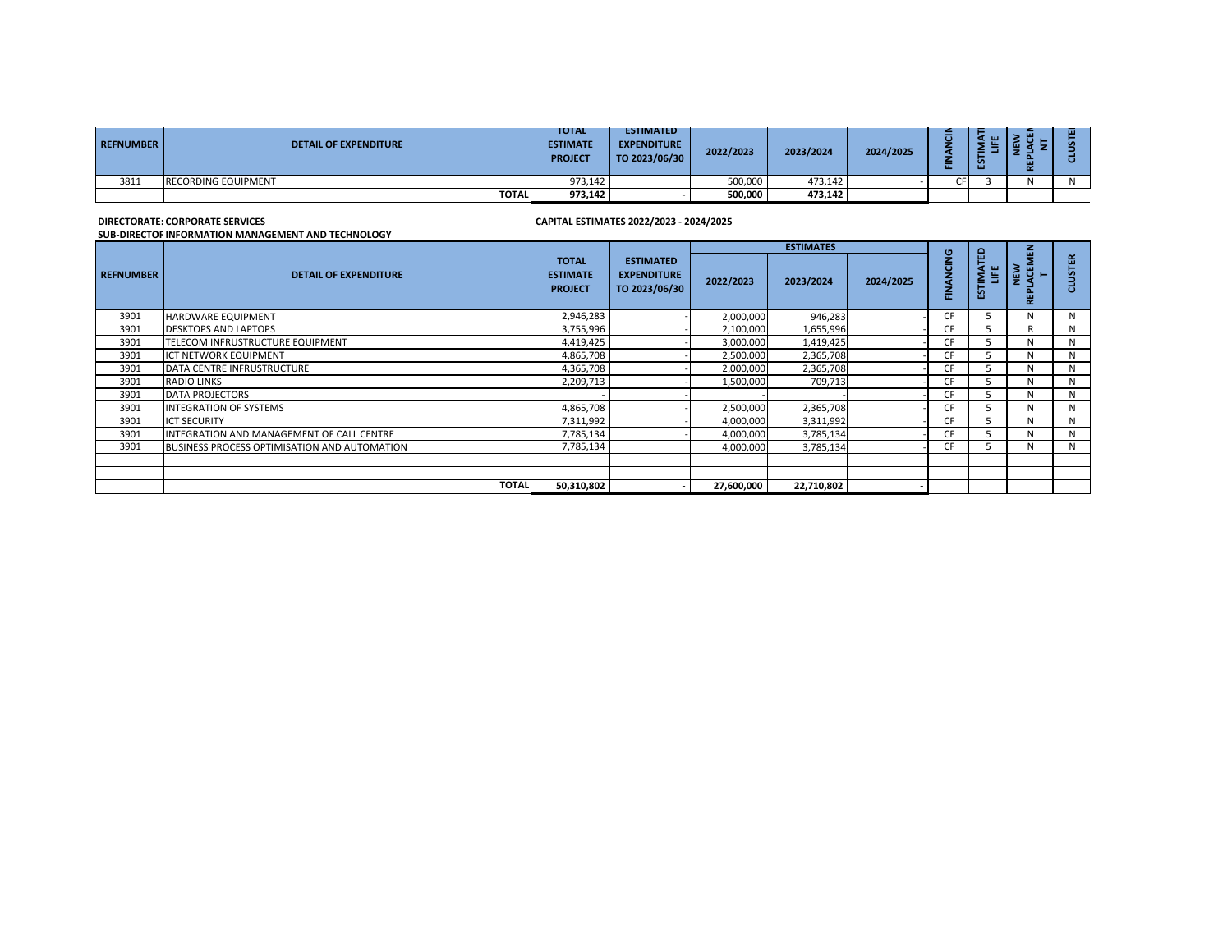| <b>REFNUMBER</b> |                            | <b>DETAIL OF EXPENDITURE</b> | <b>TOTAL</b><br><b>ESTIMATE</b><br><b>PROJECT</b> | <b>ESTIMATED</b><br><b>EXPENDITURE</b><br>TO 2023/06/30 | 2022/2023 | 2023/2024 | 2024/2025 | -<br>ш. | 空 |  |
|------------------|----------------------------|------------------------------|---------------------------------------------------|---------------------------------------------------------|-----------|-----------|-----------|---------|---|--|
| 3811             | <b>RECORDING EQUIPMENT</b> |                              | 973,142                                           |                                                         | 500,000   | 473,142   |           |         |   |  |
|                  |                            | <b>TOTAL</b>                 | 973,142                                           |                                                         | 500,000   | 473.142   |           |         |   |  |

**DIRECTORATE: CORPORATE SERVICES CAPITAL ESTIMATES 2022/2023 - 2024/2025**

### **SUB-DIRECTOF INFORMATION MANAGEMENT AND TECHNOLOGY**

|                  |                                                     |                                                   |                                                         |            | <b>ESTIMATES</b> |           |           | ≏                     | 롮           |                |
|------------------|-----------------------------------------------------|---------------------------------------------------|---------------------------------------------------------|------------|------------------|-----------|-----------|-----------------------|-------------|----------------|
| <b>REFNUMBER</b> | <b>DETAIL OF EXPENDITURE</b>                        | <b>TOTAL</b><br><b>ESTIMATE</b><br><b>PROJECT</b> | <b>ESTIMATED</b><br><b>EXPENDITURE</b><br>TO 2023/06/30 | 2022/2023  | 2023/2024        | 2024/2025 | FINANCING | ш<br>STIMAT<br>쁰<br>m | Š<br>퓽<br>쁥 | <b>CLUSTER</b> |
| 3901             | <b>HARDWARE EQUIPMENT</b>                           | 2,946,283                                         |                                                         | 2,000,000  | 946,283          |           | <b>CF</b> |                       | N           | N              |
| 3901             | <b>DESKTOPS AND LAPTOPS</b>                         | 3,755,996                                         |                                                         | 2,100,000  | 1,655,996        |           | CF        |                       | R           | N              |
| 3901             | TELECOM INFRUSTRUCTURE EQUIPMENT                    | 4,419,425                                         |                                                         | 3,000,000  | 1,419,425        |           | CF        |                       | N           | N              |
| 3901             | ICT NETWORK EQUIPMENT                               | 4,865,708                                         |                                                         | 2,500,000  | 2,365,708        |           | CF        |                       | N           | N              |
| 3901             | DATA CENTRE INFRUSTRUCTURE                          | 4,365,708                                         |                                                         | 2,000,000  | 2,365,708        |           | CF        |                       | N           | N              |
| 3901             | <b>RADIO LINKS</b>                                  | 2,209,713                                         |                                                         | 1,500,000  | 709,713          |           | CF        |                       | N           | N              |
| 3901             | <b>DATA PROJECTORS</b>                              |                                                   |                                                         |            |                  |           | CF        |                       | N           | N              |
| 3901             | <b>INTEGRATION OF SYSTEMS</b>                       | 4,865,708                                         |                                                         | 2,500,000  | 2,365,708        |           | CF        |                       | N           | N              |
| 3901             | <b>ICT SECURITY</b>                                 | 7,311,992                                         |                                                         | 4,000,000  | 3,311,992        |           | CF        |                       | N           | N              |
| 3901             | INTEGRATION AND MANAGEMENT OF CALL CENTRE           | 7,785,134                                         |                                                         | 4,000,000  | 3,785,134        |           | CF        |                       | N           | N              |
| 3901             | <b>BUSINESS PROCESS OPTIMISATION AND AUTOMATION</b> | 7,785,134                                         |                                                         | 4,000,000  | 3,785,134        |           | CF        |                       | N           | N              |
|                  |                                                     |                                                   |                                                         |            |                  |           |           |                       |             |                |
|                  |                                                     |                                                   |                                                         |            |                  |           |           |                       |             |                |
|                  | <b>TOTAL</b>                                        | 50,310,802                                        |                                                         | 27,600,000 | 22,710,802       |           |           |                       |             |                |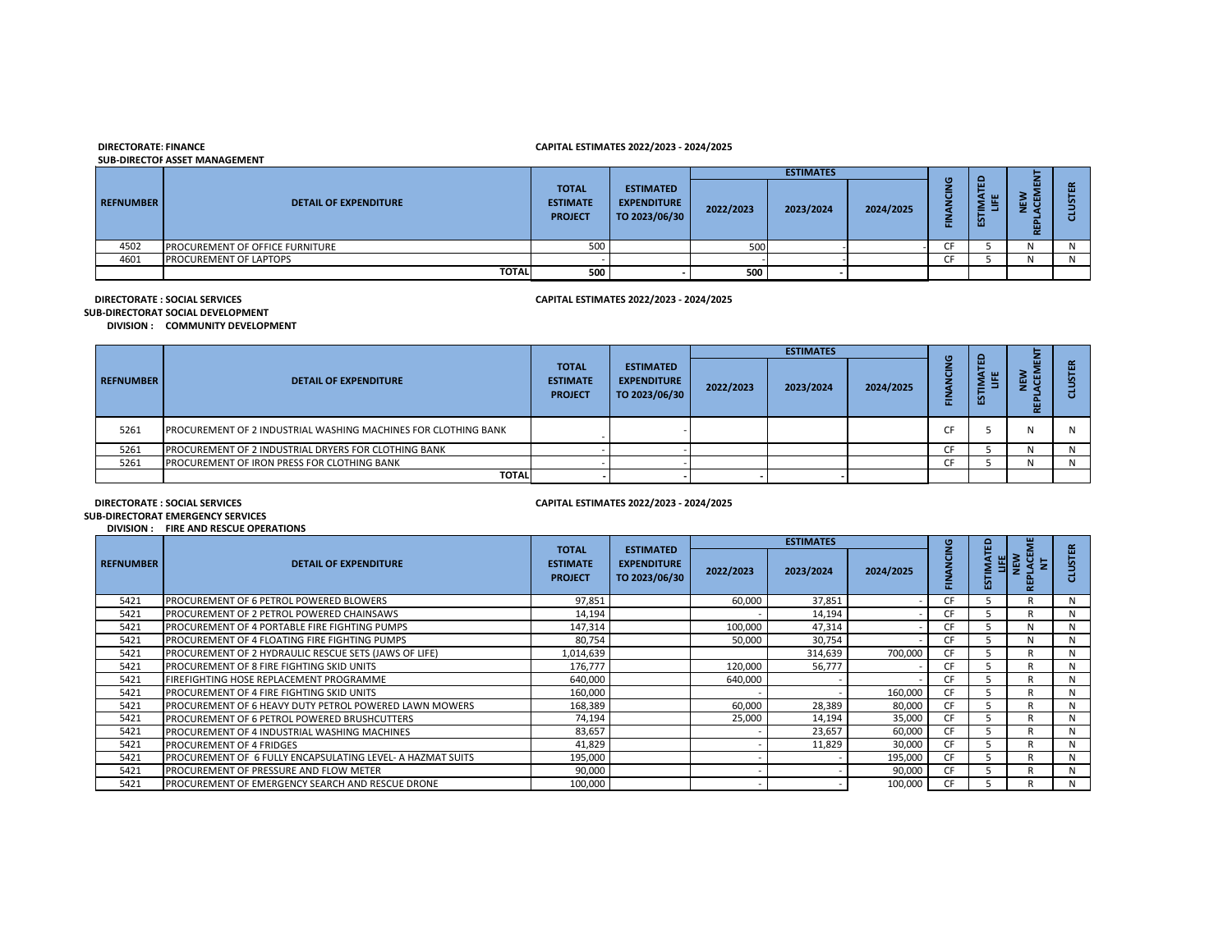### **DIRECTORATE: FINANCE CAPITAL ESTIMATES 2022/2023 - 2024/2025**

**SUB-DIRECTOF ASSET MANAGEMENT** 

|                  |                                        |                                                   |                                                         | <b>ESTIMATES</b> |           |           |        |          |        |  |
|------------------|----------------------------------------|---------------------------------------------------|---------------------------------------------------------|------------------|-----------|-----------|--------|----------|--------|--|
| <b>REFNUMBER</b> | <b>DETAIL OF EXPENDITURE</b>           | <b>TOTAL</b><br><b>ESTIMATE</b><br><b>PROJECT</b> | <b>ESTIMATED</b><br><b>EXPENDITURE</b><br>TO 2023/06/30 | 2022/2023        | 2023/2024 | 2024/2025 | G<br>운 | 品<br>က္က | ▥<br>面 |  |
| 4502             | <b>PROCUREMENT OF OFFICE FURNITURE</b> | 500                                               |                                                         |                  |           |           |        |          | N      |  |
| 4601             | <b>PROCUREMENT OF LAPTOPS</b>          |                                                   |                                                         |                  |           |           |        |          | N      |  |
|                  | <b>TOTAL</b>                           | 500                                               |                                                         | 500              |           |           |        |          |        |  |

**DIRECTORATE : SOCIAL SERVICES CAPITAL ESTIMATES 2022/2023 - 2024/2025**

**SUB-DIRECTORAT SOCIAL DEVELOPMENT** 

**DIVISION : COMMUNITY DEVELOPMENT**

|                  |                                                                       |                                                   |                                                         | <b>ESTIMATES</b> |           |           | $\sigma$         |                |         |             |
|------------------|-----------------------------------------------------------------------|---------------------------------------------------|---------------------------------------------------------|------------------|-----------|-----------|------------------|----------------|---------|-------------|
| <b>REFNUMBER</b> | <b>DETAIL OF EXPENDITURE</b>                                          | <b>TOTAL</b><br><b>ESTIMATE</b><br><b>PROJECT</b> | <b>ESTIMATED</b><br><b>EXPENDITURE</b><br>TO 2023/06/30 | 2022/2023        | 2023/2024 | 2024/2025 | ō<br>-<br>÷<br>운 | ш<br>-я ш<br>ಟ | m<br>φg | 岳<br>5<br>ō |
| 5261             | <b>PROCUREMENT OF 2 INDUSTRIAL WASHING MACHINES FOR CLOTHING BANK</b> |                                                   |                                                         |                  |           |           |                  |                |         | N           |
| 5261             | PROCUREMENT OF 2 INDUSTRIAL DRYERS FOR CLOTHING BANK                  |                                                   |                                                         |                  |           |           |                  |                |         | N           |
| 5261             | PROCUREMENT OF IRON PRESS FOR CLOTHING BANK                           |                                                   |                                                         |                  |           |           |                  |                |         | N           |
|                  | <b>TOTAL</b>                                                          |                                                   |                                                         |                  |           |           |                  |                |         |             |

**DIRECTORATE : SOCIAL SERVICES CAPITAL ESTIMATES 2022/2023 - 2024/2025**

#### **SUB-DIRECTORAT EMERGENCY SERVICES DIVISION : FIRE AND RESCUE OPERATIONS**

|                  |                                                               |                                                   |                                                         |           | <b>ESTIMATES</b> |           |           | ۵<br>m. |         |                   |
|------------------|---------------------------------------------------------------|---------------------------------------------------|---------------------------------------------------------|-----------|------------------|-----------|-----------|---------|---------|-------------------|
| <b>REFNUMBER</b> | <b>DETAIL OF EXPENDITURE</b>                                  | <b>TOTAL</b><br><b>ESTIMATE</b><br><b>PROJECT</b> | <b>ESTIMATED</b><br><b>EXPENDITURE</b><br>TO 2023/06/30 | 2022/2023 | 2023/2024        | 2024/2025 | FINANCING | 單<br>m  | È,<br>粤 | <b>USTER</b><br>a |
| 5421             | PROCUREMENT OF 6 PETROL POWERED BLOWERS                       | 97,851                                            |                                                         | 60,000    | 37,851           |           | CF        |         |         |                   |
| 5421             | PROCUREMENT OF 2 PETROL POWERED CHAINSAWS                     | 14,194                                            |                                                         |           | 14,194           |           | CF        |         |         | N                 |
| 5421             | PROCUREMENT OF 4 PORTABLE FIRE FIGHTING PUMPS                 | 147,314                                           |                                                         | 100,000   | 47,314           |           | CF        |         |         | N                 |
| 5421             | PROCUREMENT OF 4 FLOATING FIRE FIGHTING PUMPS                 | 80,754                                            |                                                         | 50,000    | 30,754           |           | CF        |         |         | N                 |
| 5421             | PROCUREMENT OF 2 HYDRAULIC RESCUE SETS (JAWS OF LIFE)         | 1,014,639                                         |                                                         |           | 314,639          | 700,000   | CF        |         |         | N                 |
| 5421             | <b>PROCUREMENT OF 8 FIRE FIGHTING SKID UNITS</b>              | 176,777                                           |                                                         | 120.000   | 56,777           |           | CF        |         | R       | N                 |
| 5421             | FIREFIGHTING HOSE REPLACEMENT PROGRAMME                       | 640,000                                           |                                                         | 640,000   |                  |           | CF.       |         | R       | N                 |
| 5421             | PROCUREMENT OF 4 FIRE FIGHTING SKID UNITS                     | 160,000                                           |                                                         |           |                  | 160,000   | CF        |         | R       | N                 |
| 5421             | <b>PROCUREMENT OF 6 HEAVY DUTY PETROL POWERED LAWN MOWERS</b> | 168,389                                           |                                                         | 60,000    | 28,389           | 80,000    | CF        |         |         | N                 |
| 5421             | PROCUREMENT OF 6 PETROL POWERED BRUSHCUTTERS                  | 74,194                                            |                                                         | 25,000    | 14,194           | 35,000    | <b>CF</b> |         |         | N                 |
| 5421             | PROCUREMENT OF 4 INDUSTRIAL WASHING MACHINES                  | 83,657                                            |                                                         |           | 23,657           | 60,000    | CF        |         | R       | N                 |
| 5421             | <b>PROCUREMENT OF 4 FRIDGES</b>                               | 41,829                                            |                                                         |           | 11,829           | 30,000    | CF        |         | R       | N                 |
| 5421             | PROCUREMENT OF 6 FULLY ENCAPSULATING LEVEL- A HAZMAT SUITS    | 195,000                                           |                                                         |           |                  | 195,000   | <b>CF</b> |         |         | N                 |
| 5421             | <b>PROCUREMENT OF PRESSURE AND FLOW METER</b>                 | 90,000                                            |                                                         |           |                  | 90,000    | CF        |         |         | N                 |
| 5421             | <b>PROCUREMENT OF EMERGENCY SEARCH AND RESCUE DRONE</b>       | 100,000                                           |                                                         |           |                  | 100,000   | CF        |         |         |                   |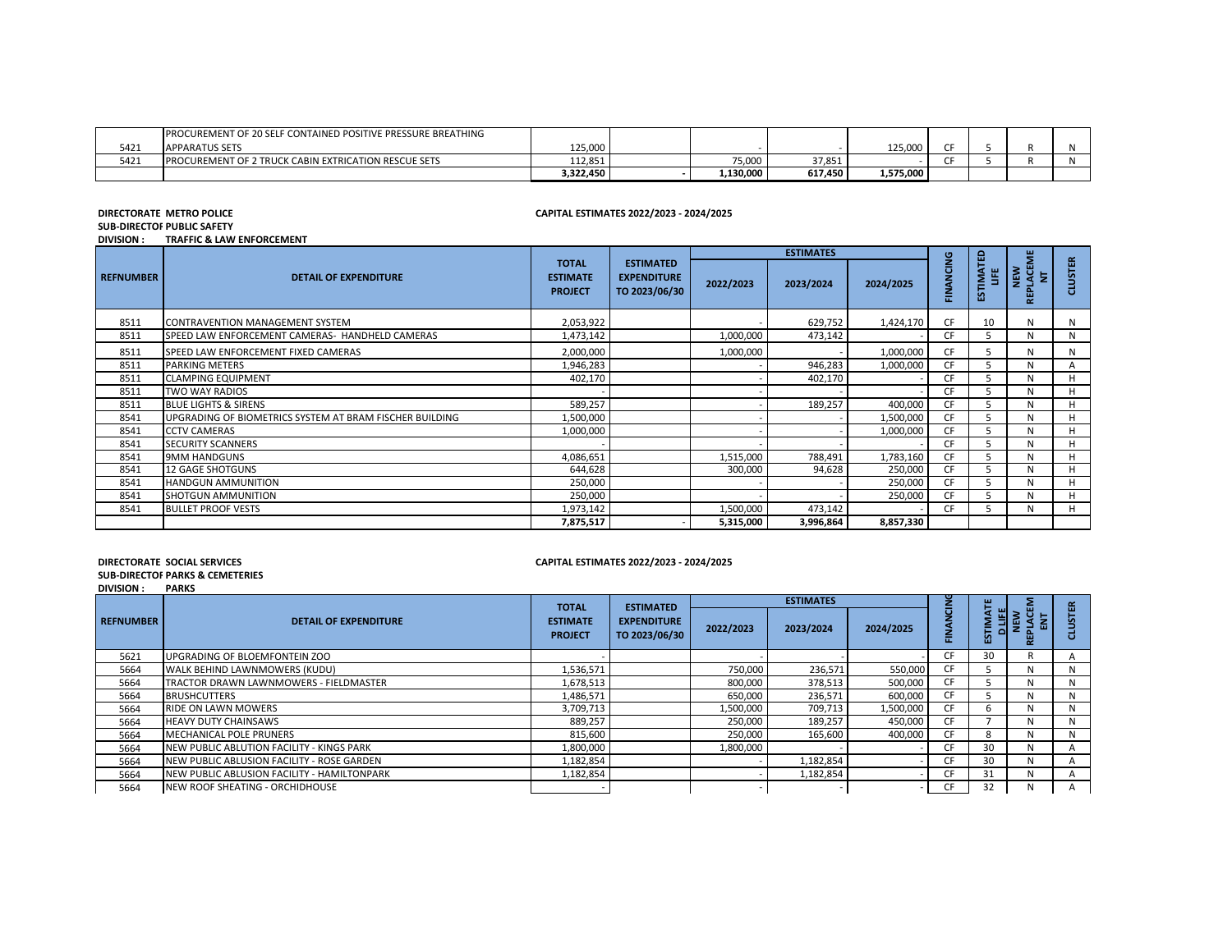|      | <b>IPROCUREMENT OF 20 SELF CONTAINED POSITIVE PRESSURE BREATHING</b> |           |           |         |           |  |  |
|------|----------------------------------------------------------------------|-----------|-----------|---------|-----------|--|--|
| 5421 | <b>APPARATUS SETS</b>                                                | 125,000   |           |         | 125,000   |  |  |
| 5421 | <b>PROCUREMENT OF 2 TRUCK CABIN EXTRICATION RESCUE SETS</b>          | 112.851   | 75.000    | 37.851  |           |  |  |
|      |                                                                      | 3.322.450 | 1,130,000 | 617.450 | 1,575,000 |  |  |

#### **SUB-DIRECTOF PUBLIC SAFETY**

## **DIRECTORATE : METRO POLICE CAPITAL ESTIMATES 2022/2023 - 2024/2025**

# **DIVISION : TRAFFIC & LAW ENFORCEMENT**

|                  |                                                         |                                                   |                                                         |           | <b>ESTIMATES</b> |           |           | 욢            | 뿡                              |                |
|------------------|---------------------------------------------------------|---------------------------------------------------|---------------------------------------------------------|-----------|------------------|-----------|-----------|--------------|--------------------------------|----------------|
| <b>REFNUMBER</b> | <b>DETAIL OF EXPENDITURE</b>                            | <b>TOTAL</b><br><b>ESTIMATE</b><br><b>PROJECT</b> | <b>ESTIMATED</b><br><b>EXPENDITURE</b><br>TO 2023/06/30 | 2022/2023 | 2023/2024        | 2024/2025 | FINANCING | ESTIMAT<br>Ë | $\mathbf{H}$<br>NEW<br>E.<br>핉 | <b>CLUSTER</b> |
| 8511             | CONTRAVENTION MANAGEMENT SYSTEM                         | 2,053,922                                         |                                                         |           | 629,752          | 1,424,170 | CF        | 10           | N                              | N              |
| 8511             | SPEED LAW ENFORCEMENT CAMERAS- HANDHELD CAMERAS         | 1,473,142                                         |                                                         | 1,000,000 | 473,142          |           | CF        |              | N                              | N              |
| 8511             | SPEED LAW ENFORCEMENT FIXED CAMERAS                     | 2,000,000                                         |                                                         | 1,000,000 |                  | 1,000,000 | CF        |              | N                              | N              |
| 8511             | <b>PARKING METERS</b>                                   | 1,946,283                                         |                                                         |           | 946,283          | 1,000,000 | CF        |              | N                              | A              |
| 8511             | <b>CLAMPING EQUIPMENT</b>                               | 402,170                                           |                                                         |           | 402,170          |           | CF        |              | N                              | H              |
| 8511             | TWO WAY RADIOS                                          |                                                   |                                                         |           |                  |           | CF        |              | N                              | H              |
| 8511             | <b>BLUE LIGHTS &amp; SIRENS</b>                         | 589,257                                           |                                                         |           | 189,257          | 400,000   | CF        |              | N                              | H              |
| 8541             | UPGRADING OF BIOMETRICS SYSTEM AT BRAM FISCHER BUILDING | 1,500,000                                         |                                                         |           |                  | 1,500,000 | CF        |              | N                              | H              |
| 8541             | <b>CCTV CAMERAS</b>                                     | 1,000,000                                         |                                                         |           |                  | 1,000,000 | CF        |              | N                              | H              |
| 8541             | <b>SECURITY SCANNERS</b>                                |                                                   |                                                         |           |                  |           | CF        |              | N                              | H              |
| 8541             | <b>9MM HANDGUNS</b>                                     | 4,086,651                                         |                                                         | 1,515,000 | 788,491          | 1,783,160 | CF        |              | N                              |                |
| 8541             | <b>12 GAGE SHOTGUNS</b>                                 | 644,628                                           |                                                         | 300,000   | 94,628           | 250,000   | CF        |              | N                              | H              |
| 8541             | <b>HANDGUN AMMUNITION</b>                               | 250,000                                           |                                                         |           |                  | 250,000   | CF        |              | N                              | H              |
| 8541             | <b>SHOTGUN AMMUNITION</b>                               | 250,000                                           |                                                         |           |                  | 250,000   | CF        |              | N                              |                |
| 8541             | <b>BULLET PROOF VESTS</b>                               | 1,973,142                                         |                                                         | 1,500,000 | 473,142          |           | CF        |              | N                              | H              |
|                  |                                                         | 7,875,517                                         |                                                         | 5,315,000 | 3,996,864        | 8,857,330 |           |              |                                |                |

# **DIRECTORATE : SOCIAL SERVICES CAPITAL ESTIMATES 2022/2023 - 2024/2025**

### **SUB-DIRECTOF PARKS & CEMETERIES**

**DIVISION : PARKS** 

|                  |                                             | <b>TOTAL</b>                      | <b>ESTIMATED</b>                    |           | <b>ESTIMATES</b> |           | ≝         |    |   | $\alpha$       |
|------------------|---------------------------------------------|-----------------------------------|-------------------------------------|-----------|------------------|-----------|-----------|----|---|----------------|
| <b>REFNUMBER</b> | <b>DETAIL OF EXPENDITURE</b>                | <b>ESTIMATE</b><br><b>PROJECT</b> | <b>EXPENDITURE</b><br>TO 2023/06/30 | 2022/2023 | 2023/2024        | 2024/2025 | ℥         | ш  | 톱 | <b>⊞</b>       |
| 5621             | UPGRADING OF BLOEMFONTEIN ZOO               |                                   |                                     |           |                  |           | <b>CF</b> | 30 |   | $\overline{A}$ |
| 5664             | WALK BEHIND LAWNMOWERS (KUDU)               | 1,536,571                         |                                     | 750,000   | 236.571          | 550.000   | CF        |    | N | N              |
| 5664             | TRACTOR DRAWN LAWNMOWERS - FIELDMASTER      | 1,678,513                         |                                     | 800,000   | 378,513          | 500,000   | CF        |    | N | N              |
| 5664             | <b>BRUSHCUTTERS</b>                         | 1,486,571                         |                                     | 650,000   | 236,571          | 600,000   | CF        |    | N | N              |
| 5664             | <b>RIDE ON LAWN MOWERS</b>                  | 3.709.713                         |                                     | 1,500,000 | 709.713          | 1,500,000 | CF        | h  | N | N              |
| 5664             | <b>HEAVY DUTY CHAINSAWS</b>                 | 889,257                           |                                     | 250,000   | 189,257          | 450,000   | CF        |    | N | N              |
| 5664             | <b>MECHANICAL POLE PRUNERS</b>              | 815,600                           |                                     | 250.000   | 165.600          | 400,000   | CF        |    | N | N              |
| 5664             | NEW PUBLIC ABLUTION FACILITY - KINGS PARK   | 1,800,000                         |                                     | 1,800,000 |                  |           | CF        | 30 | N | $\mathsf{A}$   |
| 5664             | NEW PUBLIC ABLUSION FACILITY - ROSE GARDEN  | 1.182.854                         |                                     |           | 1,182,854        |           | <b>CF</b> | 30 | Ν | A              |
| 5664             | NEW PUBLIC ABLUSION FACILITY - HAMILTONPARK | 1,182,854                         |                                     |           | 1,182,854        |           | <b>CF</b> | 31 | N | $\mathsf{A}$   |
| 5664             | NEW ROOF SHEATING - ORCHIDHOUSE             |                                   |                                     |           |                  |           | CF        | 32 | N |                |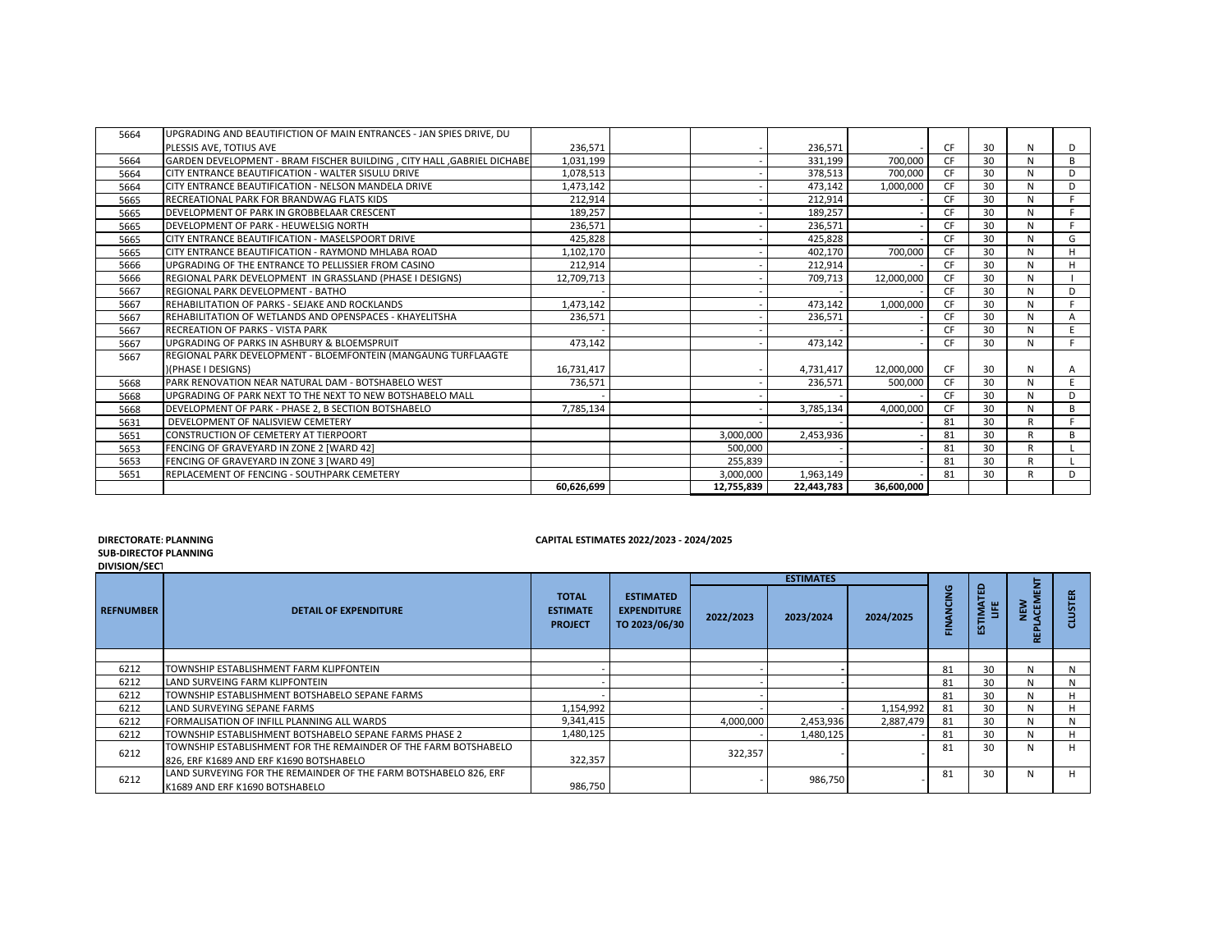| $0.00711$ $0.701111770$ $0.0001$ $0.0001$ $0.001$ |  |  |  |
|---------------------------------------------------|--|--|--|
|                                                   |  |  |  |
|                                                   |  |  |  |

PLESSIS AVE, TOTIUS AVE 236,571 - 236,571 - CF 30 N D 5664 GARDEN DEVELOPMENT - BRAM FISCHER BUILDING , CITY HALL ,GABRIEL DICHABE 1,031,199 - 331,199 700,000 CF 30 N B 5664 CITY ENTRANCE BEAUTIFICATION - WALTER SISULU DRIVE | 1,078,513 | 1,078,513 | 1,078,513 | 1,000,000 CF 30 N D<br>1,473,142 1,000,000 CF 30 N D 5664 CITY ENTRANCE BEAUTIFICATION - NELSON MANDELA DRIVE 1,473,142 1,473,142 - 1,000,000 CF 30 N D<br>1,473,142 - 473,142 1,000,000 CF 30 N D D 212,914 212,914 - 212,914 - 212,914 - CF 30 N F 5665 RECREATIONAL PARK FOR BRANDWAG FLATS KIDS 212,914 - 212,914 - CF 30 N F 5665 DEVELOPMENT OF PARK IN GROBBELAAR CRESCENT 189,257 189,257 189,257 189,257 189,257 189,257 189,257 189,257 189,257 189,257 189,257 189,257 189,257 189,257 189,267 189,2657 189,2657 189,200 189,257 189,200 189,200 189, THE SEART OF PARK - HEUWELSIG NORTH AND THE REVELOPMENT OF PARK - HEUWELSIG NORTH AND REVELOPMENT OF PARK - HEUWELSIG NORTH AND THE REVELOPMENT OF PARK - HEUWELSIG NORTH AND CONTRIBUTED AND CONTRIBUTED AND CONTRIBUTED AND 5665 CITY ENTRANCE BEAUTIFICATION - MASELSPOORT DRIVE 425,828 - 425,828 - CF 30 N G 5665 CITY ENTRANCE BEAUTIFICATION - RAYMOND MHLABA ROAD 1,102,170 1,102,170 1,102,170 1,102,170 1,102,170 1,10<br>1,102,170 1,100,000 CF 1,30 N H + 402,170 1,102,170 1,102,170 1,102,170 1,102,170 1,102,170 1,100,000 CF 30 N H THE ENTRANCE TO PELLISSIER FROM CASINO<br>The Case of the Entrance To Pellissier From Casino (Phase i Designs) and the case of the case of the case of t<br>The case of the case of the case of the case of the case of the case of

)(PHASE I DESIGNS) 16,731,417 | - | 4,731,417 | 12,000,000 | CF | 30 | N | A 5668 PARK RENOVATION NEAR NATURAL DAM - BOTSHABELO WEST | 736,571 | 736,571 | 236,571 | 236,571 500,000 CF 30 N E<br>5668 UPGRADING OF PARK NEXT TO THE NEXT TO NEW BOTSHABELO MALL | 256,571 | 256,571 | 236,571 | 200,000 CF 30 5668 UPGRADING OF PARK NEXT TO THE NEXT TO NEW BOTSHABELO MALL PERMIT AND A LARGE RELATION OF SALE OF SALE OF SALE OF SALE OF SALE OF SALE OF SALE OF SALE OF SALE OF SALE OF SALE OF SALE OF SALE OF SALE OF SALE OF SALE OF 5668 DEVELOPMENT OF PARK - PHASE 2, B SECTION BOTSHABELO 7,785,134 - 3,785,134 4,000,000 CF 30 N B 5631 DEVELOPMENT OF NALISVIEW CEMETERY AND RESERVED AND RESERVED BY A SUBSEXUAL CONSTRUCTION OF CEMETERY AT TIERPOORT AND RESERVED AND RESERVED AND RESERVED BY A SUBSEXUAL CONSTRUCTION OF CEMETERY AT TIERPOORT AND RESERVED 5651 CONSTRUCTION OF CEMETERY AT TIERPOORT CONSTRUCTION OF CEMETERY AT TIERPOORT CONSTRUCTION OF CEMETERY AT TIERPOORT CONSTRUCTION OF CEMETERY AT TIERPOORT CONSTRUCTION OF CEMETERY AT TIERPOORT CONSTRUCTION OF CEMETERY AT 5653 FENCING OF GRAVEYARD IN ZONE 2 [WARD 42]<br>5653 FENCING OF GRAVEYARD IN ZONE 3 [WARD 49] SOLO BY A LATER STORE AND RESOLUTION OF A LATER STORE AND RESOLU 5653 FENCING OF GRAVEYARD IN ZONE 3 [WARD 49]<br>5651 REPLACEMENT OF FENCING - SOUTHPARK CEMETERY REPLACEMENT REPLACEMENT REPLACEMENT OF FENCING - 81 30 R D 5651 REPLACEMENT OF FENCING - SOUTHPARK CEMETERY 3,000,000 1,963,149 - 81 30 R D

 **60,626,699 12,755,839 22,443,783 36,600,000**

5666 REGIONAL PARK DEVELOPMENT IN GRASSLAND (PHASE I DESIGNS) | 12,709,713 | 12,700,713 | 12,000,000 CF 30 N 5667 REGIONAL PARK DEVELOPMENT - BATHO - - - - CF 30 N D 5667 REHABILITATION OF PARKS - SEJAKE AND ROCKLANDS<br>1,000,000 CF 30 N F د 473,142 - 473,142 1,000,000 CF 30 N F د 473,142 - 473,142 1,000,000 CF 30 N F د 1,000 CF 5667 REHABILITATION OF WETLANDS AND OPENSPACES - KHAYELITSHA | 236,571 | | 236,571 | 236,571 | | CF 30 N A<br>5667 RECREATION OF PARKS - VISTA PARK 5667 RECREATION OF PARKS - VISTA PARK<br>5667 UPGRADING OF PARKS IN ASHBURY & BLOEMSPRUIT 473,142 - - 473,142 - - 473,142 - CF 30 N F 5667 UPGRADING OF PARKS IN ASHBURY & BLOEMSPRUIT | 473,142 | 473,142 | 473,142 | 473,142 | CF 30 N<br>5667 REGIONAL PARK DEVELOPMENT - BLOEMFONTEIN (MANGAUNG TURFLAAGTE

#### **DIRECTORATE: PLANNING CAPITAL ESTIMATES 2022/2023 - 2024/2025 SUB-DIRECTORATE: PLANNING**

5664 UPGRADING AND BEAUTIFICTION OF MAIN ENTRANCES - JAN SPIES DRIVE, DU

REGIONAL PARK DEVELOPMENT - BLOEMFONTEIN (MANGAUNG TURFLAAGTE<br>)(PHASE | DESIGNS)

| <b>SUB-DIRECTOF PLAN</b> |  |
|--------------------------|--|
|                          |  |

| SUB-DIRECTOF PLAN |  |  |
|-------------------|--|--|
|                   |  |  |

| <b>DIVISION/SECT</b> |                                                                  |                                                   |                                                         |           |                  |           |       |                          |                                |                |
|----------------------|------------------------------------------------------------------|---------------------------------------------------|---------------------------------------------------------|-----------|------------------|-----------|-------|--------------------------|--------------------------------|----------------|
|                      |                                                                  |                                                   |                                                         |           | <b>ESTIMATES</b> |           |       |                          |                                |                |
| <b>REFNUMBER</b>     | <b>DETAIL OF EXPENDITURE</b>                                     | <b>TOTAL</b><br><b>ESTIMATE</b><br><b>PROJECT</b> | <b>ESTIMATED</b><br><b>EXPENDITURE</b><br>TO 2023/06/30 | 2022/2023 | 2023/2024        | 2024/2025 | ANCIN | <b>ESTIMATED</b><br>LIFE | ⊞.<br><b>ACEN</b><br>$\propto$ | 岳<br>듰         |
|                      |                                                                  |                                                   |                                                         |           |                  |           |       |                          |                                |                |
| 6212                 | TOWNSHIP ESTABLISHMENT FARM KLIPFONTEIN                          |                                                   |                                                         |           |                  |           | 81    | 30                       |                                | N              |
| 6212                 | LAND SURVEING FARM KLIPFONTEIN                                   |                                                   |                                                         |           |                  |           | 81    | 30                       |                                | Ν              |
| 6212                 | TOWNSHIP ESTABLISHMENT BOTSHABELO SEPANE FARMS                   |                                                   |                                                         |           |                  |           | 81    | 30                       |                                |                |
| 6212                 | LAND SURVEYING SEPANE FARMS                                      | 1,154,992                                         |                                                         |           |                  | 1,154,992 | 81    | 30                       |                                |                |
| 6212                 | FORMALISATION OF INFILL PLANNING ALL WARDS                       | 9,341,415                                         |                                                         | 4,000,000 | 2,453,936        | 2,887,479 | 81    | 30                       |                                | N              |
| 6212                 | TOWNSHIP ESTABLISHMENT BOTSHABELO SEPANE FARMS PHASE 2           | 1,480,125                                         |                                                         |           | 1,480,125        |           | 81    | 30                       |                                | $\blacksquare$ |
| 6212                 | TOWNSHIP ESTABLISHMENT FOR THE REMAINDER OF THE FARM BOTSHABELO  |                                                   |                                                         | 322,357   |                  |           | 81    | 30                       |                                |                |
|                      | 826, ERF K1689 AND ERF K1690 BOTSHABELO                          | 322,357                                           |                                                         |           |                  |           |       |                          |                                |                |
|                      | LAND SURVEYING FOR THE REMAINDER OF THE FARM BOTSHABELO 826, ERF |                                                   |                                                         |           |                  |           | 81    | 30                       |                                | н              |
| 6212                 | K1689 AND ERF K1690 BOTSHABELO                                   | 986,750                                           |                                                         |           | 986,750          |           |       |                          |                                |                |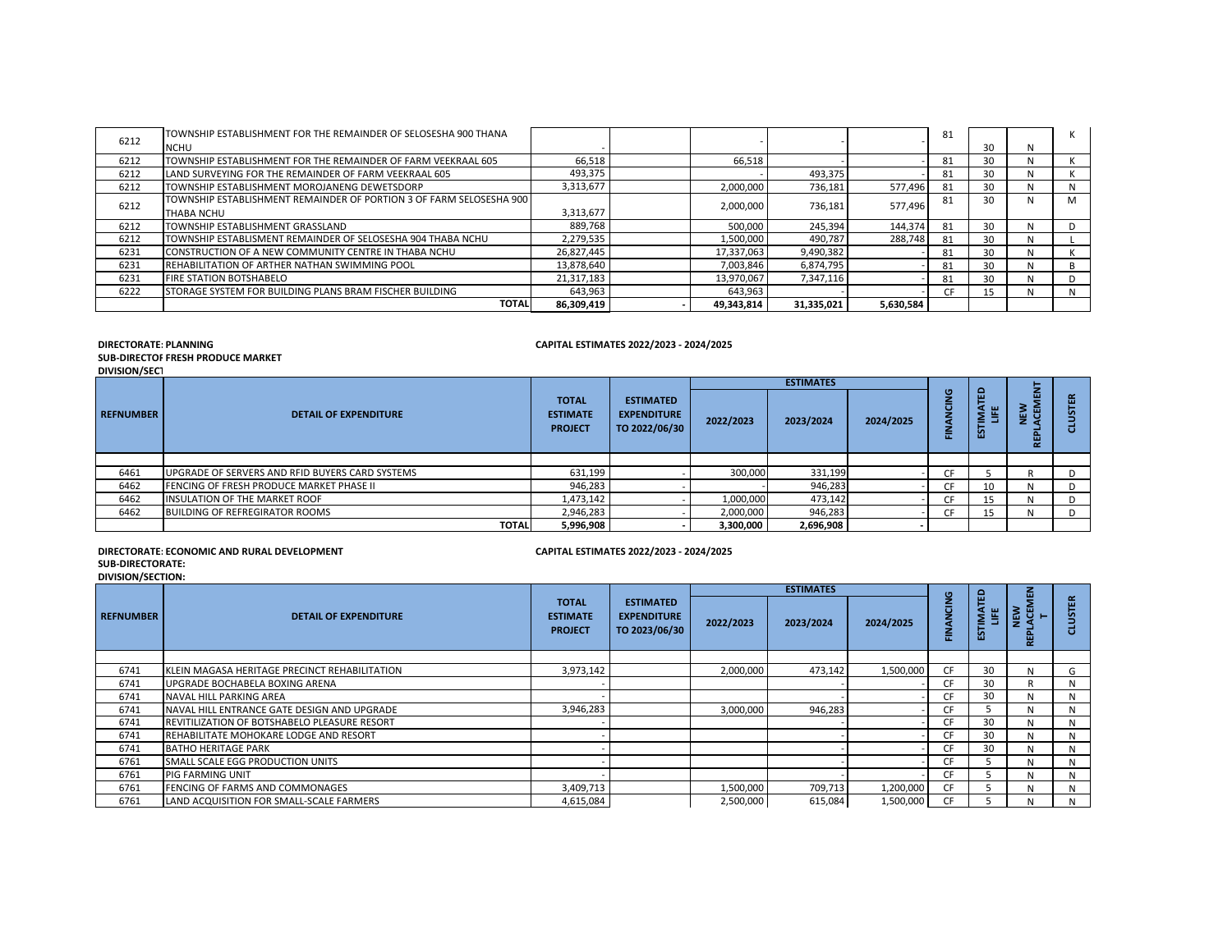| 6212 | TOWNSHIP ESTABLISHMENT FOR THE REMAINDER OF SELOSESHA 900 THANA     |            |            |            |           | 81  |    |         |   |
|------|---------------------------------------------------------------------|------------|------------|------------|-----------|-----|----|---------|---|
|      | <b>NCHU</b>                                                         |            |            |            |           |     | 30 |         |   |
| 6212 | TOWNSHIP ESTABLISHMENT FOR THE REMAINDER OF FARM VEEKRAAL 605       | 66,518     | 66.518     |            |           | 81  | 30 |         |   |
| 6212 | LAND SURVEYING FOR THE REMAINDER OF FARM VEEKRAAL 605               | 493,375    |            | 493,375    |           | 81  | 30 |         |   |
| 6212 | TOWNSHIP ESTABLISHMENT MOROJANENG DEWETSDORP                        |            | 2.000.000  | 736.181    | 577.496   | 81  | 30 |         |   |
| 6212 | TOWNSHIP ESTABLISHMENT REMAINDER OF PORTION 3 OF FARM SELOSESHA 900 |            | 2.000.000  | 736.181    | 577.496   | 81  | 30 | N<br>ΙV | M |
|      | THABA NCHU                                                          | 3.313.677  |            |            |           |     |    |         |   |
| 6212 | TOWNSHIP ESTABLISHMENT GRASSLAND                                    | 889.768    | 500.000    | 245.394    | 144.374   | 81  | 30 |         | D |
| 6212 | TOWNSHIP ESTABLISMENT REMAINDER OF SELOSESHA 904 THABA NCHU         | 2,279,535  | 1,500,000  | 490,787    | 288.748   | 81  | 30 |         |   |
| 6231 | CONSTRUCTION OF A NEW COMMUNITY CENTRE IN THABA NCHU                | 26.827.445 | 17.337.063 | 9,490,382  |           | 81  | 30 |         |   |
| 6231 | <b>REHABILITATION OF ARTHER NATHAN SWIMMING POOL</b>                | 13,878,640 | 7,003,846  | 6,874,795  |           | 81  | 30 |         | B |
| 6231 | <b>FIRE STATION BOTSHABELO</b>                                      | 21.317.183 | 13.970.067 | 7.347.116  |           | 81  | 30 |         |   |
| 6222 | STORAGE SYSTEM FOR BUILDING PLANS BRAM FISCHER BUILDING             | 643.963    | 643.963    |            |           | CF. | 15 |         |   |
|      | <b>TOTAL</b>                                                        | 86,309,419 | 49,343,814 | 31,335,021 | 5,630,584 |     |    |         |   |

### **SUB-DIRECTOF FRESH PRODUCE MARKET**

## **DIRECTORATE: PLANNING CAPITAL ESTIMATES 2022/2023 - 2024/2025**

**DIVISION/SECT** 

| <b>DIVISION/SLC</b>                                                                                                                    |                                                 |                                                   |                                                         |                    |                  |           |                 |                        |                                 |                |
|----------------------------------------------------------------------------------------------------------------------------------------|-------------------------------------------------|---------------------------------------------------|---------------------------------------------------------|--------------------|------------------|-----------|-----------------|------------------------|---------------------------------|----------------|
|                                                                                                                                        |                                                 |                                                   |                                                         |                    | <b>ESTIMATES</b> |           |                 |                        |                                 |                |
| <b>REFNUMBER</b>                                                                                                                       | <b>DETAIL OF EXPENDITURE</b>                    | <b>TOTAL</b><br><b>ESTIMATE</b><br><b>PROJECT</b> | <b>ESTIMATED</b><br><b>EXPENDITURE</b><br>TO 2022/06/30 | 2022/2023          | 2023/2024        | 2024/2025 | FINANCING       | ы<br>₹.<br>罡<br>홀      | NEW<br>ACEMENT<br>ш<br>$\alpha$ | <b>QUISTER</b> |
|                                                                                                                                        |                                                 |                                                   |                                                         |                    |                  |           |                 |                        |                                 |                |
| 6461                                                                                                                                   | UPGRADE OF SERVERS AND RFID BUYERS CARD SYSTEMS | 631,199                                           |                                                         | 300,000<br>331,199 |                  |           |                 |                        | R                               | D              |
| 6462                                                                                                                                   | FENCING OF FRESH PRODUCE MARKET PHASE II        | 946,283                                           |                                                         |                    | 946,283          |           | CF              | 10                     | N                               | D              |
| 6462                                                                                                                                   | <b>INSULATION OF THE MARKET ROOF</b>            |                                                   | 1,473,142                                               | 1,000,000          | 473,142          |           | <b>CF</b>       | 15                     | N                               | D              |
| 6462                                                                                                                                   | <b>BUILDING OF REFREGIRATOR ROOMS</b>           | 2,946,283                                         |                                                         | 2,000,000          | 946,283          |           | <b>CF</b>       | 15                     | N                               | D              |
|                                                                                                                                        | <b>TOTAL</b>                                    | 5,996,908                                         |                                                         | 3,300,000          | 2,696,908        |           |                 |                        |                                 |                |
| CAPITAL ESTIMATES 2022/2023 - 2024/2025<br>DIRECTORATE: ECONOMIC AND RURAL DEVELOPMENT<br><b>SUB-DIRECTORATE:</b><br>DIVISION/SECTION: |                                                 |                                                   |                                                         |                    |                  |           |                 |                        |                                 |                |
|                                                                                                                                        |                                                 |                                                   |                                                         |                    | <b>ESTIMATES</b> |           |                 | 윤                      | 롭                               |                |
| <b>REFNUMBER</b>                                                                                                                       | <b>DETAIL OF EXPENDITURE</b>                    | <b>TOTAL</b><br><b>ESTIMATE</b><br><b>PROJECT</b> | <b>ESTIMATED</b><br><b>EXPENDITURE</b><br>TO 2023/06/30 | 2022/2023          | 2023/2024        | 2024/2025 | <b>INANCING</b> | <b>IMATI</b><br>当<br>5 | ξ<br>ш<br>$\vdash$              | <b>CLUSTER</b> |

#### **DIRECTORATE: ECONOMIC AND RURAL DEVELOPMENT CAPITAL ESTIMATES 2022/2023 - 2024/2025 SUB-DIRECTORATE:**

|                  |                                                |                                                   |                                                         |           | <b>ESTIMATES</b> | O         |                    | o                              | z<br>m.                                                |                   |
|------------------|------------------------------------------------|---------------------------------------------------|---------------------------------------------------------|-----------|------------------|-----------|--------------------|--------------------------------|--------------------------------------------------------|-------------------|
| <b>REFNUMBER</b> | <b>DETAIL OF EXPENDITURE</b>                   | <b>TOTAL</b><br><b>ESTIMATE</b><br><b>PROJECT</b> | <b>ESTIMATED</b><br><b>EXPENDITURE</b><br>TO 2023/06/30 | 2022/2023 | 2023/2024        | 2024/2025 | <b>AI</b><br>FINAI | œ.<br><b>IMAT</b><br>-111<br>ш | 111<br>$\blacksquare$<br>粤<br>ш<br>$\overline{\alpha}$ | <b>USTER</b><br>3 |
|                  |                                                |                                                   |                                                         |           |                  |           |                    |                                |                                                        |                   |
| 6741             | IKLEIN MAGASA HERITAGE PRECINCT REHABILITATION | 3,973,142                                         |                                                         | 2,000,000 | 473,142          | 1,500,000 | <b>CF</b>          | 30                             | N                                                      | G                 |
| 6741             | UPGRADE BOCHABELA BOXING ARENA                 |                                                   |                                                         |           |                  |           | CF                 | 30                             | R                                                      |                   |
| 6741             | NAVAL HILL PARKING AREA                        |                                                   |                                                         |           |                  |           | CF                 | 30                             | N                                                      |                   |
| 6741             | NAVAL HILL ENTRANCE GATE DESIGN AND UPGRADE    | 3,946,283                                         |                                                         | 3,000,000 | 946,283          |           | CF                 | `                              | N                                                      |                   |
| 6741             | REVITILIZATION OF BOTSHABELO PLEASURE RESORT   |                                                   |                                                         |           |                  |           | CF                 | 30                             | N                                                      |                   |
| 6741             | <b>REHABILITATE MOHOKARE LODGE AND RESORT</b>  |                                                   |                                                         |           |                  |           | CF                 | 30                             | N                                                      |                   |
| 6741             | <b>BATHO HERITAGE PARK</b>                     |                                                   |                                                         |           |                  |           | CF                 | 30                             | N                                                      |                   |
| 6761             | <b>SMALL SCALE EGG PRODUCTION UNITS</b>        |                                                   |                                                         |           |                  |           | CF                 |                                | N                                                      | N                 |
| 6761             | <b>PIG FARMING UNIT</b>                        |                                                   |                                                         |           |                  |           | CF                 |                                | N                                                      |                   |
| 6761             | <b>FENCING OF FARMS AND COMMONAGES</b>         | 3,409,713                                         |                                                         | 1,500,000 | 709,713          | 1,200,000 | CF                 |                                | N                                                      |                   |
| 6761             | LAND ACQUISITION FOR SMALL-SCALE FARMERS       | 4,615,084                                         |                                                         | 2,500,000 | 615,084          | 1,500,000 | CF                 |                                |                                                        |                   |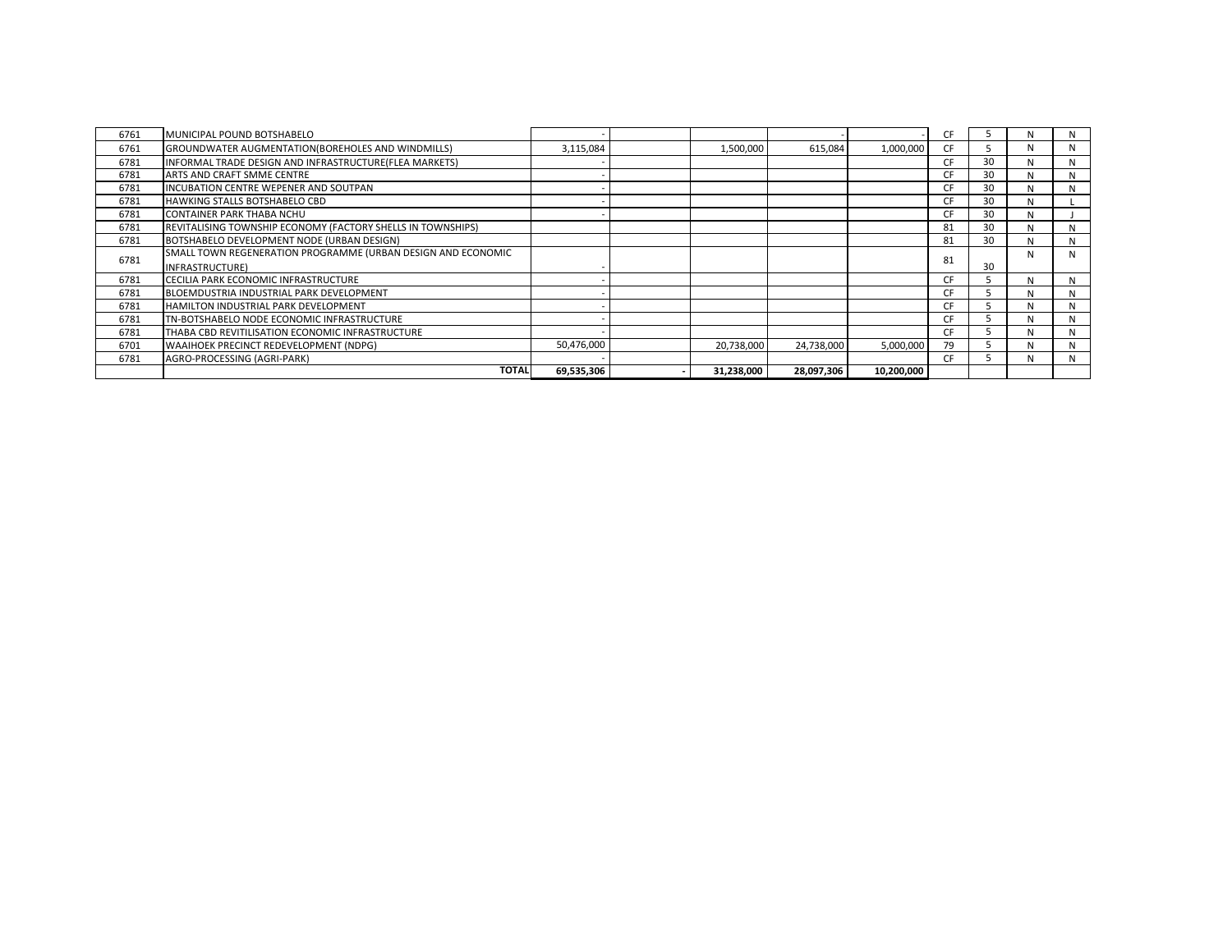| 6761 | MUNICIPAL POUND BOTSHABELO                                   |            |            |            |            | CF        |    | N | N |
|------|--------------------------------------------------------------|------------|------------|------------|------------|-----------|----|---|---|
| 6761 | GROUNDWATER AUGMENTATION(BOREHOLES AND WINDMILLS)            | 3,115,084  | 1,500,000  | 615,084    | 1,000,000  | CF        |    | Ν | N |
| 6781 | INFORMAL TRADE DESIGN AND INFRASTRUCTURE(FLEA MARKETS)       |            |            |            |            | CF        | 30 | N | N |
| 6781 | ARTS AND CRAFT SMME CENTRE                                   |            |            |            |            | CF        | 30 | N | N |
| 6781 | <b>INCUBATION CENTRE WEPENER AND SOUTPAN</b>                 |            |            |            |            | <b>CF</b> | 30 | N | N |
| 6781 | <b>HAWKING STALLS BOTSHABELO CBD</b>                         |            |            |            |            | CF.       | 30 |   |   |
| 6781 | <b>CONTAINER PARK THABA NCHU</b>                             |            |            |            |            | CF        | 30 |   |   |
| 6781 | REVITALISING TOWNSHIP ECONOMY (FACTORY SHELLS IN TOWNSHIPS)  |            |            |            |            | 81        | 30 | N | N |
| 6781 | BOTSHABELO DEVELOPMENT NODE (URBAN DESIGN)                   |            |            |            |            | 81        | 30 | N | N |
| 6781 | SMALL TOWN REGENERATION PROGRAMME (URBAN DESIGN AND ECONOMIC |            |            |            |            | 81        |    | Ν | N |
|      | INFRASTRUCTURE)                                              |            |            |            |            |           | 30 |   |   |
| 6781 | CECILIA PARK ECONOMIC INFRASTRUCTURE                         |            |            |            |            | CF        |    |   |   |
| 6781 | BLOEMDUSTRIA INDUSTRIAL PARK DEVELOPMENT                     |            |            |            |            | CF        |    |   | N |
| 6781 | HAMILTON INDUSTRIAL PARK DEVELOPMENT                         |            |            |            |            | CF        |    |   | N |
| 6781 | TN-BOTSHABELO NODE ECONOMIC INFRASTRUCTURE                   |            |            |            |            | CF        |    |   | N |
| 6781 | THABA CBD REVITILISATION ECONOMIC INFRASTRUCTURE             |            |            |            |            | CF        |    | N | N |
| 6701 | WAAIHOEK PRECINCT REDEVELOPMENT (NDPG)                       | 50,476,000 | 20,738,000 | 24,738,000 | 5.000.000  | 79        |    |   | N |
| 6781 | AGRO-PROCESSING (AGRI-PARK)                                  |            |            |            |            | CF        |    |   | N |
|      | <b>TOTAL</b>                                                 | 69,535,306 | 31,238,000 | 28,097,306 | 10,200,000 |           |    |   |   |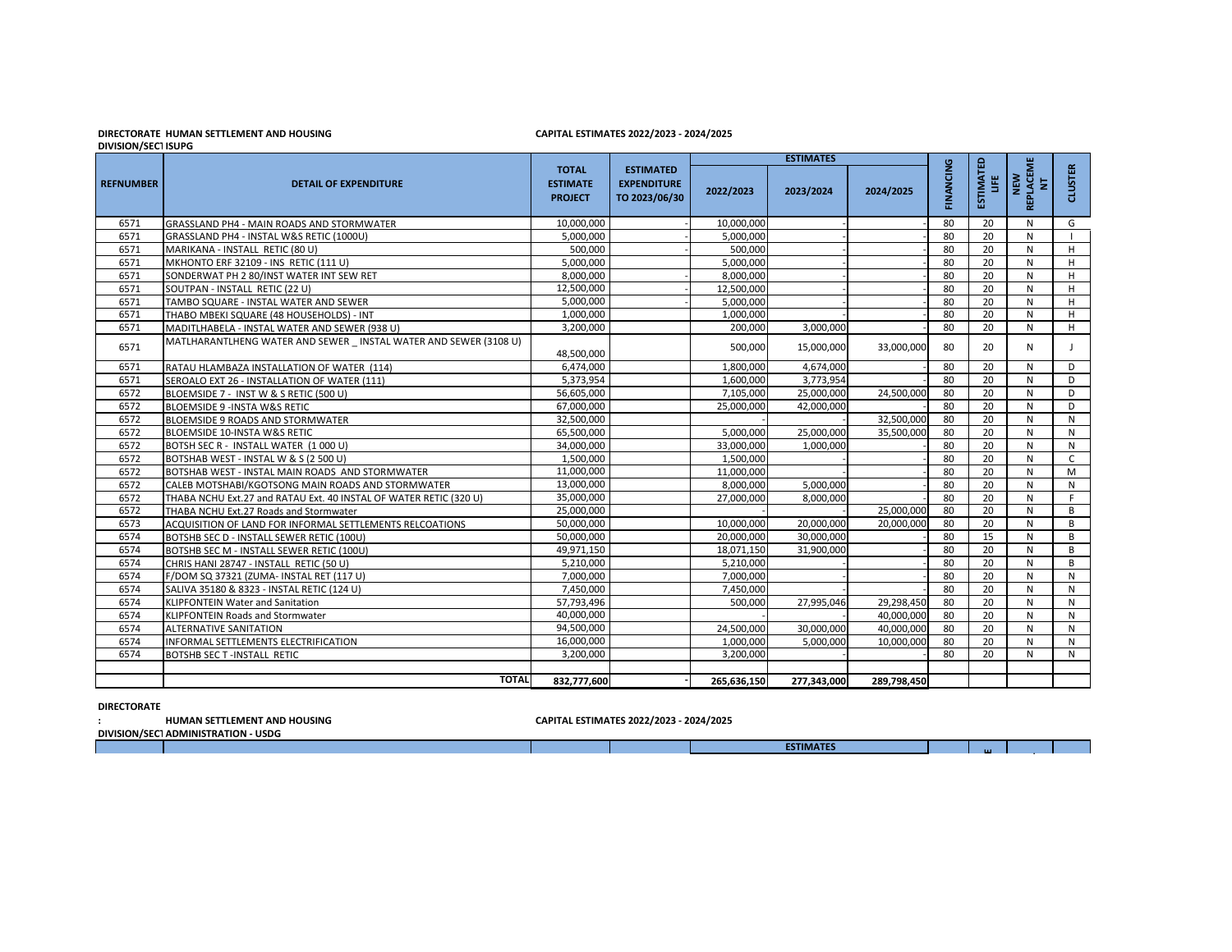## **DIRECTORATE HUMAN SETTLEMENT AND HOUSING CAPITAL ESTIMATES 2022/2023 - 2024/2025**

**DIVISION/SECTISUPG** 

|                  |                                                                   |                                                   |                                                         |             | <b>ESTIMATES</b> |             |           |                       |                        |                |
|------------------|-------------------------------------------------------------------|---------------------------------------------------|---------------------------------------------------------|-------------|------------------|-------------|-----------|-----------------------|------------------------|----------------|
| <b>REFNUMBER</b> | <b>DETAIL OF EXPENDITURE</b>                                      | <b>TOTAL</b><br><b>ESTIMATE</b><br><b>PROJECT</b> | <b>ESTIMATED</b><br><b>EXPENDITURE</b><br>TO 2023/06/30 | 2022/2023   | 2023/2024        | 2024/2025   | FINANCING | <b>ESTIMATED</b><br>š | NEW<br>REPLACEME<br>Ĕ, | <b>CLUSTER</b> |
| 6571             | GRASSLAND PH4 - MAIN ROADS AND STORMWATER                         | 10,000,000                                        |                                                         | 10,000,000  |                  |             | 80        | 20                    | $\mathsf{N}$           | G              |
| 6571             | GRASSLAND PH4 - INSTAL W&S RETIC (1000U)                          | 5,000,000                                         |                                                         | 5,000,000   |                  |             | 80        | 20                    | $\mathsf{N}$           |                |
| 6571             | MARIKANA - INSTALL RETIC (80 U)                                   | 500.000                                           |                                                         | 500.000     |                  |             | 80        | 20                    | N                      | H              |
| 6571             | MKHONTO ERF 32109 - INS RETIC (111 U)                             | 5,000,000                                         |                                                         | 5.000.000   |                  |             | 80        | 20                    | N                      | H              |
| 6571             | SONDERWAT PH 2 80/INST WATER INT SEW RET                          | 8,000,000                                         |                                                         | 8,000,000   |                  |             | 80        | 20                    | N                      | H              |
| 6571             | SOUTPAN - INSTALL RETIC (22 U)                                    | 12,500,000                                        |                                                         | 12,500,000  |                  |             | 80        | 20                    | N                      | H              |
| 6571             | TAMBO SQUARE - INSTAL WATER AND SEWER                             | 5,000,000                                         |                                                         | 5,000,000   |                  |             | 80        | 20                    | N                      | H              |
| 6571             | THABO MBEKI SQUARE (48 HOUSEHOLDS) - INT                          | 1,000,000                                         |                                                         | 1,000,000   |                  |             | 80        | 20                    | N                      | H              |
| 6571             | MADITLHABELA - INSTAL WATER AND SEWER (938 U)                     | 3,200,000                                         |                                                         | 200.000     | 3,000,000        |             | 80        | 20                    | N                      | H              |
| 6571             | MATLHARANTLHENG WATER AND SEWER INSTAL WATER AND SEWER (3108 U)   | 48,500,000                                        |                                                         | 500,000     | 15,000,000       | 33,000,000  | 80        | 20                    | N                      | $\perp$        |
| 6571             | RATAU HLAMBAZA INSTALLATION OF WATER (114)                        | 6,474,000                                         |                                                         | 1,800,000   | 4,674,000        |             | 80        | 20                    | N                      | D              |
| 6571             | SEROALO EXT 26 - INSTALLATION OF WATER (111)                      | 5,373,954                                         |                                                         | 1.600.000   | 3,773,954        |             | 80        | 20                    | N                      | D              |
| 6572             | BLOEMSIDE 7 - INST W & S RETIC (500 U)                            | 56,605,000                                        |                                                         | 7,105,000   | 25,000,000       | 24,500,000  | 80        | 20                    | N                      | D              |
| 6572             | BLOEMSIDE 9 - INSTA W&S RETIC                                     | 67,000,000                                        |                                                         | 25,000,000  | 42,000,000       |             | 80        | 20                    | N                      | D              |
| 6572             | BLOEMSIDE 9 ROADS AND STORMWATER                                  | 32,500,000                                        |                                                         |             |                  | 32,500,000  | 80        | 20                    | N                      | N              |
| 6572             | BLOEMSIDE 10-INSTA W&S RETIC                                      | 65,500,000                                        |                                                         | 5,000,000   | 25,000,000       | 35,500,000  | 80        | 20                    | N                      | N              |
| 6572             | BOTSH SEC R - INSTALL WATER (1 000 U)                             | 34,000,000                                        |                                                         | 33,000,000  | 1,000,000        |             | 80        | 20                    | N                      | N              |
| 6572             | BOTSHAB WEST - INSTAL W & S (2 500 U)                             | 1,500,000                                         |                                                         | 1,500,000   |                  |             | 80        | 20                    | N                      | $\mathsf{C}$   |
| 6572             | BOTSHAB WEST - INSTAL MAIN ROADS AND STORMWATER                   | 11,000,000                                        |                                                         | 11,000,000  |                  |             | 80        | 20                    | N                      | M              |
| 6572             | CALEB MOTSHABI/KGOTSONG MAIN ROADS AND STORMWATER                 | 13,000,000                                        |                                                         | 8,000,000   | 5,000,000        |             | 80        | 20                    | N                      | $\mathsf{N}$   |
| 6572             | THABA NCHU Ext.27 and RATAU Ext. 40 INSTAL OF WATER RETIC (320 U) | 35,000,000                                        |                                                         | 27,000,000  | 8,000,000        |             | 80        | 20                    | N                      | F              |
| 6572             | THABA NCHU Ext.27 Roads and Stormwater                            | 25,000,000                                        |                                                         |             |                  | 25,000,000  | 80        | 20                    | N                      | B              |
| 6573             | ACQUISITION OF LAND FOR INFORMAL SETTLEMENTS RELCOATIONS          | 50,000,000                                        |                                                         | 10,000,000  | 20,000,000       | 20,000,000  | 80        | 20                    | N                      | B              |
| 6574             | BOTSHB SEC D - INSTALL SEWER RETIC (100U)                         | 50,000,000                                        |                                                         | 20.000.000  | 30.000.000       |             | 80        | 15                    | N                      | В              |
| 6574             | BOTSHB SEC M - INSTALL SEWER RETIC (100U)                         | 49,971,150                                        |                                                         | 18,071,150  | 31,900,000       |             | 80        | 20                    | N                      | B              |
| 6574             | CHRIS HANI 28747 - INSTALL RETIC (50 U)                           | 5,210,000                                         |                                                         | 5,210,000   |                  |             | 80        | 20                    | N                      | B              |
| 6574             | F/DOM SQ 37321 (ZUMA- INSTAL RET (117 U)                          | 7,000,000                                         |                                                         | 7,000,000   |                  |             | 80        | 20                    | N                      | N              |
| 6574             | SALIVA 35180 & 8323 - INSTAL RETIC (124 U)                        | 7,450,000                                         |                                                         | 7,450,000   |                  |             | 80        | 20                    | N                      | N              |
| 6574             | <b>KLIPFONTEIN Water and Sanitation</b>                           | 57,793,496                                        |                                                         | 500.000     | 27,995,046       | 29,298,450  | 80        | 20                    | N                      | $\mathsf{N}$   |
| 6574             | <b>KLIPFONTEIN Roads and Stormwater</b>                           | 40.000.000                                        |                                                         |             |                  | 40,000,000  | 80        | 20                    | $\mathsf{N}$           | N              |
| 6574             | <b>ALTERNATIVE SANITATION</b>                                     | 94,500,000                                        |                                                         | 24,500,000  | 30,000,000       | 40,000,000  | 80        | 20                    | N                      | N              |
| 6574             | INFORMAL SETTLEMENTS ELECTRIFICATION                              | 16,000,000                                        |                                                         | 1,000,000   | 5,000,000        | 10,000,000  | 80        | 20                    | N                      | $\mathsf{N}$   |
| 6574             | <b>BOTSHB SEC T-INSTALL RETIC</b>                                 | 3,200,000                                         |                                                         | 3,200,000   |                  |             | 80        | 20                    | N                      | $\mathsf{N}$   |
|                  |                                                                   |                                                   |                                                         |             |                  |             |           |                       |                        |                |
|                  | <b>TOTAL</b>                                                      | 832,777,600                                       |                                                         | 265,636,150 | 277,343,000      | 289.798.450 |           |                       |                        |                |

### **DIRECTORATE**

**: HUMAN SETTLEMENT AND HOUSING CAPITAL ESTIMATES 2022/2023 - 2024/2025**

 **ESTIMATES** 

 **ESTIMATED LIFE**

 $\mathbf{m}^{\prime}$ 

**REPLACEMENT**

**DIVISION/SECTION: ADMINISTRATION - USDG**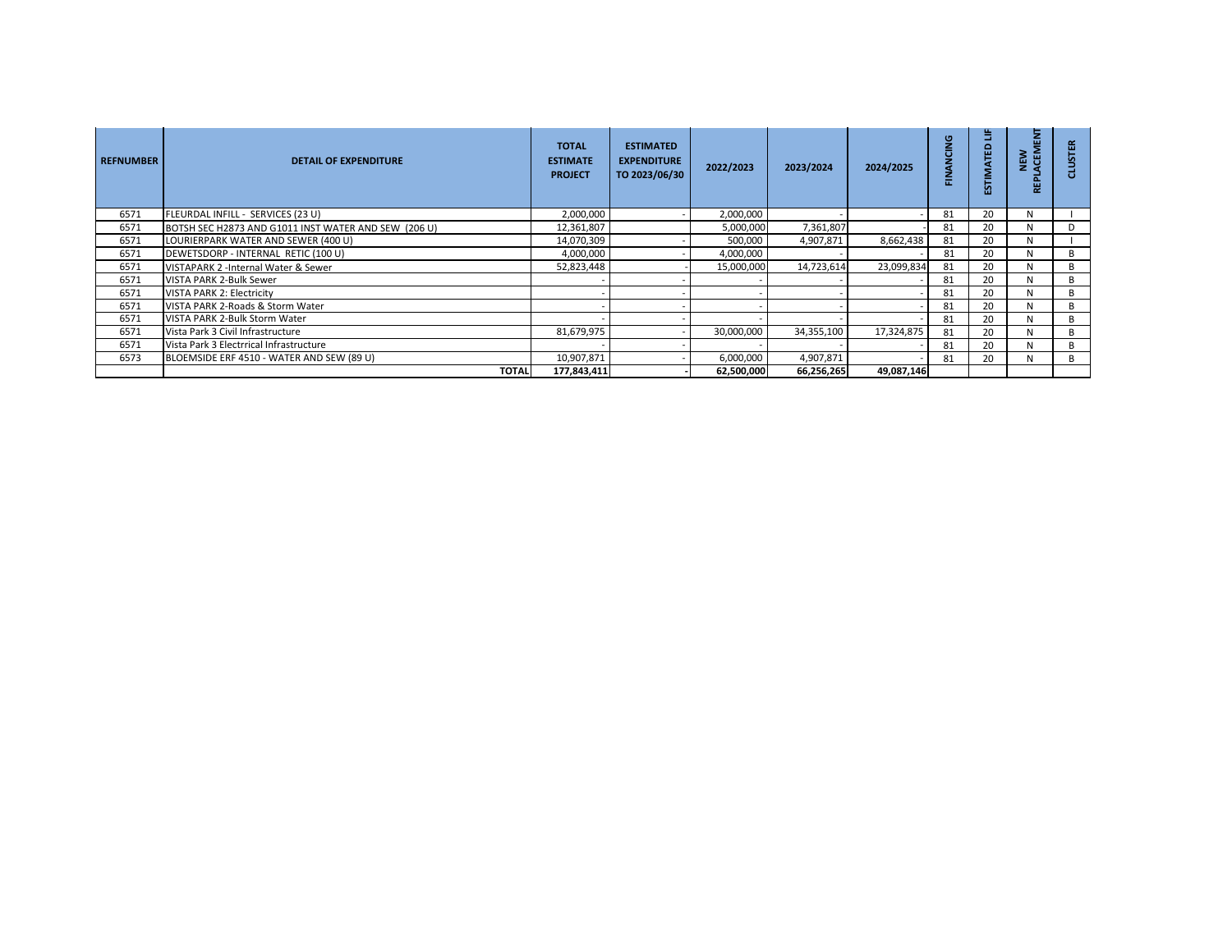| <b>REFNUMBER</b> | <b>DETAIL OF EXPENDITURE</b>                         | <b>TOTAL</b><br><b>ESTIMATE</b><br><b>PROJECT</b> | <b>ESTIMATED</b><br><b>EXPENDITURE</b><br>TO 2023/06/30 | 2022/2023  | 2023/2024  | 2024/2025  | FINANCING | ä<br>욦<br>m | 톱<br>NEW<br>ACEME<br>퓙 | <b>CLUSTER</b> |
|------------------|------------------------------------------------------|---------------------------------------------------|---------------------------------------------------------|------------|------------|------------|-----------|-------------|------------------------|----------------|
| 6571             | FLEURDAL INFILL - SERVICES (23 U)                    | 2,000,000                                         |                                                         | 2,000,000  |            |            | 81        | 20          | N                      |                |
| 6571             | BOTSH SEC H2873 AND G1011 INST WATER AND SEW (206 U) | 12,361,807                                        |                                                         | 5,000,000  | 7,361,807  |            | 81        | 20          | N                      | D              |
| 6571             | LOURIERPARK WATER AND SEWER (400 U)                  | 14,070,309                                        |                                                         | 500,000    | 4,907,871  | 8,662,438  | 81        | 20          | N                      |                |
| 6571             | DEWETSDORP - INTERNAL RETIC (100 U)                  | 4,000,000                                         |                                                         | 4,000,000  |            |            | 81        | 20          | N                      | B              |
| 6571             | VISTAPARK 2 -Internal Water & Sewer                  | 52,823,448                                        |                                                         | 15,000,000 | 14,723,614 | 23,099,834 | 81        | 20          | N                      | B              |
| 6571             | VISTA PARK 2-Bulk Sewer                              |                                                   |                                                         |            |            |            | 81        | 20          | N                      | B              |
| 6571             | <b>VISTA PARK 2: Electricity</b>                     |                                                   |                                                         |            |            |            | 81        | 20          | N                      | B              |
| 6571             | VISTA PARK 2-Roads & Storm Water                     |                                                   |                                                         |            |            |            | 81        | 20          | N                      | B              |
| 6571             | VISTA PARK 2-Bulk Storm Water                        |                                                   |                                                         |            |            |            | 81        | 20          | N                      | B              |
| 6571             | Vista Park 3 Civil Infrastructure                    | 81,679,975                                        |                                                         | 30,000,000 | 34,355,100 | 17,324,875 | 81        | 20          | N                      | B              |
| 6571             | Vista Park 3 Electrrical Infrastructure              |                                                   |                                                         |            |            |            | 81        | 20          | N                      | B              |
| 6573             | BLOEMSIDE ERF 4510 - WATER AND SEW (89 U)            | 10,907,871                                        |                                                         | 6,000,000  | 4,907,871  |            | 81        | 20          | N                      | B              |
|                  | <b>TOTAL</b>                                         | 177,843,411                                       |                                                         | 62,500,000 | 66,256,265 | 49,087,146 |           |             |                        |                |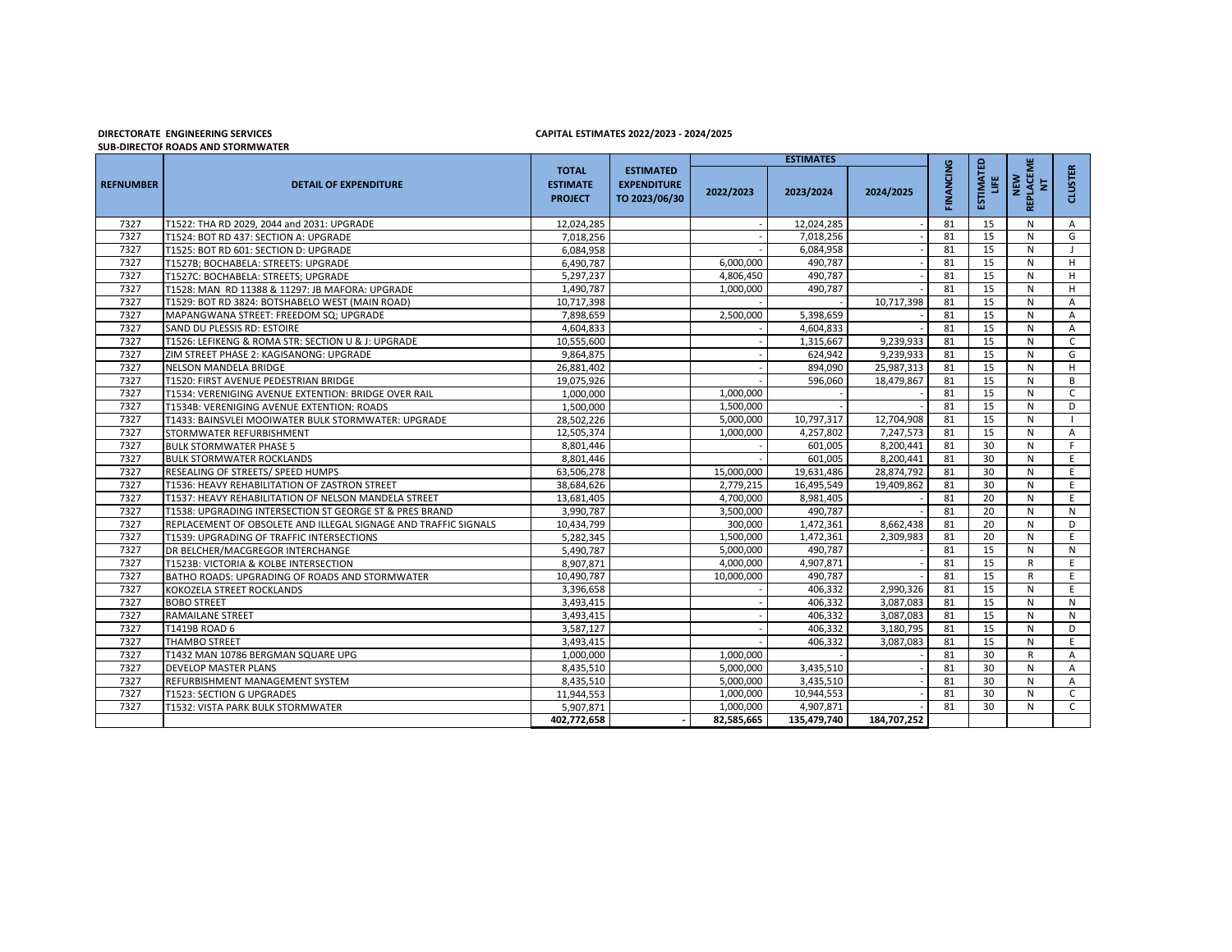# **SUB-DIRECTOF ROADS AND STORMWATER**

## **DIRECTORATE : ENGINEERING SERVICES CAPITAL ESTIMATES 2022/2023 - 2024/2025**

|                  |                                                                 |                                                   |                                                         |            | <b>ESTIMATES</b> |             |           |                               |                        |                |
|------------------|-----------------------------------------------------------------|---------------------------------------------------|---------------------------------------------------------|------------|------------------|-------------|-----------|-------------------------------|------------------------|----------------|
| <b>REFNUMBER</b> | <b>DETAIL OF EXPENDITURE</b>                                    | <b>TOTAL</b><br><b>ESTIMATE</b><br><b>PROJECT</b> | <b>ESTIMATED</b><br><b>EXPENDITURE</b><br>TO 2023/06/30 | 2022/2023  | 2023/2024        | 2024/2025   | FINANCING | <b>ESTIMATED</b><br><b>SE</b> | NEW<br>REPLACEME<br>E. | <b>CLUSTER</b> |
| 7327             | T1522: THA RD 2029, 2044 and 2031: UPGRADE                      | 12,024,285                                        |                                                         |            | 12,024,285       |             | 81        | 15                            | N                      | A              |
| 7327             | T1524: BOT RD 437: SECTION A: UPGRADE                           | 7,018,256                                         |                                                         |            | 7,018,256        |             | 81        | 15                            | $\mathsf{N}$           | G              |
| 7327             | T1525: BOT RD 601: SECTION D: UPGRADE                           | 6,084,958                                         |                                                         |            | 6,084,958        |             | 81        | 15                            | N                      |                |
| 7327             | T1527B; BOCHABELA: STREETS: UPGRADE                             | 6.490.787                                         |                                                         | 6,000,000  | 490,787          |             | 81        | 15                            | ${\sf N}$              | H              |
| 7327             | T1527C: BOCHABELA: STREETS; UPGRADE                             | 5,297,237                                         |                                                         | 4,806,450  | 490,787          |             | 81        | 15                            | $\mathsf{N}$           | H              |
| 7327             | T1528: MAN RD 11388 & 11297: JB MAFORA: UPGRADE                 | 1,490,787                                         |                                                         | 1,000,000  | 490,787          |             | 81        | 15                            | $\mathsf{N}$           | H              |
| 7327             | T1529: BOT RD 3824: BOTSHABELO WEST (MAIN ROAD)                 | 10,717,398                                        |                                                         |            |                  | 10,717,398  | 81        | 15                            | $\mathsf{N}$           | A              |
| 7327             | MAPANGWANA STREET: FREEDOM SQ; UPGRADE                          | 7,898,659                                         |                                                         | 2,500,000  | 5,398,659        |             | 81        | 15                            | N                      | $\overline{A}$ |
| 7327             | SAND DU PLESSIS RD: ESTOIRE                                     | 4,604,833                                         |                                                         |            | 4,604,833        |             | 81        | 15                            | N                      | Α              |
| 7327             | T1526: LEFIKENG & ROMA STR: SECTION U & J: UPGRADE              | 10,555,600                                        |                                                         |            | 1,315,667        | 9,239,933   | 81        | 15                            | $\mathsf{N}$           | C              |
| 7327             | ZIM STREET PHASE 2: KAGISANONG: UPGRADE                         | 9,864,875                                         |                                                         |            | 624,942          | 9,239,933   | 81        | 15                            | $\mathsf{N}$           | G              |
| 7327             | NELSON MANDELA BRIDGE                                           | 26,881,402                                        |                                                         |            | 894,090          | 25,987,313  | 81        | 15                            | $\mathsf{N}$           | H              |
| 7327             | T1520: FIRST AVENUE PEDESTRIAN BRIDGE                           | 19,075,926                                        |                                                         |            | 596,060          | 18,479,867  | 81        | 15                            | N                      | B              |
| 7327             | T1534: VERENIGING AVENUE EXTENTION: BRIDGE OVER RAIL            | 1,000,000                                         |                                                         | 1,000,000  |                  |             | 81        | 15                            | $\mathsf{N}$           | C.             |
| 7327             | T1534B: VERENIGING AVENUE EXTENTION: ROADS                      | 1,500,000                                         |                                                         | 1,500,000  |                  |             | 81        | 15                            | $\mathsf{N}$           | D              |
| 7327             | T1433: BAINSVLEI MOOIWATER BULK STORMWATER: UPGRADE             | 28,502,226                                        |                                                         | 5,000,000  | 10,797,317       | 12,704,908  | 81        | 15                            | $\mathsf{N}$           |                |
| 7327             | STORMWATER REFURBISHMENT                                        | 12,505,374                                        |                                                         | 1,000,000  | 4,257,802        | 7,247,573   | 81        | 15                            | N                      | A              |
| 7327             | <b>BULK STORMWATER PHASE 5</b>                                  | 8,801,446                                         |                                                         |            | 601,005          | 8,200,441   | 81        | 30                            | N                      | F              |
| 7327             | <b>BULK STORMWATER ROCKLANDS</b>                                | 8,801,446                                         |                                                         |            | 601,005          | 8,200,441   | 81        | 30                            | $\mathsf{N}$           | E              |
| 7327             | RESEALING OF STREETS/ SPEED HUMPS                               | 63,506,278                                        |                                                         | 15,000,000 | 19,631,486       | 28,874,792  | 81        | 30                            | $\mathsf{N}$           | E              |
| 7327             | T1536: HEAVY REHABILITATION OF ZASTRON STREET                   | 38,684,626                                        |                                                         | 2,779,215  | 16,495,549       | 19,409,862  | 81        | 30                            | N                      | E              |
| 7327             | T1537: HEAVY REHABILITATION OF NELSON MANDELA STREET            | 13,681,405                                        |                                                         | 4,700,000  | 8,981,405        |             | 81        | 20                            | N                      | E              |
| 7327             | T1538: UPGRADING INTERSECTION ST GEORGE ST & PRES BRAND         | 3,990,787                                         |                                                         | 3,500,000  | 490,787          |             | 81        | 20                            | $\mathsf{N}$           | N              |
| 7327             | REPLACEMENT OF OBSOLETE AND ILLEGAL SIGNAGE AND TRAFFIC SIGNALS | 10,434,799                                        |                                                         | 300,000    | 1,472,361        | 8,662,438   | 81        | $\overline{20}$               | $\overline{N}$         | D              |
| 7327             | T1539: UPGRADING OF TRAFFIC INTERSECTIONS                       | 5,282,345                                         |                                                         | 1,500,000  | 1,472,361        | 2,309,983   | 81        | 20                            | $\mathsf{N}$           | E              |
| 7327             | DR BELCHER/MACGREGOR INTERCHANGE                                | 5,490,787                                         |                                                         | 5,000,000  | 490,787          |             | 81        | 15                            | N                      | N              |
| 7327             | T1523B: VICTORIA & KOLBE INTERSECTION                           | 8,907,871                                         |                                                         | 4,000,000  | 4,907,871        |             | 81        | 15                            | $\mathsf{R}$           | E              |
| 7327             | BATHO ROADS: UPGRADING OF ROADS AND STORMWATER                  | 10,490,787                                        |                                                         | 10,000,000 | 490,787          |             | 81        | 15                            | $\mathsf{R}$           | E              |
| 7327             | KOKOZELA STREET ROCKLANDS                                       | 3,396,658                                         |                                                         |            | 406,332          | 2,990,326   | 81        | 15                            | $\mathsf{N}$           | E              |
| 7327             | <b>BOBO STREET</b>                                              | 3,493,415                                         |                                                         |            | 406,332          | 3,087,083   | 81        | 15                            | $\mathsf{N}$           | N              |
| 7327             | <b>RAMAILANE STREET</b>                                         | 3,493,415                                         |                                                         |            | 406,332          | 3,087,083   | 81        | 15                            | $\mathsf{N}$           | N              |
| 7327             | T1419B ROAD 6                                                   | 3,587,127                                         |                                                         |            | 406,332          | 3,180,795   | 81        | 15                            | N                      | D              |
| 7327             | <b>THAMBO STREET</b>                                            | 3,493,415                                         |                                                         |            | 406,332          | 3,087,083   | 81        | 15                            | $\mathsf{N}$           | E              |
| 7327             | T1432 MAN 10786 BERGMAN SQUARE UPG                              | 1,000,000                                         |                                                         | 1,000,000  |                  |             | 81        | 30                            | $\mathsf{R}$           | $\mathsf{A}$   |
| 7327             | <b>DEVELOP MASTER PLANS</b>                                     | 8,435,510                                         |                                                         | 5.000.000  | 3,435,510        |             | 81        | 30                            | N                      | $\overline{A}$ |
| 7327             | REFURBISHMENT MANAGEMENT SYSTEM                                 | 8,435,510                                         |                                                         | 5,000,000  | 3,435,510        |             | 81        | 30                            | N                      | A              |
| 7327             | T1523: SECTION G UPGRADES                                       | 11,944,553                                        |                                                         | 1,000,000  | 10,944,553       |             | 81        | 30                            | $\mathsf{N}$           | C              |
| 7327             | T1532: VISTA PARK BULK STORMWATER                               | 5,907,871                                         |                                                         | 1,000,000  | 4,907,871        |             | 81        | 30                            | $\mathsf{N}$           | C              |
|                  |                                                                 | 402,772,658                                       |                                                         | 82,585,665 | 135,479,740      | 184,707,252 |           |                               |                        |                |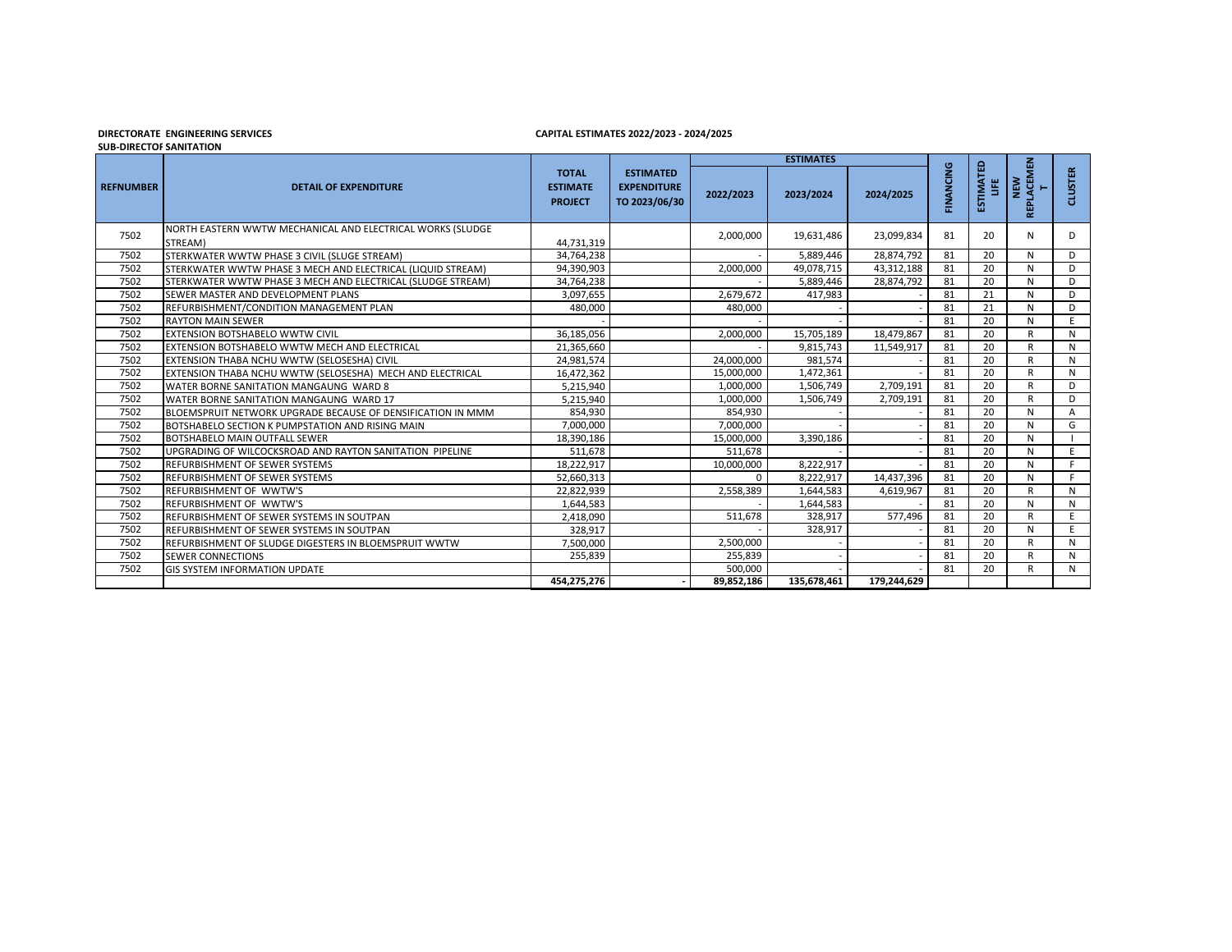### **DIRECTORATE : ENGINEERING SERVICES CAPITAL ESTIMATES 2022/2023 - 2024/2025**

|  |  | ______________________________ |  |
|--|--|--------------------------------|--|
|  |  | <b>SUB-DIRECTOF SANITATION</b> |  |

| <b>SUB-DIRECTOF SANITATION</b> |                                                                       |                                                   |                                                         |              |                  |             |           |                       |                        |                |
|--------------------------------|-----------------------------------------------------------------------|---------------------------------------------------|---------------------------------------------------------|--------------|------------------|-------------|-----------|-----------------------|------------------------|----------------|
|                                |                                                                       |                                                   |                                                         |              | <b>ESTIMATES</b> |             |           |                       |                        |                |
| <b>REFNUMBER</b>               | <b>DETAIL OF EXPENDITURE</b>                                          | <b>TOTAL</b><br><b>ESTIMATE</b><br><b>PROJECT</b> | <b>ESTIMATED</b><br><b>EXPENDITURE</b><br>TO 2023/06/30 | 2022/2023    | 2023/2024        | 2024/2025   | FINANCING | <b>ESTIMATED</b><br>š | REPLACEMEN<br>NEW<br>н | <b>CLUSTER</b> |
| 7502                           | NORTH EASTERN WWTW MECHANICAL AND ELECTRICAL WORKS (SLUDGE<br>STREAM) | 44,731,319                                        |                                                         | 2,000,000    | 19,631,486       | 23,099,834  | 81        | 20                    | N                      | D              |
| 7502                           | STERKWATER WWTW PHASE 3 CIVIL (SLUGE STREAM)                          | 34,764,238                                        |                                                         |              | 5,889,446        | 28,874,792  | 81        | 20                    | N                      | D              |
| 7502                           | <b>ISTERKWATER WWTW PHASE 3 MECH AND ELECTRICAL (LIQUID STREAM)</b>   | 94,390,903                                        |                                                         | 2,000,000    | 49,078,715       | 43,312,188  | 81        | 20                    | N                      | D              |
| 7502                           | STERKWATER WWTW PHASE 3 MECH AND ELECTRICAL (SLUDGE STREAM)           | 34,764,238                                        |                                                         |              | 5,889,446        | 28,874,792  | 81        | 20                    | N                      | D              |
| 7502                           | SEWER MASTER AND DEVELOPMENT PLANS                                    | 3,097,655                                         |                                                         | 2,679,672    | 417,983          |             | 81        | 21                    | N                      | D              |
| 7502                           | REFURBISHMENT/CONDITION MANAGEMENT PLAN                               | 480,000                                           |                                                         | 480,000      |                  |             | 81        | 21                    | N                      | D              |
| 7502                           | <b>RAYTON MAIN SEWER</b>                                              |                                                   |                                                         |              |                  |             | 81        | 20                    | N                      | E              |
| 7502                           | <b>EXTENSION BOTSHABELO WWTW CIVIL</b>                                | 36,185,056                                        |                                                         | 2,000,000    | 15,705,189       | 18,479,867  | 81        | 20                    | $\mathsf{R}$           | N              |
| 7502                           | EXTENSION BOTSHABELO WWTW MECH AND ELECTRICAL                         | 21,365,660                                        |                                                         |              | 9,815,743        | 11,549,917  | 81        | 20                    | $\mathsf{R}$           | N              |
| 7502                           | EXTENSION THABA NCHU WWTW (SELOSESHA) CIVIL                           | 24,981,574                                        |                                                         | 24,000,000   | 981,574          |             | 81        | 20                    | $\mathsf{R}$           | N              |
| 7502                           | EXTENSION THABA NCHU WWTW (SELOSESHA) MECH AND ELECTRICAL             | 16,472,362                                        |                                                         | 15,000,000   | 1,472,361        |             | 81        | 20                    | $\mathsf{R}$           | N              |
| 7502                           | WATER BORNE SANITATION MANGAUNG WARD 8                                | 5,215,940                                         |                                                         | 1.000.000    | 1,506,749        | 2.709.191   | 81        | 20                    | $\mathsf{R}$           | D              |
| 7502                           | WATER BORNE SANITATION MANGAUNG WARD 17                               | 5.215.940                                         |                                                         | 1.000.000    | 1,506,749        | 2,709,191   | 81        | 20                    | $\mathsf{R}$           | D              |
| 7502                           | BLOEMSPRUIT NETWORK UPGRADE BECAUSE OF DENSIFICATION IN MMM           | 854,930                                           |                                                         | 854.930      |                  |             | 81        | 20                    | N                      | A              |
| 7502                           | BOTSHABELO SECTION K PUMPSTATION AND RISING MAIN                      | 7,000,000                                         |                                                         | 7,000,000    |                  |             | 81        | 20                    | N                      | G              |
| 7502                           | <b>BOTSHABELO MAIN OUTFALL SEWER</b>                                  | 18.390.186                                        |                                                         | 15,000,000   | 3,390,186        |             | 81        | 20                    | N                      |                |
| 7502                           | UPGRADING OF WILCOCKSROAD AND RAYTON SANITATION PIPELINE              | 511,678                                           |                                                         | 511.678      |                  |             | 81        | 20                    | N                      | E.             |
| 7502                           | <b>REFURBISHMENT OF SEWER SYSTEMS</b>                                 | 18,222,917                                        |                                                         | 10,000,000   | 8,222,917        |             | 81        | 20                    | N                      | F.             |
| 7502                           | <b>REFURBISHMENT OF SEWER SYSTEMS</b>                                 | 52,660,313                                        |                                                         | <sup>0</sup> | 8.222.917        | 14,437,396  | 81        | 20                    | N                      | F.             |
| 7502                           | REFURBISHMENT OF WWTW'S                                               | 22,822,939                                        |                                                         | 2,558,389    | 1,644,583        | 4,619,967   | 81        | 20                    | $\mathsf{R}$           | N              |
| 7502                           | <b>REFURBISHMENT OF WWTW'S</b>                                        | 1,644,583                                         |                                                         |              | 1,644,583        |             | 81        | 20                    | N                      | N              |
| 7502                           | REFURBISHMENT OF SEWER SYSTEMS IN SOUTPAN                             | 2,418,090                                         |                                                         | 511.678      | 328.917          | 577,496     | 81        | 20                    | $\mathsf{R}$           | E              |
| 7502                           | REFURBISHMENT OF SEWER SYSTEMS IN SOUTPAN                             | 328,917                                           |                                                         |              | 328.917          |             | 81        | 20                    | N                      | E.             |
| 7502                           | REFURBISHMENT OF SLUDGE DIGESTERS IN BLOEMSPRUIT WWTW                 | 7,500,000                                         |                                                         | 2,500,000    |                  |             | 81        | 20                    | R                      | N              |
| 7502                           | <b>SEWER CONNECTIONS</b>                                              | 255,839                                           |                                                         | 255,839      |                  |             | 81        | 20                    | $\mathsf{R}$           | N              |
| 7502                           | <b>GIS SYSTEM INFORMATION UPDATE</b>                                  |                                                   |                                                         | 500.000      |                  |             | 81        | 20                    | R                      | N              |
|                                |                                                                       | 454,275,276                                       |                                                         | 89,852,186   | 135,678,461      | 179,244,629 |           |                       |                        |                |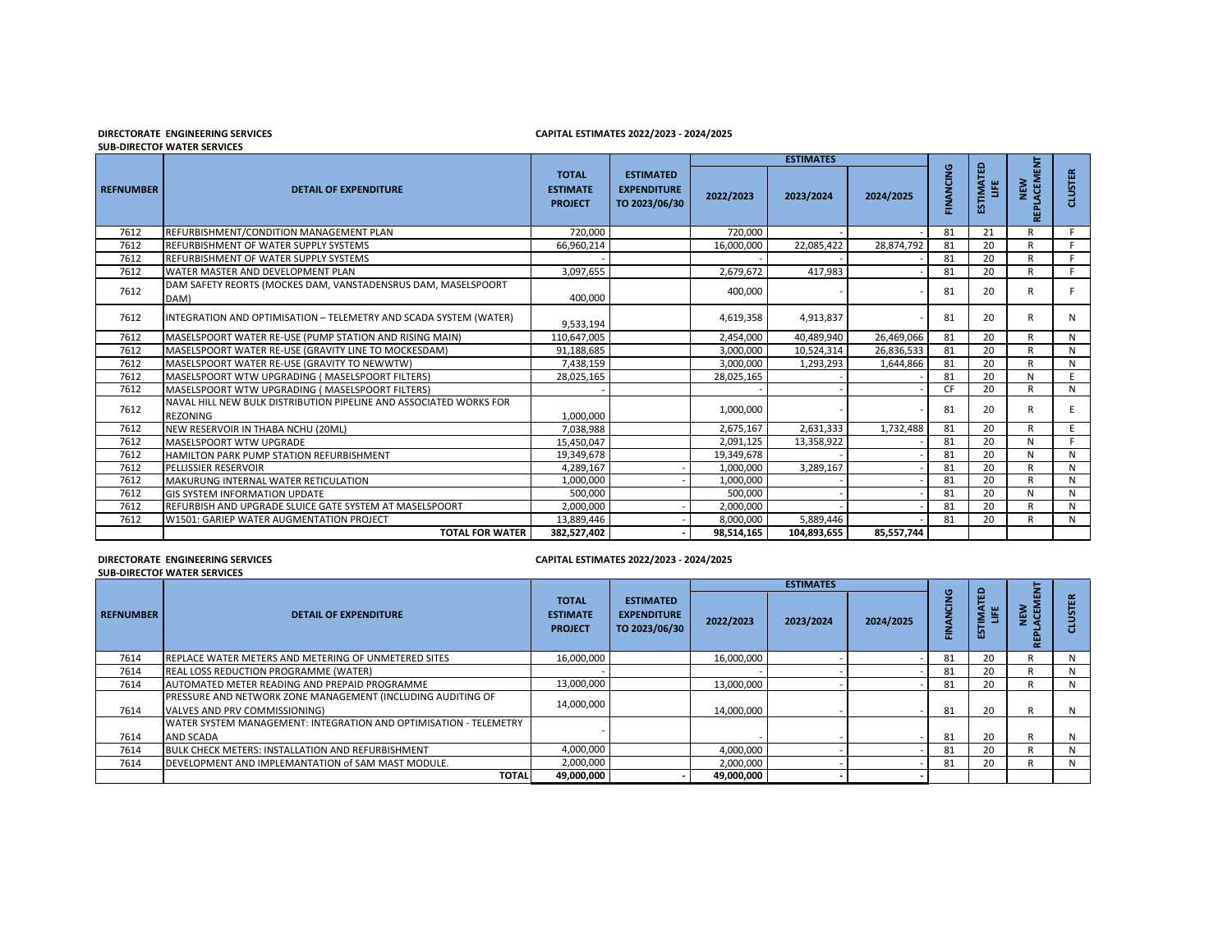# **DIRECTORATE : ENGINEERING SERVICES CAPITAL ESTIMATES 2022/2023 - 2024/2025**

| DIRECTORATE ENGINEERING SERVICE    |
|------------------------------------|
| <b>SUB-DIRECTOF WATER SERVICES</b> |

|                  | SUB-DINECTUR WATER SERVICES                                                           |                                                   |                                                         |            | <b>ESTIMATES</b> |            |           |                       |                            |                |
|------------------|---------------------------------------------------------------------------------------|---------------------------------------------------|---------------------------------------------------------|------------|------------------|------------|-----------|-----------------------|----------------------------|----------------|
| <b>REFNUMBER</b> | <b>DETAIL OF EXPENDITURE</b>                                                          | <b>TOTAL</b><br><b>ESTIMATE</b><br><b>PROJECT</b> | <b>ESTIMATED</b><br><b>EXPENDITURE</b><br>TO 2023/06/30 | 2022/2023  | 2023/2024        | 2024/2025  | FINANCING | <b>ESTIMATED</b><br>Ë | <b>NEW<br/>REPLACEMENT</b> | <b>CLUSTER</b> |
| 7612             | REFURBISHMENT/CONDITION MANAGEMENT PLAN                                               | 720,000                                           |                                                         | 720,000    |                  |            | 81        | 21                    | $\mathsf{R}$               | F.             |
| 7612             | REFURBISHMENT OF WATER SUPPLY SYSTEMS                                                 | 66,960,214                                        |                                                         | 16.000.000 | 22,085,422       | 28,874,792 | 81        | 20                    | R                          | F.             |
| 7612             | REFURBISHMENT OF WATER SUPPLY SYSTEMS                                                 |                                                   |                                                         |            |                  |            | 81        | 20                    | $\mathsf{R}$               | F.             |
| 7612             | WATER MASTER AND DEVELOPMENT PLAN                                                     | 3,097,655                                         |                                                         | 2,679,672  | 417,983          |            | 81        | 20                    | R                          | F.             |
| 7612             | DAM SAFETY REORTS (MOCKES DAM, VANSTADENSRUS DAM, MASELSPOORT<br>DAM)                 | 400,000                                           |                                                         | 400,000    |                  |            | 81        | 20                    | R                          | F.             |
| 7612             | INTEGRATION AND OPTIMISATION - TELEMETRY AND SCADA SYSTEM (WATER)                     | 9,533,194                                         |                                                         | 4,619,358  | 4,913,837        |            | 81        | 20                    | R                          | N              |
| 7612             | MASELSPOORT WATER RE-USE (PUMP STATION AND RISING MAIN)                               | 110,647,005                                       |                                                         | 2,454,000  | 40,489,940       | 26,469,066 | 81        | 20                    | $\mathsf{R}$               | N              |
| 7612             | MASELSPOORT WATER RE-USE (GRAVITY LINE TO MOCKESDAM)                                  | 91.188.685                                        |                                                         | 3,000,000  | 10,524,314       | 26,836,533 | 81        | 20                    | R                          | N              |
| 7612             | MASELSPOORT WATER RE-USE (GRAVITY TO NEWWTW)                                          | 7.438.159                                         |                                                         | 3.000.000  | 1.293.293        | 1,644,866  | 81        | 20                    | $\mathsf{R}$               | N              |
| 7612             | MASELSPOORT WTW UPGRADING (MASELSPOORT FILTERS)                                       | 28,025,165                                        |                                                         | 28,025,165 |                  |            | 81        | 20                    | N                          | E.             |
| 7612             | MASELSPOORT WTW UPGRADING (MASELSPOORT FILTERS)                                       |                                                   |                                                         |            |                  |            | <b>CF</b> | 20                    | R                          | N              |
| 7612             | NAVAL HILL NEW BULK DISTRIBUTION PIPELINE AND ASSOCIATED WORKS FOR<br><b>REZONING</b> | 1,000,000                                         |                                                         | 1,000,000  |                  |            | 81        | 20                    | R                          | E              |
| 7612             | NEW RESERVOIR IN THABA NCHU (20ML)                                                    | 7,038,988                                         |                                                         | 2,675,167  | 2,631,333        | 1,732,488  | 81        | 20                    | $\mathsf{R}$               | E              |
| 7612             | <b>MASELSPOORT WTW UPGRADE</b>                                                        | 15,450,047                                        |                                                         | 2,091,125  | 13,358,922       |            | 81        | 20                    | N                          | F.             |
| 7612             | <b>HAMILTON PARK PUMP STATION REFURBISHMENT</b>                                       | 19,349,678                                        |                                                         | 19,349,678 |                  |            | 81        | 20                    | N                          | N              |
| 7612             | PELLISSIER RESERVOIR                                                                  | 4,289,167                                         |                                                         | 1,000,000  | 3,289,167        |            | 81        | 20                    | R                          | N              |
| 7612             | MAKURUNG INTERNAL WATER RETICULATION                                                  | 1.000.000                                         |                                                         | 1.000.000  |                  |            | 81        | 20                    | R                          | N              |
| 7612             | <b>GIS SYSTEM INFORMATION UPDATE</b>                                                  | 500.000                                           |                                                         | 500,000    |                  |            | 81        | 20                    | N                          | N              |
| 7612             | REFURBISH AND UPGRADE SLUICE GATE SYSTEM AT MASELSPOORT                               | 2,000,000                                         |                                                         | 2,000,000  |                  |            | 81        | 20                    | R                          | N              |
| 7612             | W1501: GARIEP WATER AUGMENTATION PROJECT                                              | 13,889,446                                        |                                                         | 8,000,000  | 5,889,446        |            | 81        | 20                    | R                          | N              |
|                  | <b>TOTAL FOR WATER</b>                                                                | 382,527,402                                       |                                                         | 98,514,165 | 104,893,655      | 85,557,744 |           |                       |                            |                |

# **SUB-DIRECTOR WATER SERVICES**

## **DIRECTORATE : ENGINEERING SERVICES CAPITAL ESTIMATES 2022/2023 - 2024/2025**

|                  |                                                                                              |                                                   |                                                         |            | <b>ESTIMATES</b> |           |              | ≏                          | Σ                                         |                  |
|------------------|----------------------------------------------------------------------------------------------|---------------------------------------------------|---------------------------------------------------------|------------|------------------|-----------|--------------|----------------------------|-------------------------------------------|------------------|
| <b>REFNUMBER</b> | <b>DETAIL OF EXPENDITURE</b>                                                                 | <b>TOTAL</b><br><b>ESTIMATE</b><br><b>PROJECT</b> | <b>ESTIMATED</b><br><b>EXPENDITURE</b><br>TO 2023/06/30 | 2022/2023  | 2023/2024        | 2024/2025 | <b>INNI:</b> | 面<br>TIMATI<br>-111<br>က္က | 핗<br>NEW<br>ACEN<br><b>₪</b><br>$\propto$ | ≃<br>ज<br>5<br>2 |
| 7614             | <b>IREPLACE WATER METERS AND METERING OF UNMETERED SITES</b>                                 | 16,000,000                                        |                                                         | 16,000,000 |                  |           | 81           | 20                         |                                           | N                |
| 7614             | <b>REAL LOSS REDUCTION PROGRAMME (WATER)</b>                                                 |                                                   |                                                         |            |                  |           | 81           | 20                         | R                                         | N                |
| 7614             | <b>AUTOMATED METER READING AND PREPAID PROGRAMME</b>                                         | 13,000,000                                        |                                                         | 13,000,000 |                  |           | 81           | 20                         |                                           | N                |
| 7614             | PRESSURE AND NETWORK ZONE MANAGEMENT (INCLUDING AUDITING OF<br>VALVES AND PRV COMMISSIONING) | 14,000,000                                        |                                                         | 14.000.000 |                  |           | 81           | 20                         | R                                         | N                |
|                  | IWATER SYSTEM MANAGEMENT: INTEGRATION AND OPTIMISATION - TELEMETRY                           |                                                   |                                                         |            |                  |           |              |                            |                                           |                  |
| 7614             | AND SCADA                                                                                    |                                                   |                                                         |            |                  |           | 81           | 20                         | R                                         | N.               |
| 7614             | BULK CHECK METERS: INSTALLATION AND REFURBISHMENT                                            | 4,000,000                                         |                                                         | 4,000,000  |                  |           | 81           | 20                         | R                                         |                  |
| 7614             | <b>DEVELOPMENT AND IMPLEMANTATION of SAM MAST MODULE.</b>                                    | 2,000,000                                         |                                                         | 2,000,000  |                  |           | 81           | 20                         | R                                         |                  |
|                  | <b>TOTAL</b>                                                                                 | 49,000,000                                        |                                                         | 49,000,000 |                  |           |              |                            |                                           |                  |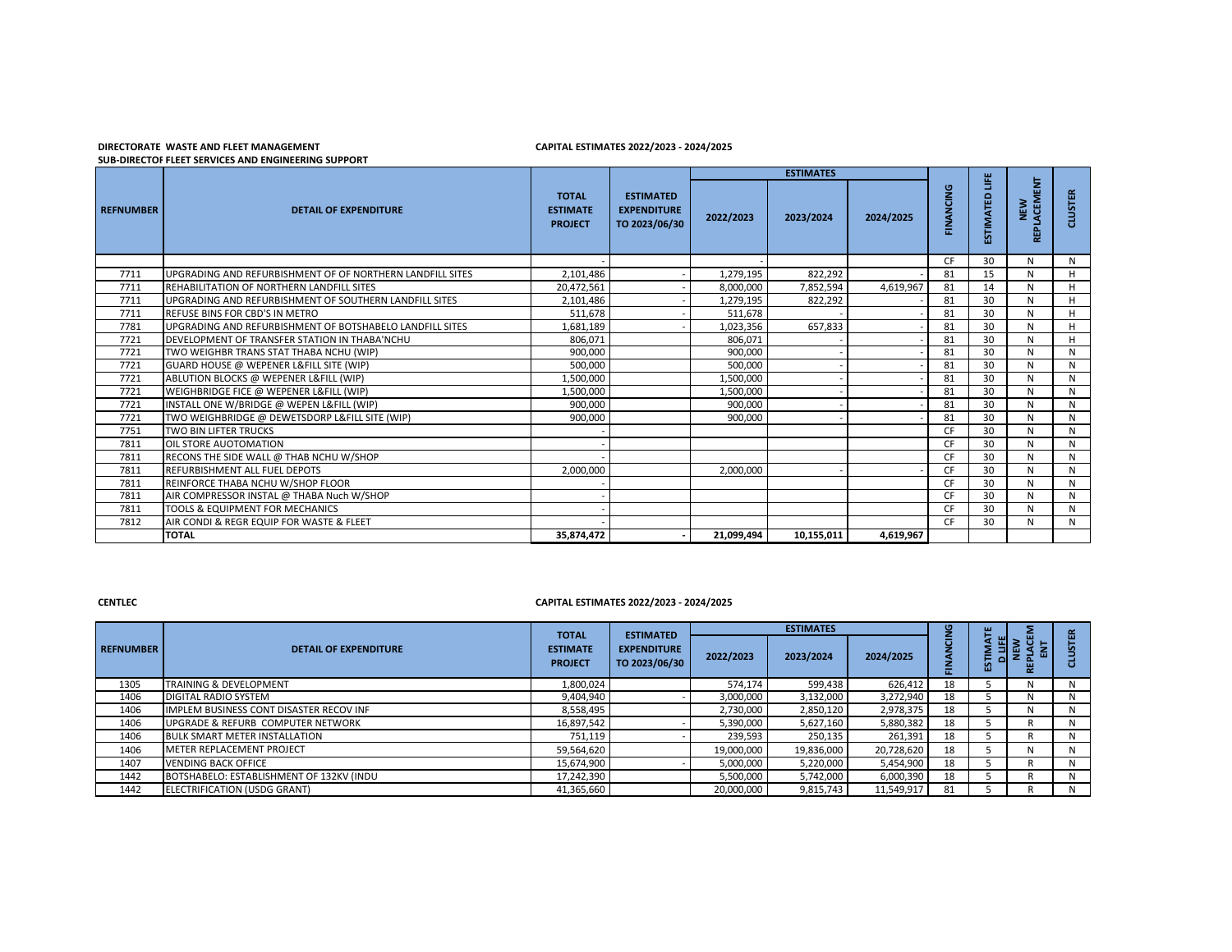### **DIRECTORATE : WASTE AND FLEET MANAGEMENT CAPITAL ESTIMATES 2022/2023 - 2024/2025**

**SUB-DIRECTOF FLEET SERVICES AND ENGINEERING SUPPORT** 

|                  |                                                           |                                                   |                                                         |            | <b>ESTIMATES</b> |            |           |                                |                               |                |
|------------------|-----------------------------------------------------------|---------------------------------------------------|---------------------------------------------------------|------------|------------------|------------|-----------|--------------------------------|-------------------------------|----------------|
| <b>REFNUMBER</b> | <b>DETAIL OF EXPENDITURE</b>                              | <b>TOTAL</b><br><b>ESTIMATE</b><br><b>PROJECT</b> | <b>ESTIMATED</b><br><b>EXPENDITURE</b><br>TO 2023/06/30 | 2022/2023  | 2023/2024        | 2024/2025  | FINANCING | ESTIMATED LIFE                 | REPLACEMENT<br><b>NEW</b>     | <b>CLUSTER</b> |
|                  |                                                           |                                                   |                                                         |            |                  |            | CF        | 30                             | ${\sf N}$                     | N              |
| 7711             | UPGRADING AND REFURBISHMENT OF OF NORTHERN LANDFILL SITES | 2,101,486                                         |                                                         | 1,279,195  | 822,292          |            | 81        | 15                             | N                             | H              |
| 7711             | REHABILITATION OF NORTHERN LANDFILL SITES                 | 20.472.561                                        |                                                         | 8.000.000  | 7.852.594        | 4.619.967  | 81        | 14                             | N                             | H              |
| 7711             | UPGRADING AND REFURBISHMENT OF SOUTHERN LANDFILL SITES    | 2,101,486                                         |                                                         | 1,279,195  | 822,292          |            | 81        | 30                             | ${\sf N}$                     | н              |
| 7711             | REFUSE BINS FOR CBD'S IN METRO                            | 511,678                                           |                                                         | 511,678    |                  |            | 81        | 30                             | N                             | H              |
| 7781             | UPGRADING AND REFURBISHMENT OF BOTSHABELO LANDFILL SITES  | 1,681,189                                         |                                                         | 1,023,356  | 657,833          |            | 81        | 30                             | $\mathsf{N}$                  | H              |
| 7721             | DEVELOPMENT OF TRANSFER STATION IN THABA'NCHU             | 806,071                                           |                                                         | 806,071    |                  |            | 81        | 30                             | N                             | H              |
| 7721             | TWO WEIGHBR TRANS STAT THABA NCHU (WIP)                   | 900,000                                           |                                                         | 900,000    |                  |            | 81        | 30                             | N                             | N              |
| 7721             | GUARD HOUSE @ WEPENER L&FILL SITE (WIP)                   | 500,000                                           |                                                         | 500,000    |                  |            | 81        | 30                             | $\mathsf{N}$                  | N              |
| 7721             | ABLUTION BLOCKS @ WEPENER L&FILL (WIP)                    | 1,500,000                                         |                                                         | 1,500,000  |                  |            | 81        | 30                             | N                             | N              |
| 7721             | WEIGHBRIDGE FICE @ WEPENER L&FILL (WIP)                   | 1,500,000                                         |                                                         | 1,500,000  |                  |            | 81        | 30                             | ${\sf N}$                     | N              |
| 7721             | INSTALL ONE W/BRIDGE @ WEPEN L&FILL (WIP)                 | 900,000                                           |                                                         | 900,000    |                  |            | 81        | 30                             | N                             | N              |
| 7721             | TWO WEIGHBRIDGE @ DEWETSDORP L&FILL SITE (WIP)            | 900,000                                           |                                                         | 900,000    |                  |            | 81        | 30                             | ${\sf N}$                     | N              |
| 7751             | TWO BIN LIFTER TRUCKS                                     |                                                   |                                                         |            |                  |            | CF        | 30                             | N                             | N              |
| 7811             | OIL STORE AUOTOMATION                                     |                                                   |                                                         |            |                  |            | CF        | 30                             | $\mathsf{N}$                  | N              |
| 7811             | RECONS THE SIDE WALL @ THAB NCHU W/SHOP                   |                                                   |                                                         |            |                  |            | CF        | 30                             | $\mathsf{N}$                  | N              |
| 7811             | REFURBISHMENT ALL FUEL DEPOTS                             | 2,000,000                                         |                                                         | 2,000,000  |                  |            | CF        | 30                             | N                             | N              |
| 7811             | REINFORCE THABA NCHU W/SHOP FLOOR                         |                                                   |                                                         |            |                  |            | CF        | 30                             | ${\sf N}$                     | N              |
| 7811             | AIR COMPRESSOR INSTAL @ THABA Nuch W/SHOP                 |                                                   |                                                         |            |                  |            | CF        | 30                             | N                             | N              |
| 7811             | TOOLS & EQUIPMENT FOR MECHANICS                           |                                                   |                                                         |            |                  |            | <b>CF</b> | 30                             | ${\sf N}$                     | N              |
| 7812             | AIR CONDI & REGR EQUIP FOR WASTE & FLEET                  |                                                   |                                                         |            |                  |            | CF        | 30                             | ${\sf N}$                     | N              |
|                  | <b>TOTAL</b>                                              | 35,874,472                                        |                                                         | 21,099,494 | 10,155,011       | 4,619,967  |           |                                |                               |                |
| <b>CENTLEC</b>   |                                                           |                                                   | CAPITAL ESTIMATES 2022/2023 - 2024/2025                 |            |                  |            |           |                                |                               |                |
|                  |                                                           | <b>TOTAL</b>                                      | <b>ESTIMATED</b>                                        |            | <b>ESTIMATES</b> |            |           |                                |                               |                |
| <b>REFNUMBER</b> | <b>DETAIL OF EXPENDITURE</b>                              | <b>ESTIMATE</b><br><b>PROJECT</b>                 | <b>EXPENDITURE</b><br>TO 2023/06/30                     | 2022/2023  | 2023/2024        | 2024/2025  | FINANCING | <b>ESTIMATE</b><br><b>DUFE</b> | <b>REPLACEM</b><br>NEW<br>ENT | <b>CLUSTER</b> |
| 1305             | TRAINING & DEVELOPMENT                                    | 1,800,024                                         |                                                         | 574,174    | 599,438          | 626,412    | 18        | 5                              | ${\sf N}$                     | N              |
| 1406             | DIGITAL RADIO SYSTEM                                      | 9,404,940                                         |                                                         | 3,000,000  | 3,132,000        | 3,272,940  | 18        | 5                              | N                             | N              |
| 1406             | IMPLEM BUSINESS CONT DISASTER RECOV INF                   | 8,558,495                                         |                                                         | 2,730,000  | 2,850,120        | 2,978,375  | 18        | 5                              | ${\sf N}$                     | N              |
| 1406             | UPGRADE & REFURB COMPUTER NETWORK                         | 16,897,542                                        |                                                         | 5,390,000  | 5,627,160        | 5,880,382  | 18        | 5                              | R                             | N              |
| 1406             | <b>BULK SMART METER INSTALLATION</b>                      | 751,119                                           |                                                         | 239,593    | 250,135          | 261,391    | 18        | 5                              | $\mathsf{R}$                  | N              |
| 1406             | METER REPLACEMENT PROJECT                                 | 59,564,620                                        |                                                         | 19,000,000 | 19,836,000       | 20,728,620 | 18        | 5                              | ${\sf N}$                     | ${\sf N}$      |
| 1407             | <b>VENDING BACK OFFICE</b>                                | 15,674,900                                        |                                                         | 5,000,000  | 5,220,000        | 5,454,900  | 18        | 5                              | R                             | N              |
| 1442             | BOTSHABELO: ESTABLISHMENT OF 132KV (INDU                  | 17,242,390                                        |                                                         | 5.500.000  | 5,742,000        | 6,000,390  | 18        | 5                              | $\mathsf{R}$                  | N              |
| 1442             | ELECTRIFICATION (USDG GRANT)                              | 41,365,660                                        |                                                         | 20,000,000 | 9,815,743        | 11,549,917 | 81        | 5                              | $\mathsf{R}$                  | N              |

### **CENTLEC CAPITAL ESTIMATES 2022/2023 - 2024/2025**

|                  |                                          | <b>TOTAL</b>                      | <b>ESTIMATED</b>                    |            | <b>ESTIMATES</b> |            | ಀ            |   |        |
|------------------|------------------------------------------|-----------------------------------|-------------------------------------|------------|------------------|------------|--------------|---|--------|
| <b>REFNUMBER</b> | <b>DETAIL OF EXPENDITURE</b>             | <b>ESTIMATE</b><br><b>PROJECT</b> | <b>EXPENDITURE</b><br>TO 2023/06/30 | 2022/2023  | 2023/2024        | 2024/2025  | $\mathbf{u}$ | 흢 | 臣<br>ō |
| 1305             | <b>TRAINING &amp; DEVELOPMENT</b>        | 1,800,024                         |                                     | 574.174    | 599,438          | 626,412    | 18           | Ν |        |
| 1406             | DIGITAL RADIO SYSTEM                     | 9,404,940                         |                                     | 3,000,000  | 3,132,000        | 3,272,940  | 18           | N |        |
| 1406             | IMPLEM BUSINESS CONT DISASTER RECOV INF  | 8,558,495                         |                                     | 2,730,000  | 2,850,120        | 2,978,375  | 18           | N |        |
| 1406             | UPGRADE & REFURB COMPUTER NETWORK        | 16,897,542                        |                                     | 5,390,000  | 5,627,160        | 5,880,382  | 18           |   |        |
| 1406             | <b>BULK SMART METER INSTALLATION</b>     | 751,119                           |                                     | 239,593    | 250,135          | 261,391    | 18           | R |        |
| 1406             | <b>METER REPLACEMENT PROJECT</b>         | 59,564,620                        |                                     | 19,000,000 | 19,836,000       | 20,728,620 | 18           | N |        |
| 1407             | <b>VENDING BACK OFFICE</b>               | 15,674,900                        |                                     | 5,000,000  | 5,220,000        | 5,454,900  | 18           | R |        |
| 1442             | BOTSHABELO: ESTABLISHMENT OF 132KV (INDU | 17,242,390                        |                                     | 5,500,000  | 5,742,000        | 6,000,390  | 18           |   |        |
| 1442             | ELECTRIFICATION (USDG GRANT)             | 41,365,660                        |                                     | 20.000.000 | 9,815,743        | 11,549,917 | 81           |   |        |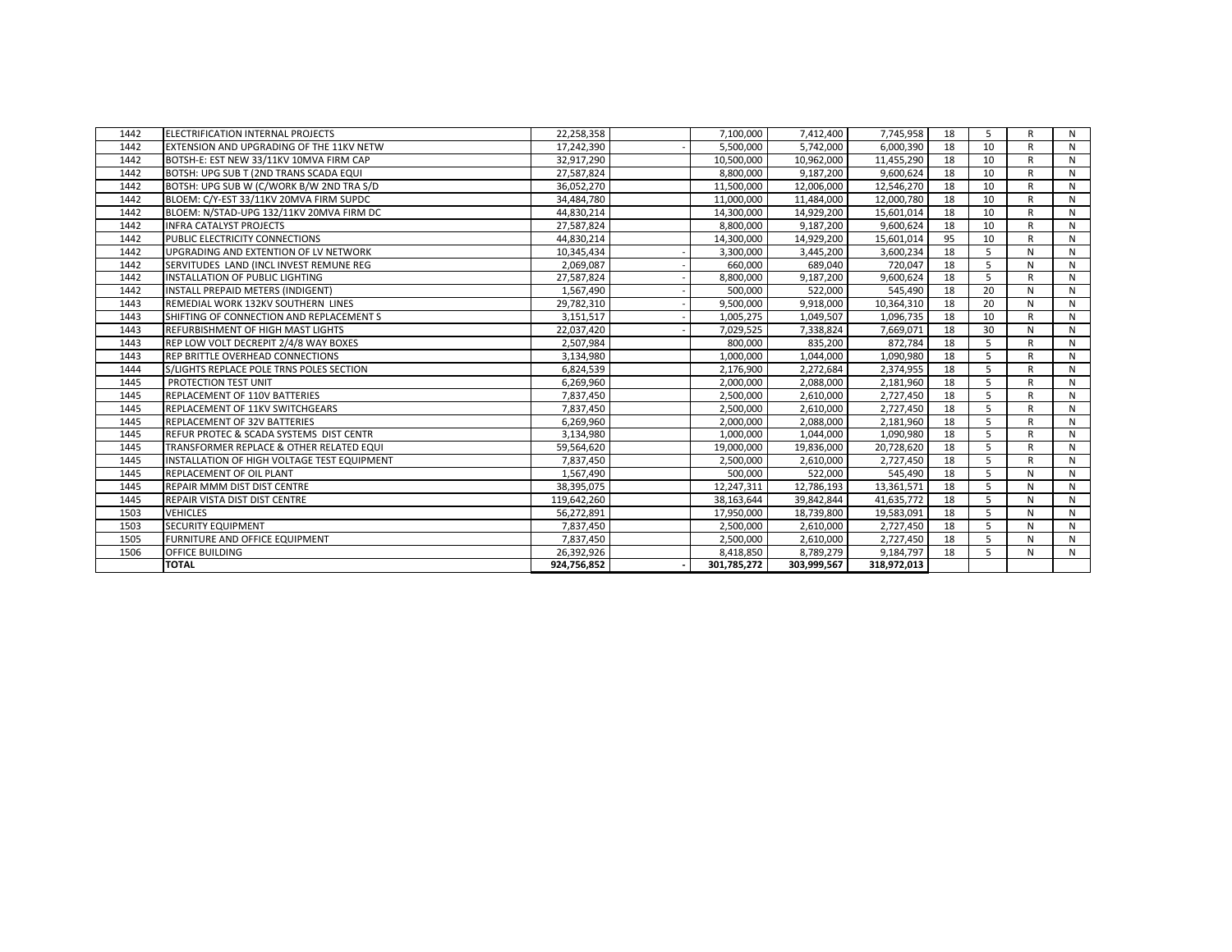| 1442 | ELECTRIFICATION INTERNAL PROJECTS           | 22,258,358  | 7.100.000   | 7,412,400   | 7.745.958   | 18 | -5 | R            | N |
|------|---------------------------------------------|-------------|-------------|-------------|-------------|----|----|--------------|---|
| 1442 | EXTENSION AND UPGRADING OF THE 11KV NETW    | 17,242,390  | 5,500,000   | 5,742,000   | 6,000,390   | 18 | 10 | R            | N |
| 1442 | BOTSH-E: EST NEW 33/11KV 10MVA FIRM CAP     | 32,917,290  | 10,500,000  | 10,962,000  | 11,455,290  | 18 | 10 | R            | N |
| 1442 | BOTSH: UPG SUB T (2ND TRANS SCADA EQUI      | 27,587,824  | 8,800,000   | 9,187,200   | 9,600,624   | 18 | 10 | R            | N |
| 1442 | BOTSH: UPG SUB W (C/WORK B/W 2ND TRA S/D    | 36,052,270  | 11,500,000  | 12,006,000  | 12,546,270  | 18 | 10 | $\mathsf{R}$ | N |
| 1442 | BLOEM: C/Y-EST 33/11KV 20MVA FIRM SUPDC     | 34,484,780  | 11.000.000  | 11,484,000  | 12,000,780  | 18 | 10 | R            | N |
| 1442 | BLOEM: N/STAD-UPG 132/11KV 20MVA FIRM DC    | 44.830.214  | 14.300.000  | 14,929,200  | 15.601.014  | 18 | 10 | $\mathsf{R}$ | N |
| 1442 | <b>INFRA CATALYST PROJECTS</b>              | 27,587,824  | 8,800,000   | 9,187,200   | 9,600,624   | 18 | 10 | R            | N |
| 1442 | <b>PUBLIC ELECTRICITY CONNECTIONS</b>       | 44,830,214  | 14,300,000  | 14,929,200  | 15,601,014  | 95 | 10 | R            | N |
| 1442 | UPGRADING AND EXTENTION OF LV NETWORK       | 10,345,434  | 3,300,000   | 3,445,200   | 3,600,234   | 18 | 5  | $\mathsf{N}$ | N |
| 1442 | SERVITUDES LAND (INCL INVEST REMUNE REG     | 2,069,087   | 660,000     | 689,040     | 720,047     | 18 | 5  | $\mathsf{N}$ | N |
| 1442 | <b>INSTALLATION OF PUBLIC LIGHTING</b>      | 27.587.824  | 8.800.000   | 9.187.200   | 9.600.624   | 18 | 5  | R            | N |
| 1442 | INSTALL PREPAID METERS (INDIGENT)           | 1,567,490   | 500,000     | 522,000     | 545,490     | 18 | 20 | N            | N |
| 1443 | <b>REMEDIAL WORK 132KV SOUTHERN LINES</b>   | 29,782,310  | 9,500,000   | 9,918,000   | 10,364,310  | 18 | 20 | N            | N |
| 1443 | SHIFTING OF CONNECTION AND REPLACEMENT S    | 3,151,517   | 1,005,275   | 1,049,507   | 1,096,735   | 18 | 10 | R            | N |
| 1443 | <b>REFURBISHMENT OF HIGH MAST LIGHTS</b>    | 22,037,420  | 7,029,525   | 7,338,824   | 7,669,071   | 18 | 30 | N            | N |
| 1443 | REP LOW VOLT DECREPIT 2/4/8 WAY BOXES       | 2,507,984   | 800,000     | 835,200     | 872,784     | 18 | 5  | R            | N |
| 1443 | <b>REP BRITTLE OVERHEAD CONNECTIONS</b>     | 3,134,980   | 1.000.000   | 1.044.000   | 1.090.980   | 18 | 5  | $\mathsf{R}$ | N |
| 1444 | S/LIGHTS REPLACE POLE TRNS POLES SECTION    | 6,824,539   | 2,176,900   | 2,272,684   | 2,374,955   | 18 | 5  | R            | N |
| 1445 | PROTECTION TEST UNIT                        | 6.269.960   | 2,000,000   | 2,088,000   | 2,181,960   | 18 | 5  | $\mathsf{R}$ | N |
| 1445 | <b>REPLACEMENT OF 110V BATTERIES</b>        | 7,837,450   | 2,500,000   | 2,610,000   | 2,727,450   | 18 | 5  | R            | N |
| 1445 | <b>REPLACEMENT OF 11KV SWITCHGEARS</b>      | 7,837,450   | 2,500,000   | 2,610,000   | 2,727,450   | 18 | 5  | $\mathsf{R}$ | N |
| 1445 | <b>REPLACEMENT OF 32V BATTERIES</b>         | 6.269.960   | 2.000.000   | 2.088.000   | 2.181.960   | 18 | 5  | $\mathsf{R}$ | N |
| 1445 | REFUR PROTEC & SCADA SYSTEMS DIST CENTR     | 3,134,980   | 1,000,000   | 1,044,000   | 1,090,980   | 18 | 5  | $\mathsf{R}$ | N |
| 1445 | TRANSFORMER REPLACE & OTHER RELATED EQUI    | 59,564,620  | 19,000,000  | 19,836,000  | 20,728,620  | 18 | 5  | R            | N |
| 1445 | INSTALLATION OF HIGH VOLTAGE TEST EQUIPMENT | 7.837.450   | 2.500.000   | 2,610,000   | 2,727,450   | 18 | 5  | R            | N |
| 1445 | <b>REPLACEMENT OF OIL PLANT</b>             | 1,567,490   | 500,000     | 522,000     | 545,490     | 18 | 5  | N            | N |
| 1445 | <b>REPAIR MMM DIST DIST CENTRE</b>          | 38,395,075  | 12,247,311  | 12,786,193  | 13,361,571  | 18 | 5  | $\mathsf{N}$ | N |
| 1445 | <b>REPAIR VISTA DIST DIST CENTRE</b>        | 119,642,260 | 38,163,644  | 39,842,844  | 41,635,772  | 18 | 5  | N            | N |
| 1503 | <b>VEHICLES</b>                             | 56.272.891  | 17,950,000  | 18,739,800  | 19,583,091  | 18 | 5  | $\mathsf{N}$ | N |
| 1503 | <b>SECURITY EQUIPMENT</b>                   | 7,837,450   | 2,500,000   | 2,610,000   | 2,727,450   | 18 | 5  | N            | N |
| 1505 | <b>FURNITURE AND OFFICE EQUIPMENT</b>       | 7,837,450   | 2,500,000   | 2,610,000   | 2,727,450   | 18 | 5  | N            | N |
| 1506 | OFFICE BUILDING                             | 26,392,926  | 8,418,850   | 8,789,279   | 9,184,797   | 18 | 5  | N            | N |
|      | <b>TOTAL</b>                                | 924,756,852 | 301,785,272 | 303,999,567 | 318,972,013 |    |    |              |   |
|      |                                             |             |             |             |             |    |    |              |   |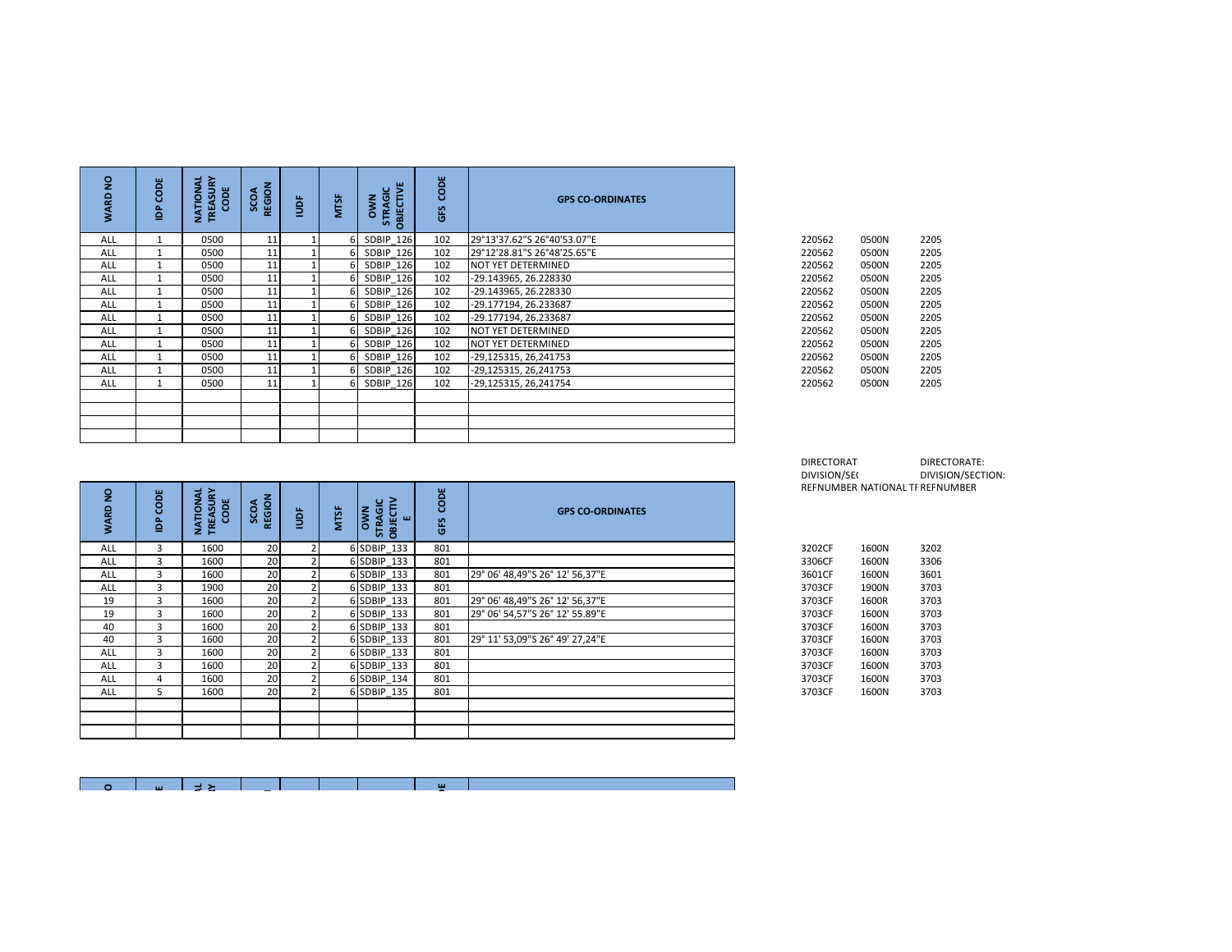| WARD NO | CODE<br>å      | <b>NATIONAL<br/>TREASURY<br/>CODE</b> | <b>REGION</b><br><b>SCOA</b> | $\frac{1}{2}$  | <b>MTSF</b> | <b>OBJECTIVE</b><br><b>STRAGIC</b><br><b>OWN</b> | CODE<br>GFS | <b>GPS CO-ORDINATES</b>         |                                   |                            |                      |
|---------|----------------|---------------------------------------|------------------------------|----------------|-------------|--------------------------------------------------|-------------|---------------------------------|-----------------------------------|----------------------------|----------------------|
| ALL     | 1              | 0500                                  | 11                           | 1              | 6           | <b>SDBIP 126</b>                                 | 102         | 29°13'37.62"S 26°40'53.07"E     | 220562                            | 0500N                      | 2205                 |
| ALL     | $\mathbf{1}$   | 0500                                  | 11                           | $\mathbf{1}$   |             | SDBIP 126                                        | 102         | 29°12'28.81"S 26°48'25.65"E     | 220562                            | 0500N                      | 2205                 |
| ALL     | $\mathbf{1}$   | 0500                                  | 11                           | $\mathbf{1}$   | 6           | <b>SDBIP 126</b>                                 | 102         | NOT YET DETERMINED              | 220562                            | 0500N                      | 2205                 |
| ALL     | $\mathbf{1}$   | 0500                                  | 11                           | $\mathbf{1}$   |             | <b>SDBIP 126</b>                                 | 102         | -29.143965, 26.228330           | 220562                            | 0500N                      | 2205                 |
| ALL     | 1              | 0500                                  | 11                           | 1              | 6           | SDBIP 126                                        | 102         | -29.143965, 26.228330           | 220562                            | 0500N                      | 2205                 |
| ALL     | $\mathbf{1}$   | 0500                                  | 11                           | $\mathbf{1}$   | 6           | SDBIP 126                                        | 102         | -29.177194, 26.233687           | 220562                            | 0500N                      | 2205                 |
| ALL     | $\mathbf{1}$   | 0500                                  | $\overline{11}$              | $\mathbf{1}$   | 6           | <b>SDBIP 126</b>                                 | 102         | -29.177194, 26.233687           | 220562                            | 0500N                      | 2205                 |
| ALL     | $\mathbf{1}$   | 0500                                  | 11                           | $\mathbf{1}$   | 6           | <b>SDBIP 126</b>                                 | 102         | NOT YET DETERMINED              | 220562                            | 0500N                      | 2205                 |
| ALL     | $\mathbf{1}$   | 0500                                  | 11                           | $\mathbf{1}$   | 6           | <b>SDBIP 126</b>                                 | 102         | NOT YET DETERMINED              | 220562                            | 0500N                      | 2205                 |
| ALL     | 1              | 0500                                  | 11                           | $\mathbf{1}$   | 6           | <b>SDBIP 126</b>                                 | 102         | -29,125315, 26,241753           | 220562                            | 0500N                      | 2205                 |
| ALL     | 1              | 0500                                  | 11                           | $\mathbf{1}$   |             | <b>SDBIP 126</b>                                 | 102         | -29,125315, 26,241753           | 220562                            | 0500N                      | 2205                 |
| ALL     | 1              | 0500                                  | 11                           | $\mathbf{1}$   | 6           | <b>SDBIP 126</b>                                 | 102         | -29,125315, 26,241754           | 220562                            | 0500N                      | 2205                 |
|         |                |                                       |                              |                |             |                                                  |             |                                 |                                   |                            |                      |
|         |                |                                       |                              |                |             |                                                  |             |                                 |                                   |                            |                      |
|         |                |                                       |                              |                |             |                                                  |             |                                 |                                   |                            |                      |
|         |                |                                       |                              |                |             |                                                  |             |                                 |                                   |                            |                      |
|         |                |                                       |                              |                |             |                                                  |             |                                 | <b>DIRECTORAT</b><br>DIVISION/SEC |                            | <b>DIRE</b><br>DIVIS |
| WARD NO | CODE<br>å      | <b>NATIONAL</b><br>TREASURY<br>CODE   | <b>REGION</b><br>SCOA        | $\frac{1}{2}$  | <b>MTSF</b> | OBJECTIV<br><b>STRAGIC</b><br>OWN<br>ш           | CODE<br>GFS | <b>GPS CO-ORDINATES</b>         |                                   | REFNUMBER NATIONAL TF REFN |                      |
| ALL     | 3              | 1600                                  | 20                           | $\overline{2}$ |             | 6 SDBIP 133                                      | 801         |                                 | 3202CF                            | 1600N                      | 3202                 |
| ALL     | 3              | 1600                                  | 20                           | $\overline{2}$ |             | 6 SDBIP 133                                      | 801         |                                 | 3306CF                            | 1600N                      | 3306                 |
| ALL     | 3              | 1600                                  | 20                           | $\overline{2}$ |             | 6 SDBIP 133                                      | 801         | 29° 06' 48,49"S 26° 12' 56,37"E | 3601CF                            | 1600N                      | 3601                 |
| ALL     | 3              | 1900                                  | 20                           | $\overline{2}$ |             | 6 SDBIP 133                                      | 801         |                                 | 3703CF                            | 1900N                      |                      |
| 19      | 3              | 1600                                  |                              |                |             |                                                  |             |                                 |                                   |                            | 3703                 |
| 19      | 3              |                                       | 20                           | $\overline{2}$ |             | 6 SDBIP 133                                      | 801         | 29° 06' 48,49"S 26° 12' 56,37"E | 3703CF                            | 1600R                      | 3703                 |
| 40      |                | 1600                                  | 20                           | $\overline{2}$ |             | 6 SDBIP 133                                      | 801         | 29° 06' 54.57"S 26° 12' 55.89"E | 3703CF                            | 1600N                      | 3703                 |
|         | $\overline{3}$ | 1600                                  | 20                           | $\overline{2}$ |             | 6 SDBIP 133                                      | 801         |                                 | 3703CF                            | 1600N                      | 3703                 |
| 40      | 3              | 1600                                  | 20                           | $\overline{2}$ |             | 6 SDBIP 133                                      | 801         | 29° 11' 53,09"S 26° 49' 27,24"E | 3703CF                            | 1600N                      | 3703                 |
| ALL     | 3              | 1600                                  | 20                           | $\overline{2}$ |             | 6 SDBIP 133                                      | 801         |                                 | 3703CF                            | 1600N                      | 3703                 |
| ALL     | 3              | 1600                                  | 20                           | $\overline{2}$ |             | 6 SDBIP 133                                      | 801         |                                 | 3703CF                            | 1600N                      | 3703                 |
| ALL     | $\overline{4}$ | 1600                                  | 20<br>20                     | $\overline{2}$ |             | 6 SDBIP 134<br>6 SDBIP 135                       | 801         |                                 | 3703CF                            | 1600N                      | 3703                 |

| 220562 | 0500N | 2205 |
|--------|-------|------|
| 220562 | 0500N | 2205 |
| 220562 | 0500N | 2205 |
| 220562 | 0500N | 2205 |
| 220562 | 0500N | 2205 |
| 220562 | 0500N | 2205 |
| 220562 | 0500N | 2205 |
| 220562 | 0500N | 2205 |
| 220562 | 0500N | 2205 |
| 220562 | 0500N | 2205 |
| 220562 | 0500N | 2205 |
| 220562 | 0500N | 2205 |
|        |       |      |

DIRECTORAT DIRECTORATE: DIVISION/SECTION: DIVISION/SECTION: REFNUMBERFINANCING NATIONAL TREASURY CODENEW REPLACEMENT REFNUMBER

| 3202CF | 1600N | 3202 |
|--------|-------|------|
| 3306CF | 1600N | 3306 |
| 3601CF | 1600N | 3601 |
| 3703CF | 1900N | 3703 |
| 3703CF | 1600R | 3703 |
| 3703CF | 1600N | 3703 |
| 3703CF | 1600N | 3703 |
| 3703CF | 1600N | 3703 |
| 3703CF | 1600N | 3703 |
| 3703CF | 1600N | 3703 |
| 3703CF | 1600N | 3703 |
| 3703CF | 1600N | 3703 |
|        |       |      |

| g<br><b>WARD</b> | ODE<br>ō<br>₫ | <b>NATIONAL<br/>TREASURY</b><br>ODE<br>ō | SCOA<br>REGION | ğ | <b>MTSF</b> | ECTIV<br><b>STRAGIC</b><br>OWN<br>$\mathbf{u}$<br>$\overline{8}$ | CODE<br>GFS | <b>GPS CO-ORDINATES</b>         |        | <b>REFINUIVIBEN INATIONAL IT NEFIN</b> |      |
|------------------|---------------|------------------------------------------|----------------|---|-------------|------------------------------------------------------------------|-------------|---------------------------------|--------|----------------------------------------|------|
| ALL              | 3             | 1600                                     | 20             |   |             | 6 SDBIP 133                                                      | 801         |                                 | 3202CF | 1600N                                  | 3202 |
| ALL              | 3             | 1600                                     | <b>20</b>      |   |             | $6$ SDBIP 133                                                    | 801         |                                 | 3306CF | 1600N                                  | 3306 |
| ALL              | 3             | 1600                                     | 20             |   |             | $6$ SDBIP 133                                                    | 801         | 29° 06' 48,49"S 26° 12' 56,37"E | 3601CF | 1600N                                  | 3601 |
| ALL              | 3             | 1900                                     | 20             |   |             | $6$ SDBIP 133                                                    | 801         |                                 | 3703CF | 1900N                                  | 3703 |
| 19               | 3             | 1600                                     | <b>20</b>      |   |             | 6 SDBIP 133                                                      | 801         | 29° 06' 48,49"S 26° 12' 56,37"E | 3703CF | 1600R                                  | 3703 |
| 19               | 3             | 1600                                     | 20             |   |             | 6 SDBIP 133                                                      | 801         | 29° 06' 54,57"S 26° 12' 55.89"E | 3703CF | 1600N                                  | 3703 |
| 40               | 3             | 1600                                     | 20             |   |             | 6 SDBIP 133                                                      | 801         |                                 | 3703CF | 1600N                                  | 3703 |
| 40               | 3             | 1600                                     | 20             |   |             | $6$ SDBIP 133                                                    | 801         | 29° 11' 53,09"S 26° 49' 27,24"E | 3703CF | 1600N                                  | 3703 |
| ALL              | 3             | 1600                                     | 20             |   |             | 6 SDBIP 133                                                      | 801         |                                 | 3703CF | 1600N                                  | 3703 |
| ALL              | 3             | 1600                                     | 20             |   |             | 6 SDBIP 133                                                      | 801         |                                 | 3703CF | 1600N                                  | 3703 |
| ALL              | 4             | 1600                                     | 20             |   |             | 6 SDBIP 134                                                      | 801         |                                 | 3703CF | 1600N                                  | 3703 |
| <b>ALL</b>       | 5             | 1600                                     | 20             |   |             | $6$ SDBIP 135                                                    | 801         |                                 | 3703CF | 1600N                                  | 3703 |
|                  |               |                                          |                |   |             |                                                                  |             |                                 |        |                                        |      |
|                  |               |                                          |                |   |             |                                                                  |             |                                 |        |                                        |      |
|                  |               |                                          |                |   |             |                                                                  |             |                                 |        |                                        |      |

|  | اللياح والبيان وا |  |  | <b>W</b> |
|--|-------------------|--|--|----------|
|  |                   |  |  |          |
|  |                   |  |  |          |
|  |                   |  |  |          |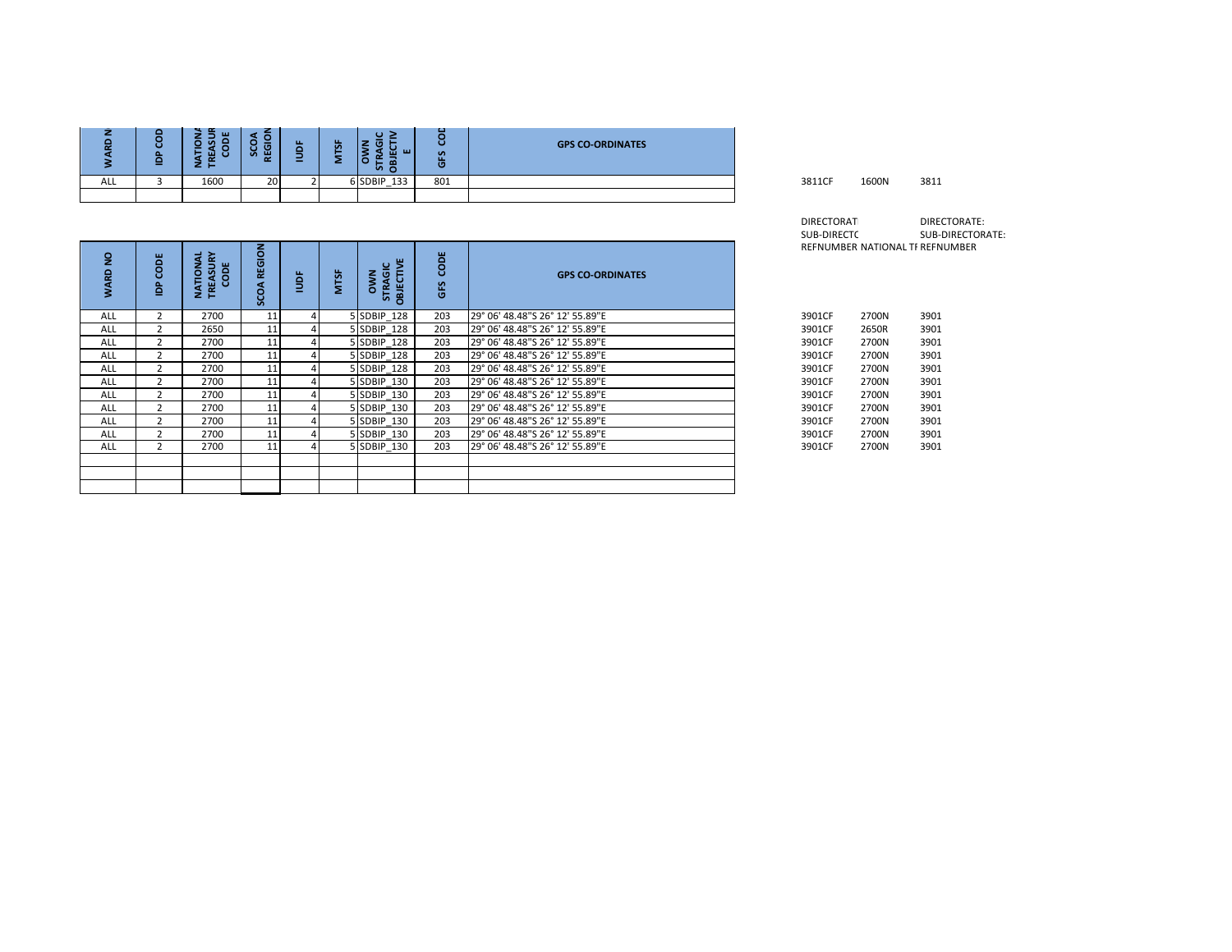| C<br>≂ | ۰n.<br>- | œ<br>ш<br>- |    | − | 诛<br>œ | o<br>. .<br>- 111<br>$\cdots$<br>ທ ດ | $\mathbf{v}$<br>. .<br>$\sigma$ | <b>GPS CO-ORDINATES</b> |        |       |      |
|--------|----------|-------------|----|---|--------|--------------------------------------|---------------------------------|-------------------------|--------|-------|------|
| ALL    |          | 1600        | 20 |   |        | SDBIP 133                            | 801                             |                         | 3811CF | 1600N | 3811 |
|        |          |             |    |   |        |                                      |                                 |                         |        |       |      |

| 3811CF<br>3811<br>1600N |
|-------------------------|
|-------------------------|

| DIRECTORAT                      | DIRECTORATE:     |
|---------------------------------|------------------|
| SUB-DIRECTO                     | SUB-DIRECTORATE: |
| REFNUMBER NATIONAL TF REFNUMBER |                  |

| $\overline{2}$<br>읉 | 岂<br>o         | z<br>ğΥ<br>CODE<br><b>NATIOI</b><br>m<br>존 | <b>REGION</b><br><b>SCOA</b> | ້ອ | <b>MTSF</b> | <b>DBJECTIVE</b><br>u<br>ō<br><b>NMO</b><br><b>STRA</b> | CODE<br>요<br>ढ | <b>GPS CO-ORDINATES</b>         |        | REFNUMBER NATIONAL IT REFN |      |
|---------------------|----------------|--------------------------------------------|------------------------------|----|-------------|---------------------------------------------------------|----------------|---------------------------------|--------|----------------------------|------|
| <b>ALL</b>          | $\overline{2}$ | 2700                                       | 11                           | 4  |             | 5 SDBIP 128                                             | 203            | 29° 06' 48.48"S 26° 12' 55.89"E | 3901CF | 2700N                      | 3901 |
| <b>ALL</b>          | $\overline{2}$ | 2650                                       | 11                           |    |             | 5 SDBIP 128                                             | 203            | 29° 06' 48.48"S 26° 12' 55.89"E | 3901CF | 2650R                      | 3901 |
| ALL                 | $\overline{2}$ | 2700                                       | 11                           |    |             | 5 SDBIP 128                                             | 203            | 29° 06' 48.48"S 26° 12' 55.89"E | 3901CF | 2700N                      | 3901 |
| ALL                 | $\overline{2}$ | 2700                                       | 11                           |    |             | 5 SDBIP 128                                             | 203            | 29° 06' 48.48"S 26° 12' 55.89"E | 3901CF | 2700N                      | 3901 |
| ALL                 | 2              | 2700                                       | 11                           |    |             | 5 SDBIP 128                                             | 203            | 29° 06' 48.48"S 26° 12' 55.89"E | 3901CF | 2700N                      | 3901 |
| ALL                 | 2              | 2700                                       | 11                           |    |             | 5 SDBIP 130                                             | 203            | 29° 06' 48.48"S 26° 12' 55.89"E | 3901CF | 2700N                      | 3901 |
| ALL                 | 2              | 2700                                       | 11                           |    |             | 5 SDBIP 130                                             | 203            | 29° 06' 48.48"S 26° 12' 55.89"E | 3901CF | 2700N                      | 3901 |
| ALL                 | $\overline{2}$ | 2700                                       | 11                           | 4  |             | 5 SDBIP 130                                             | 203            | 29° 06' 48.48"S 26° 12' 55.89"E | 3901CF | 2700N                      | 3901 |
| ALL                 | $\overline{2}$ | 2700                                       | 11                           | 4  |             | 5 SDBIP 130                                             | 203            | 29° 06' 48.48"S 26° 12' 55.89"E | 3901CF | 2700N                      | 3901 |
| ALL                 | 2              | 2700                                       | 11                           | 4  |             | 5 SDBIP 130                                             | 203            | 29° 06' 48.48"S 26° 12' 55.89"E | 3901CF | 2700N                      | 3901 |
| <b>ALL</b>          | $\overline{2}$ | 2700                                       | 11                           |    |             | 5 SDBIP 130                                             | 203            | 29° 06' 48.48"S 26° 12' 55.89"E | 3901CF | 2700N                      | 3901 |
|                     |                |                                            |                              |    |             |                                                         |                |                                 |        |                            |      |
|                     |                |                                            |                              |    |             |                                                         |                |                                 |        |                            |      |
|                     |                |                                            |                              |    |             |                                                         |                |                                 |        |                            |      |

| 3901CF | 2700N | 3901 |
|--------|-------|------|
| 3901CF | 2650R | 3901 |
| 3901CF | 2700N | 3901 |
| 3901CF | 2700N | 3901 |
| 3901CF | 2700N | 3901 |
| 3901CF | 2700N | 3901 |
| 3901CF | 2700N | 3901 |
| 3901CF | 2700N | 3901 |
| 3901CF | 2700N | 3901 |
| 3901CF | 2700N | 3901 |
| 3901CF | 2700N | 3901 |
|        |       |      |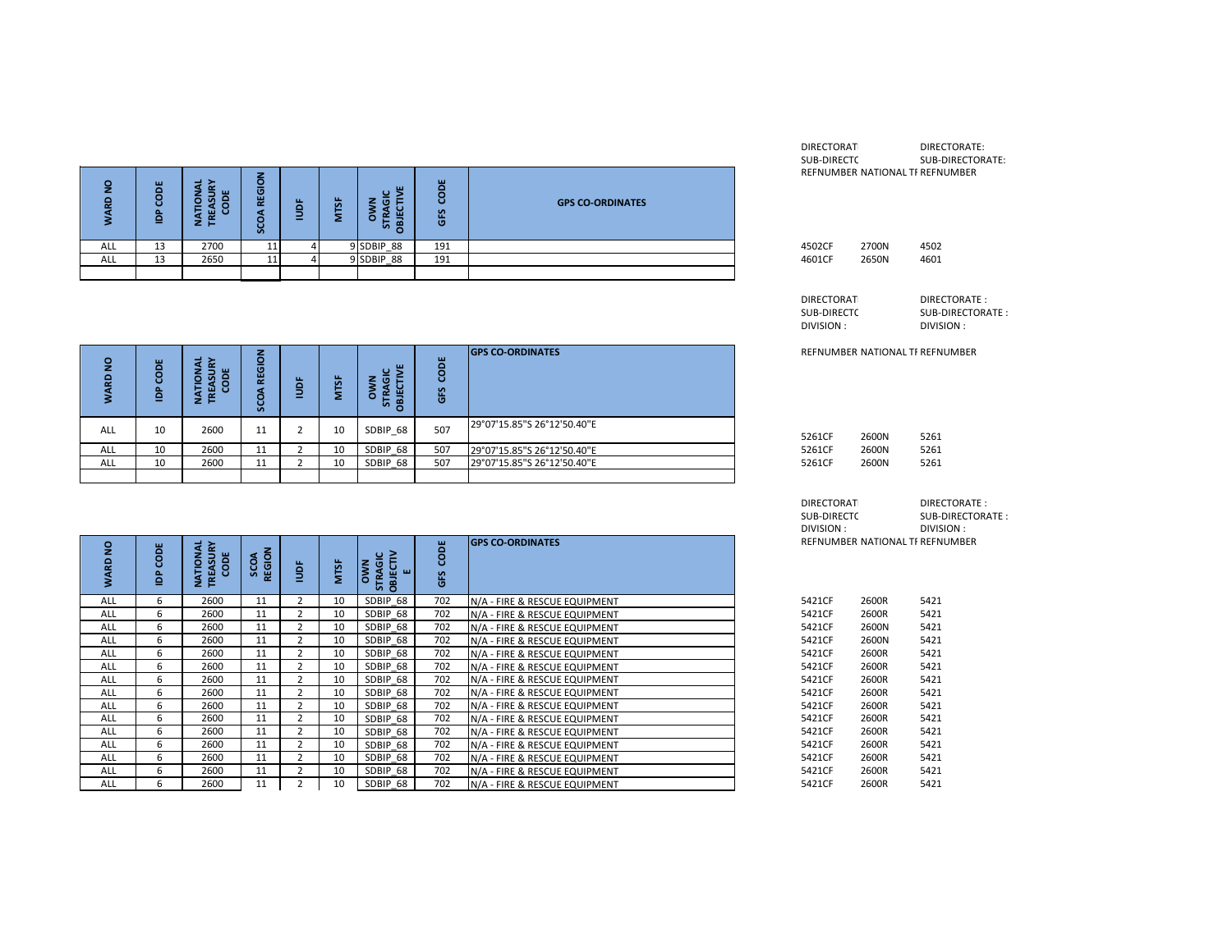| $\circ$<br>z<br>٥<br>œ | 붐<br>௨<br>$\overline{\phantom{a}}$<br>- | ÷<br>ഗ<br>$\bullet$<br>ш<br>zЕ | o<br>ш<br>u<br>Ø. | - | ᇥ<br>-<br>- | ш<br>ပ<br>m | ш<br>ο<br>띺<br>O         | <b>GPS CO-ORDINATES</b> |        |       |                            |
|------------------------|-----------------------------------------|--------------------------------|-------------------|---|-------------|-------------|--------------------------|-------------------------|--------|-------|----------------------------|
| ALL                    | 13                                      | 2700                           | 11                |   |             |             | 191                      |                         | 4502CF | 2700N | 4502                       |
| <b>ALL</b>             | 13                                      | 2650                           | 11                |   |             |             | 191                      |                         | 4601CF | 2650N | 4601                       |
|                        |                                         |                                |                   |   |             |             |                          |                         |        |       |                            |
|                        |                                         |                                |                   |   |             |             | 9 SDBIP 88<br>9 SDBIP 88 |                         |        |       | REFNUMBER NATIONAL TF REFN |

| $\frac{1}{2}$<br><b>WARD</b>  | CODE<br>₫             | <b>NATIONAL</b><br>TREASURY<br>CODE           | <b>REGION</b><br>SCO | ğ              | <b>MTSF</b> | <b>CTIVE</b><br><b>STRAGIC</b><br><b>DWN</b><br><b>BIE</b> | CODE<br>GFS | <b>GPS CO-ORDINATES</b>     |                                               | REFNUMBER NATIONAL TF REFN |                              |
|-------------------------------|-----------------------|-----------------------------------------------|----------------------|----------------|-------------|------------------------------------------------------------|-------------|-----------------------------|-----------------------------------------------|----------------------------|------------------------------|
| <b>ALL</b>                    | 10                    | 2600                                          | 11                   | $\overline{2}$ | 10          | SDBIP 68                                                   | 507         | 29°07'15.85"S 26°12'50.40"E | 5261CF                                        | 2600N                      | 5261                         |
| <b>ALL</b>                    | 10                    | 2600                                          | 11                   | $\overline{2}$ | 10          | SDBIP 68                                                   | 507         | 29°07'15.85"S 26°12'50.40"E | 5261CF                                        | 2600N                      | 5261                         |
| <b>ALL</b>                    | 10                    | 2600                                          | 11                   | $\overline{2}$ | 10          | SDBIP 68                                                   | 507         | 29°07'15.85"S 26°12'50.40"E | 5261CF                                        | 2600N                      | 5261                         |
|                               |                       |                                               |                      |                |             |                                                            |             |                             | <b>DIRECTORAT</b><br>SUB-DIRECTC<br>DIVISION: |                            | <b>DIRE</b><br>SUB-<br>DIVIS |
| $\overline{2}$<br><b>NARD</b> | <b>CODE</b><br>௨<br>≘ | <b>TREASURY</b><br>₹<br>CODE<br><b>NOITAV</b> | SCOA<br>REGION       | ğ              | <b>MTSF</b> | <b>BJECTIV</b><br>TRAGIC<br><b>NWO</b><br>ш                | CODE<br>GES | <b>GPS CO-ORDINATES</b>     |                                               | REFNUMBER NATIONAL TF REFN |                              |

| $\overline{2}$<br>WARD | Ö<br>ō<br>≘ | ಕ<br>TREASURY<br>CODE<br>ō<br>ş. | <b>REGION</b><br><b>SCOA</b> | ğ              | <b>MTSF</b> | OBJECTIV<br><b>STRAGIC</b><br><b>S</b><br>ш | CODE<br><b>GFS</b> | <b>GPS CO-ORDINATES</b>        |        | <b>REFNUMBER NATIONAL TF REFN</b> |      |
|------------------------|-------------|----------------------------------|------------------------------|----------------|-------------|---------------------------------------------|--------------------|--------------------------------|--------|-----------------------------------|------|
| ALL                    | 6           | 2600                             | 11                           | $\overline{2}$ | 10          | SDBIP 68                                    | 702                | N/A - FIRE & RESCUE EQUIPMENT  | 5421CF | 2600R                             | 5421 |
| ALL                    | 6           | 2600                             | 11                           | $\overline{2}$ | 10          | SDBIP 68                                    | 702                | N/A - FIRE & RESCUE EQUIPMENT  | 5421CF | 2600R                             | 5421 |
| ALL                    | 6           | 2600                             | 11                           | $\overline{2}$ | 10          | SDBIP 68                                    | 702                | N/A - FIRE & RESCUE EQUIPMENT  | 5421CF | 2600N                             | 5421 |
| ALL                    | 6           | 2600                             | 11                           | $\overline{2}$ | 10          | SDBIP 68                                    | 702                | N/A - FIRE & RESCUE EQUIPMENT  | 5421CF | 2600N                             | 5421 |
| <b>ALL</b>             | 6           | 2600                             | 11                           |                | 10          | SDBIP 68                                    | 702                | N/A - FIRE & RESCUE EQUIPMENT  | 5421CF | 2600R                             | 5421 |
| ALL                    | 6           | 2600                             | 11                           | $\overline{2}$ | 10          | SDBIP 68                                    | 702                | N/A - FIRE & RESCUE EQUIPMENT  | 5421CF | 2600R                             | 5421 |
| ALL                    | 6           | 2600                             | 11                           | $\overline{2}$ | 10          | SDBIP 68                                    | 702                | N/A - FIRE & RESCUE EQUIPMENT  | 5421CF | 2600R                             | 5421 |
| ALL                    | 6           | 2600                             | 11                           |                | 10          | SDBIP 68                                    | 702                | N/A - FIRE & RESCUE EQUIPMENT  | 5421CF | 2600R                             | 5421 |
| ALL                    | 6           | 2600                             | 11                           | $\overline{2}$ | 10          | SDBIP 68                                    | 702                | N/A - FIRE & RESCUE EQUIPMENT  | 5421CF | 2600R                             | 5421 |
| ALL                    | 6           | 2600                             | 11                           | $\overline{2}$ | 10          | SDBIP 68                                    | 702                | N/A - FIRE & RESCUE EQUIPMENT  | 5421CF | 2600R                             | 5421 |
| ALL                    | 6           | 2600                             | 11                           | 2              | 10          | SDBIP 68                                    | 702                | N/A - FIRE & RESCUE EQUIPMENT  | 5421CF | 2600R                             | 5421 |
| ALL                    | 6           | 2600                             | 11                           | $\overline{2}$ | 10          | SDBIP 68                                    | 702                | N/A - FIRE & RESCUE EQUIPMENT  | 5421CF | 2600R                             | 5421 |
| ALL                    | 6           | 2600                             | 11                           | $\overline{2}$ | 10          | SDBIP 68                                    | 702                | N/A - FIRE & RESCUE EQUIPMENT  | 5421CF | 2600R                             | 5421 |
| ALL                    | 6           | 2600                             | 11                           |                | 10          | SDBIP 68                                    | 702                | N/A - FIRE & RESCUE EQUIPMENT  | 5421CF | 2600R                             | 5421 |
| ALL                    | 6           | 2600                             | 11                           |                | 10          | SDBIP 68                                    | 702                | IN/A - FIRE & RESCUE EQUIPMENT | 5421CF | 2600R                             | 5421 |

| <b>DIRECTORAT</b><br>SUB-DIRECTC |                                 | DIRECTORATE: | SUB-DIRECTORATE: |  |
|----------------------------------|---------------------------------|--------------|------------------|--|
|                                  | REFNUMBER NATIONAL TF REFNUMBER |              |                  |  |
|                                  |                                 |              |                  |  |
|                                  |                                 |              |                  |  |
|                                  |                                 |              |                  |  |
|                                  |                                 |              |                  |  |
| 4502CF                           | 2700N                           | 4502         |                  |  |
| 4601CF                           | 2650N                           | 4601         |                  |  |

| <b>DIRECTORAT</b> | DIRECTORATE:     |
|-------------------|------------------|
| SUB-DIRECTO       | SUB-DIRECTORATE: |
| DIVISION :        | DIVISION :       |
|                   |                  |

REFNUMBER NATIONAL TF REFNUMBER

| 5261CF | 2600N | 5261 |
|--------|-------|------|
| 5261CF | 2600N | 5261 |
| 5261CF | 2600N | 5261 |

| <b>DIRECTORAT</b>               | DIRECTORATE:     |
|---------------------------------|------------------|
| SUB-DIRECTO                     | SUB-DIRECTORATE: |
| DIVISION:                       | DIVISION :       |
| REFNUMBER NATIONAL TF REFNUMBER |                  |
|                                 |                  |

| 5421CF | 2600R        | 5421 |
|--------|--------------|------|
| 5421CF | 2600R        | 5421 |
| 5421CF | 2600N        | 5421 |
| 5421CF | 2600N        | 5421 |
| 5421CF | 2600R        | 5421 |
| 5421CF | 2600R        | 5421 |
| 5421CF | 2600R        | 5421 |
| 5421CF | 2600R        | 5421 |
| 5421CF | 2600R        | 5421 |
| 5421CF | 2600R        | 5421 |
| 5421CF | 2600R        | 5421 |
| 5421CF | 2600R        | 5421 |
| 5421CF | 2600R        | 5421 |
| 5421CF | 2600R        | 5421 |
| 5421CF | <b>2600R</b> | 5471 |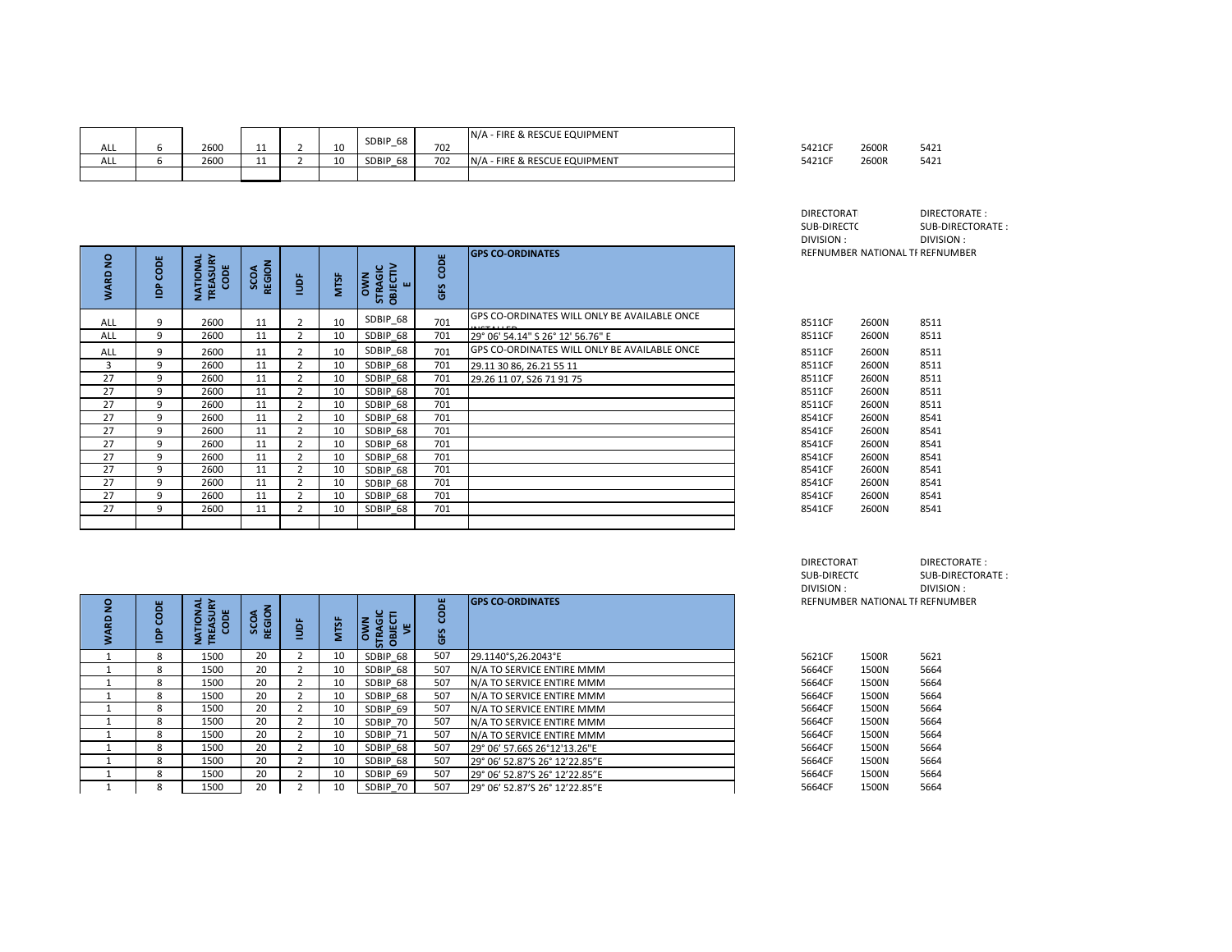| <b>ALL</b> | 2600 | -- | 10 | SDBIP 68 | 702 | - FIRE & RESCUE EQUIPMENT<br>N/f | 5421CF | 2600R<br>. | 5421 |
|------------|------|----|----|----------|-----|----------------------------------|--------|------------|------|
| ALL        | 2600 | -- | 10 | SDBIP 68 | 702 | N/t<br>- FIRE & RESCUE EQUIPMENT | 5421CF | 2600R      | 5421 |
|            |      |    |    |          |     |                                  |        |            |      |

|                             |                        |                                       |                         |                |             |                                                 |             |                                              | <b>DIRECTORAT</b><br>SUB-DIRECTC<br>DIVISION: |       | DIRECTORATE:<br>SUB-DIRECTORA<br>DIVISION: |
|-----------------------------|------------------------|---------------------------------------|-------------------------|----------------|-------------|-------------------------------------------------|-------------|----------------------------------------------|-----------------------------------------------|-------|--------------------------------------------|
| $\mathsf{S}$<br><b>WARD</b> | ш<br>흥<br>$\circ$<br>ê | <b>NATIONAL<br/>TREASURY<br/>CODE</b> | <b>REGION</b><br>⋖<br>o | ğ              | <b>MTSF</b> | OBJECTIV<br>ō<br>OWN<br><b>W</b><br><b>STRA</b> | CODE<br>GFS | <b>GPS CO-ORDINATES</b>                      |                                               |       | REFNUMBER NATIONAL TF REFNUMBER            |
| ALL                         | 9                      | 2600                                  | 11                      |                | 10          | SDBIP 68                                        | 701         | GPS CO-ORDINATES WILL ONLY BE AVAILABLE ONCE | 8511CF                                        | 2600N | 8511                                       |
| ALL                         | 9                      | 2600                                  | 11                      |                | 10          | SDBIP 68                                        | 701         | 29° 06' 54.14" S 26° 12' 56.76" E            | 8511CF                                        | 2600N | 8511                                       |
| ALL                         | 9                      | 2600                                  | 11                      |                | 10          | SDBIP 68                                        | 701         | GPS CO-ORDINATES WILL ONLY BE AVAILABLE ONCE | 8511CF                                        | 2600N | 8511                                       |
| 3                           | 9                      | 2600                                  | 11                      | $\overline{2}$ | 10          | SDBIP 68                                        | 701         | 29.11 30 86, 26.21 55 11                     | 8511CF                                        | 2600N | 8511                                       |
| 27                          | 9                      | 2600                                  | 11                      |                | 10          | SDBIP 68                                        | 701         | 29.26 11 07. S26 71 91 75                    | 8511CF                                        | 2600N | 8511                                       |
| 27                          | 9                      | 2600                                  | 11                      |                | 10          | SDBIP 68                                        | 701         |                                              | 8511CF                                        | 2600N | 8511                                       |
| 27                          | 9                      | 2600                                  | 11                      |                | 10          | SDBIP 68                                        | 701         |                                              | 8511CF                                        | 2600N | 8511                                       |
| 27                          | 9                      | 2600                                  | 11                      |                | 10          | SDBIP 68                                        | 701         |                                              | 8541CF                                        | 2600N | 8541                                       |
| 27                          | 9                      | 2600                                  | 11                      |                | 10          | SDBIP 68                                        | 701         |                                              | 8541CF                                        | 2600N | 8541                                       |
| 27                          | 9                      | 2600                                  | 11                      |                | 10          | SDBIP 68                                        | 701         |                                              | 8541CF                                        | 2600N | 8541                                       |
| 27                          | 9                      | 2600                                  | 11                      |                | 10          | SDBIP 68                                        | 701         |                                              | 8541CF                                        | 2600N | 8541                                       |

| ALL | 9 | 2600 | 11 | 10 | SDBIP 68 | 701 | <b>GPS CO-ORDINATES WILL ONLY BE AVAILABLE ONCE</b> | 8511CF | 2600N | 8511 |
|-----|---|------|----|----|----------|-----|-----------------------------------------------------|--------|-------|------|
| ALL | 9 | 2600 | 11 | 10 | SDBIP 68 | 701 | 29° 06' 54.14" S 26° 12' 56.76" E                   | 8511CF | 2600N | 8511 |
| ALL | 9 | 2600 | 11 | 10 | SDBIP 68 | 701 | <b>GPS CO-ORDINATES WILL ONLY BE AVAILABLE ONCE</b> | 8511CF | 2600N | 8511 |
| 3   | 9 | 2600 | 11 | 10 | SDBIP 68 | 701 | 29.11 30 86. 26.21 55 11                            | 8511CF | 2600N | 8511 |
| 27  | 9 | 2600 | 11 | 10 | SDBIP 68 | 701 | 29.26 11 07. S26 71 91 75                           | 8511CF | 2600N | 8511 |
| 27  | 9 | 2600 | 11 | 10 | SDBIP 68 | 701 |                                                     | 8511CF | 2600N | 8511 |
| 27  | 9 | 2600 | 11 | 10 | SDBIP 68 | 701 |                                                     | 8511CF | 2600N | 8511 |
| 27  | 9 | 2600 | 11 | 10 | SDBIP 68 | 701 |                                                     | 8541CF | 2600N | 8541 |
| 27  | 9 | 2600 | 11 | 10 | SDBIP 68 | 701 |                                                     | 8541CF | 2600N | 8541 |
| 27  | 9 | 2600 | 11 | 10 | SDBIP 68 | 701 |                                                     | 8541CF | 2600N | 8541 |
| 27  | 9 | 2600 | 11 | 10 | SDBIP 68 | 701 |                                                     | 8541CF | 2600N | 8541 |
| 27  | 9 | 2600 | 11 | 10 | SDBIP 68 | 701 |                                                     | 8541CF | 2600N | 8541 |
| 27  | 9 | 2600 | 11 | 10 | SDBIP 68 | 701 |                                                     | 8541CF | 2600N | 8541 |
| 27  | 9 | 2600 | 11 | 10 | SDBIP 68 | 701 |                                                     | 8541CF | 2600N | 8541 |
| 27  | 9 | 2600 | 11 | 10 | SDBIP 68 | 701 |                                                     | 8541CF | 2600N | 8541 |

SUB-DIRECTORATE :

| <b>DIRECTORAT</b>               | DIRECTORATE:     |
|---------------------------------|------------------|
| SUB-DIRECTC                     | SUB-DIRECTORATE: |
| DIVISION :                      | DIVISION :       |
| REFNUMBER NATIONAL TF REFNUMBER |                  |

| 5621CF | 1500R | 5621 |
|--------|-------|------|
| 5664CF | 1500N | 5664 |
| 5664CF | 1500N | 5664 |
| 5664CF | 1500N | 5664 |
| 5664CF | 1500N | 5664 |
| 5664CF | 1500N | 5664 |
| 5664CF | 1500N | 5664 |
| 5664CF | 1500N | 5664 |
| 5664CF | 1500N | 5664 |
| 5664CF | 1500N | 5664 |
| 5664CF | 1500N | 5664 |

| WARD NO                      | CODE<br>å | TREASURY<br><b>NATIONAL</b><br>CODE | SCOA<br>REGION | ğ                   | <b>MTSF</b> | <b>OBJECTIV</b><br><b>STRAGIC</b><br>OWN<br>$\mathbf{u}$ | CODE<br>GFS |                                                                  |                                  |                            |                     |
|------------------------------|-----------|-------------------------------------|----------------|---------------------|-------------|----------------------------------------------------------|-------------|------------------------------------------------------------------|----------------------------------|----------------------------|---------------------|
| ALL                          | 9         | 2600                                | 11             | 2                   | 10          | SDBIP_68                                                 | 701         | GPS CO-ORDINATES WILL ONLY BE AVAILABLE ONCE                     | 8511CF                           | 2600N                      | 8511                |
| ALL                          | 9         | 2600                                | 11             | $\overline{2}$      | 10          | SDBIP 68                                                 | 701         | 29° 06' 54.14" S 26° 12' 56.76" E                                | 8511CF                           | 2600N                      | 8511                |
| <b>ALL</b>                   | 9         | 2600                                | 11             | $\overline{2}$      | 10          | SDBIP 68                                                 | 701         | GPS CO-ORDINATES WILL ONLY BE AVAILABLE ONCE                     | 8511CF                           | 2600N                      | 8511                |
| 3                            | 9         | 2600                                | 11             | $\overline{2}$      | 10          | SDBIP 68                                                 | 701         | 29.11 30 86, 26.21 55 11                                         | 8511CF                           | 2600N                      | 8511                |
| 27                           | 9         | 2600                                | 11             | $\overline{2}$      | 10          | SDBIP 68                                                 | 701         | 29.26 11 07, S26 71 91 75                                        | 8511CF                           | 2600N                      | 8511                |
| 27                           | 9         | 2600                                | 11             | $\overline{2}$      | 10          | SDBIP 68                                                 | 701         |                                                                  | 8511CF                           | 2600N                      | 8511                |
| 27                           | 9         | 2600                                | 11             | $\overline{2}$      | 10          | SDBIP 68                                                 | 701         |                                                                  | 8511CF                           | 2600N                      | 8511                |
| 27                           | 9         | 2600                                | 11             | $\overline{2}$      | 10          | SDBIP 68                                                 | 701         |                                                                  | 8541CF                           | 2600N                      | 8541                |
| 27                           | 9         | 2600                                | 11             | 2                   | 10          | SDBIP 68                                                 | 701         |                                                                  | 8541CF                           | 2600N                      | 8541                |
| 27                           | 9         | 2600                                | 11             | $\overline{2}$      | 10          | SDBIP 68                                                 | 701         |                                                                  | 8541CF                           | 2600N                      | 8541                |
| 27                           | 9         | 2600                                | 11             | $\overline{2}$      | 10          | SDBIP 68                                                 | 701         |                                                                  | 8541CF                           | 2600N                      | 8541                |
| 27                           | 9         | 2600                                | 11             | $\overline{2}$      | 10          | SDBIP 68                                                 | 701         |                                                                  | 8541CF                           | 2600N                      | 8541                |
|                              | 9         | 2600                                | 11             | $\overline{2}$      | 10          | SDBIP 68                                                 | 701         |                                                                  | 8541CF                           | 2600N                      | 8541                |
| 27                           |           |                                     | 11             | $\overline{2}$      | 10          | SDBIP 68                                                 | 701         |                                                                  | 8541CF                           | 2600N                      | 8541                |
| 27                           | 9         | 2600                                |                |                     |             |                                                          |             |                                                                  |                                  |                            |                     |
| 27                           | 9         | 2600                                | 11             | 2                   | 10          | SDBIP 68                                                 | 701         |                                                                  | 8541CF                           | 2600N                      | 8541                |
|                              |           |                                     |                |                     |             |                                                          |             |                                                                  | <b>DIRECTORAT</b><br>SUB-DIRECTC |                            | <b>DIRE</b><br>SUB- |
| WARD NO                      | CODE<br>₫ | <b>NATIONAL</b><br>TREASURY<br>č    | SCOA<br>REGION | ğ                   | <b>MTSF</b> | <b>STRAGIC</b><br>OBJECTI<br>OWN<br>罗                    | CODE<br>GFS | <b>GPS CO-ORDINATES</b>                                          | DIVISION:                        | REFNUMBER NATIONAL TF REFN | DIVIS               |
| $\mathbf{1}$                 | 8         | 1500                                | 20             | $\overline{2}$      | 10          | SDBIP 68                                                 | 507         | 29.1140°S,26.2043°E                                              | 5621CF                           | 1500R                      | 5621                |
| $\mathbf{1}$                 | 8         | 1500                                | 20             | $\overline{2}$      | 10          | SDBIP 68                                                 | 507         | N/A TO SERVICE ENTIRE MMM                                        | 5664CF                           | 1500N                      | 5664                |
| $\mathbf{1}$                 | 8         | 1500                                | 20             | $\overline{2}$      | 10          | SDBIP 68                                                 | 507         | N/A TO SERVICE ENTIRE MMM                                        | 5664CF                           | 1500N                      | 5664                |
| $\mathbf{1}$                 | 8         | 1500                                | 20             | $\overline{2}$      | 10          | SDBIP 68                                                 | 507         | N/A TO SERVICE ENTIRE MMM                                        | 5664CF                           | 1500N                      | 5664                |
| $\mathbf{1}$                 | 8         | 1500                                | 20             | $\overline{2}$      | 10          | SDBIP 69                                                 | 507         | N/A TO SERVICE ENTIRE MMM                                        | 5664CF                           | 1500N                      | 5664                |
| $\mathbf{1}$                 | 8         | 1500                                | 20             | $\overline{2}$      | 10          | SDBIP 70                                                 | 507         | N/A TO SERVICE ENTIRE MMM                                        | 5664CF                           | 1500N                      | 5664                |
| $\mathbf{1}$                 | 8         | 1500                                | 20             | $\overline{2}$      | 10          | SDBIP 71                                                 | 507         | N/A TO SERVICE ENTIRE MMM                                        | 5664CF                           | 1500N                      | 5664                |
| $\mathbf{1}$                 | 8         | 1500                                | 20             | $\overline{2}$      | 10          | SDBIP 68                                                 | 507         | 29° 06' 57.66S 26°12'13.26"E                                     | 5664CF                           | 1500N                      | 5664                |
| $\mathbf{1}$                 | 8         | 1500                                | 20             | $\overline{2}$      | 10          | SDBIP 68                                                 | 507         | 29° 06' 52.87'S 26° 12'22.85"E                                   | 5664CF                           | 1500N                      | 5664                |
| $\mathbf{1}$<br>$\mathbf{1}$ | 8<br>8    | 1500<br>1500                        | 20<br>20       | 2<br>$\overline{2}$ | 10<br>10    | SDBIP 69<br>SDBIP 70                                     | 507<br>507  | 29° 06' 52.87'S 26° 12'22.85"E<br>29° 06' 52.87'S 26° 12'22.85"E | 5664CF<br>5664CF                 | 1500N<br>1500N             | 5664<br>5664        |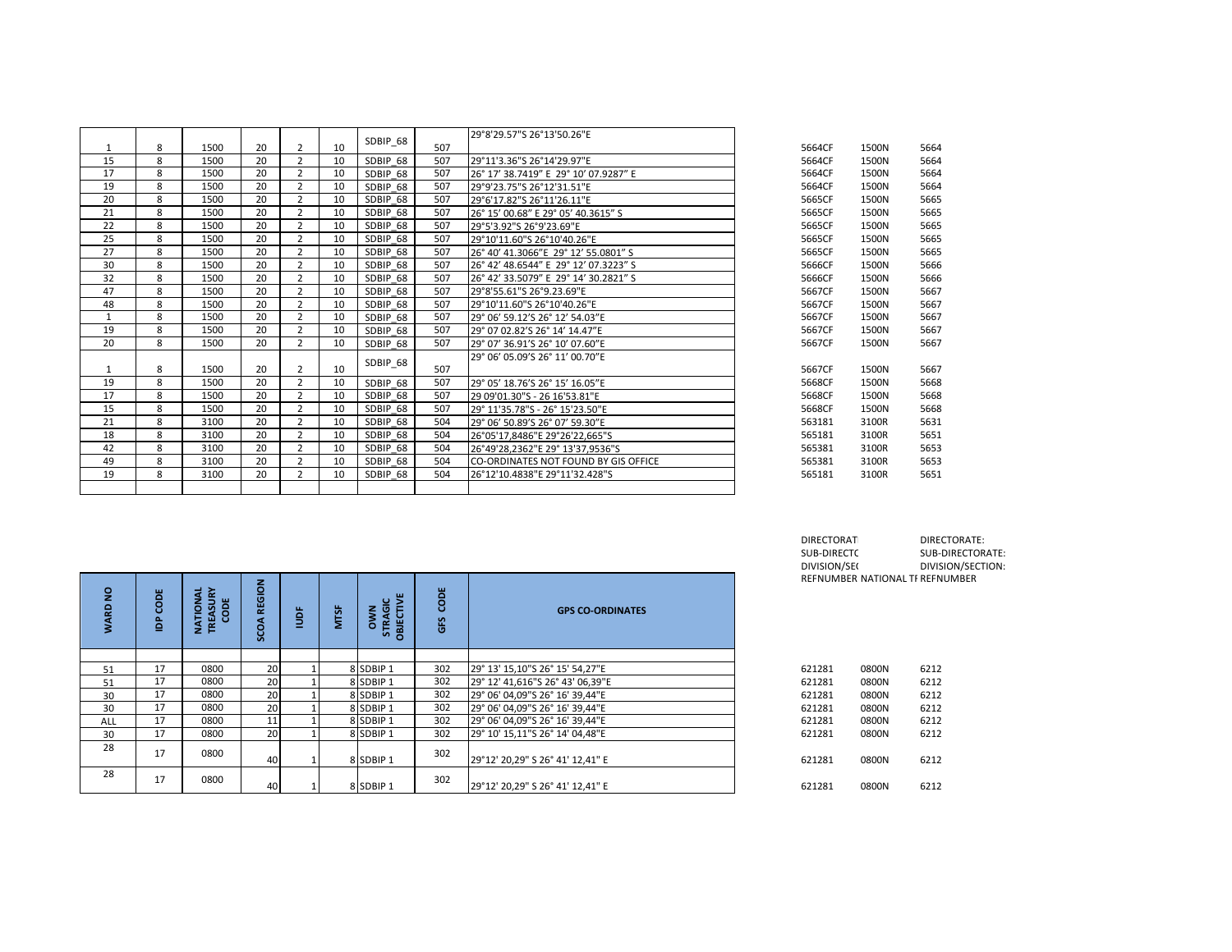|                               |             |                                                    |                              |   |             |                                                 |             |                                  | DIVISION/SEC |                            | <b>DIVIS</b> |
|-------------------------------|-------------|----------------------------------------------------|------------------------------|---|-------------|-------------------------------------------------|-------------|----------------------------------|--------------|----------------------------|--------------|
| $\overline{2}$<br><b>WARD</b> | Ö<br>ō<br>₫ | <b>NATIONAL</b><br>ፚ<br>CODE<br>Б<br><b>TREASI</b> | <b>REGION</b><br><b>SCOA</b> | ğ | <b>MTSF</b> | <b>OBJECTIVE</b><br><b>NMO</b><br><b>STRAGI</b> | CODE<br>GFS | <b>GPS CO-ORDINATES</b>          |              | REFNUMBER NATIONAL TF REFN |              |
|                               |             |                                                    |                              |   |             |                                                 |             |                                  |              |                            |              |
| 51                            | 17          | 0800                                               | 20                           |   |             | 8 SDBIP 1                                       | 302         | 29° 13' 15,10"S 26° 15' 54,27"E  | 621281       | 0800N                      | 6212         |
| 51                            | 17          | 0800                                               | 20                           |   |             | 8 SDBIP 1                                       | 302         | 29° 12' 41,616"S 26° 43' 06,39"E | 621281       | 0800N                      | 6212         |
| 30                            | 17          | 0800                                               | 20                           |   |             | 8 SDBIP 1                                       | 302         | 29° 06' 04,09"S 26° 16' 39,44"E  | 621281       | 0800N                      | 6212         |
| 30                            | 17          | 0800                                               | 20                           |   |             | 8 SDBIP 1                                       | 302         | 29° 06' 04,09"S 26° 16' 39,44"E  | 621281       | 0800N                      | 6212         |
| ALL                           | 17          | 0800                                               | 11                           |   |             | 8 SDBIP 1                                       | 302         | 29° 06' 04,09"S 26° 16' 39,44"E  | 621281       | 0800N                      | 6212         |
| 30                            | 17          | 0800                                               | <b>20</b>                    |   |             | 8 SDBIP 1                                       | 302         | 29° 10' 15,11"S 26° 14' 04,48"E  | 621281       | 0800N                      | 6212         |
| 28                            | 17          | 0800                                               | 40                           |   |             | 8 SDBIP 1                                       | 302         | 29°12' 20,29" S 26° 41' 12,41" E | 621281       | 0800N                      | 6212         |
| 28                            | 17          | 0800                                               | 40                           |   |             | 8 SDBIP 1                                       | 302         | 29°12' 20,29" S 26° 41' 12,41" E | 621281       | 0800N                      | 6212         |

| 1281  | 0800N | 6212 |
|-------|-------|------|
| !1281 | 0800N | 6212 |
| 1281  | 0800N | 6212 |
| 1281  | 0800N | 6212 |
| 1281  | 0800N | 6212 |
| 1281  | 0800N | 6212 |
| 1281  | 0800N | 6212 |
| 1281  | 0800N | 6212 |

| DIRECTORAT                      | DIRECTORATE:      |
|---------------------------------|-------------------|
| SUB-DIRECTO                     | SUB-DIRECTORATE:  |
| DIVISION/SEC                    | DIVISION/SECTION: |
| REFNUMBER NATIONAL TF REFNUMBER |                   |

|              |   |      |    |                |    | SDBIP 68 |     | 29°8'29.57"S 26°13'50.26"E            |        |       |      |
|--------------|---|------|----|----------------|----|----------|-----|---------------------------------------|--------|-------|------|
| 1            | 8 | 1500 | 20 | $\overline{2}$ | 10 |          | 507 |                                       | 5664CF | 1500N | 5664 |
| 15           | 8 | 1500 | 20 | $\overline{2}$ | 10 | SDBIP 68 | 507 | 29°11'3.36"S 26°14'29.97"E            | 5664CF | 1500N | 5664 |
| 17           | 8 | 1500 | 20 | $\overline{2}$ | 10 | SDBIP 68 | 507 | 26° 17' 38.7419" E 29° 10' 07.9287" E | 5664CF | 1500N | 5664 |
| 19           | 8 | 1500 | 20 | $\overline{2}$ | 10 | SDBIP 68 | 507 | 29°9'23.75"S 26°12'31.51"E            | 5664CF | 1500N | 5664 |
| 20           | 8 | 1500 | 20 | $\overline{2}$ | 10 | SDBIP 68 | 507 | 29°6'17.82"S 26°11'26.11"E            | 5665CF | 1500N | 5665 |
| 21           | 8 | 1500 | 20 | $\overline{2}$ | 10 | SDBIP 68 | 507 | 26° 15' 00.68" E 29° 05' 40.3615" S   | 5665CF | 1500N | 5665 |
| 22           | 8 | 1500 | 20 | $\overline{2}$ | 10 | SDBIP 68 | 507 | 29°5'3.92"S 26°9'23.69"E              | 5665CF | 1500N | 5665 |
| 25           | 8 | 1500 | 20 | $\overline{2}$ | 10 | SDBIP 68 | 507 | 29°10'11.60"S 26°10'40.26"E           | 5665CF | 1500N | 5665 |
| 27           | 8 | 1500 | 20 | $\overline{2}$ | 10 | SDBIP 68 | 507 | 26° 40' 41.3066"E 29° 12' 55.0801" S  | 5665CF | 1500N | 5665 |
| 30           | 8 | 1500 | 20 | $\overline{2}$ | 10 | SDBIP 68 | 507 | 26° 42' 48.6544" E 29° 12' 07.3223" S | 5666CF | 1500N | 5666 |
| 32           | 8 | 1500 | 20 | $\overline{2}$ | 10 | SDBIP 68 | 507 | 26° 42' 33.5079" E 29° 14' 30.2821" S | 5666CF | 1500N | 5666 |
| 47           | 8 | 1500 | 20 | $\overline{2}$ | 10 | SDBIP 68 | 507 | 29°8'55.61"S 26°9.23.69"E             | 5667CF | 1500N | 5667 |
| 48           | 8 | 1500 | 20 | 2              | 10 | SDBIP 68 | 507 | 29°10'11.60"S 26°10'40.26"E           | 5667CF | 1500N | 5667 |
| $\mathbf{1}$ | 8 | 1500 | 20 | $\overline{2}$ | 10 | SDBIP 68 | 507 | 29° 06' 59.12'S 26° 12' 54.03"E       | 5667CF | 1500N | 5667 |
| 19           | 8 | 1500 | 20 | $\overline{2}$ | 10 | SDBIP 68 | 507 | 29° 07 02.82'S 26° 14' 14.47"E        | 5667CF | 1500N | 5667 |
| 20           | 8 | 1500 | 20 | $\overline{2}$ | 10 | SDBIP 68 | 507 | 29° 07' 36.91'S 26° 10' 07.60"E       | 5667CF | 1500N | 5667 |
|              |   |      |    |                |    |          |     | 29° 06' 05.09'S 26° 11' 00.70"E       |        |       |      |
| 1            | 8 | 1500 | 20 | $\overline{2}$ | 10 | SDBIP 68 | 507 |                                       | 5667CF | 1500N | 5667 |
| 19           | 8 | 1500 | 20 | $\overline{2}$ | 10 | SDBIP 68 | 507 | 29° 05' 18.76'S 26° 15' 16.05"E       | 5668CF | 1500N | 5668 |
| 17           | 8 | 1500 | 20 | $\overline{2}$ | 10 | SDBIP 68 | 507 | 29 09'01.30"S - 26 16'53.81"E         | 5668CF | 1500N | 5668 |
| 15           | 8 | 1500 | 20 | $\overline{2}$ | 10 | SDBIP 68 | 507 | 29° 11'35.78"S - 26° 15'23.50"E       | 5668CF | 1500N | 5668 |
| 21           | 8 | 3100 | 20 | $\overline{2}$ | 10 | SDBIP 68 | 504 | 29° 06' 50.89'S 26° 07' 59.30"E       | 563181 | 3100R | 5631 |
| 18           | 8 | 3100 | 20 | $\overline{2}$ | 10 | SDBIP 68 | 504 | 26°05'17.8486"E 29°26'22.665"S        | 565181 | 3100R | 5651 |
| 42           | 8 | 3100 | 20 | $\overline{2}$ | 10 | SDBIP 68 | 504 | 26°49'28.2362"E 29° 13'37.9536"S      | 565381 | 3100R | 5653 |
| 49           | 8 | 3100 | 20 | $\overline{2}$ | 10 | SDBIP 68 | 504 | CO-ORDINATES NOT FOUND BY GIS OFFICE  | 565381 | 3100R | 5653 |
| 19           | 8 | 3100 | 20 | $\overline{2}$ | 10 | SDBIP 68 | 504 | 26°12'10.4838"E 29°11'32.428"S        | 565181 | 3100R | 5651 |
|              |   |      |    |                |    |          |     |                                       |        |       |      |
|              |   |      |    |                |    |          |     |                                       |        |       |      |

| 5664CF | 1500N | 5664 |
|--------|-------|------|
| 5664CF | 1500N | 5664 |
| 5664CF | 1500N | 5664 |
| 5664CF | 1500N | 5664 |
| 5665CF | 1500N | 5665 |
| 5665CF | 1500N | 5665 |
| 5665CF | 1500N | 5665 |
| 5665CF | 1500N | 5665 |
| 5665CF | 1500N | 5665 |
| 5666CF | 1500N | 5666 |
| 5666CF | 1500N | 5666 |
| 5667CF | 1500N | 5667 |
| 5667CF | 1500N | 5667 |
| 5667CF | 1500N | 5667 |
| 5667CF | 1500N | 5667 |
| 5667CF | 1500N | 5667 |
|        |       |      |
| 5667CF | 1500N | 5667 |
| 5668CF | 1500N | 5668 |
| 5668CF | 1500N | 5668 |
| 5668CF | 1500N | 5668 |
| 563181 | 3100R | 5631 |
| 565181 | 3100R | 5651 |
| 565381 | 3100R | 5653 |
| 565381 | 3100R | 5653 |
| 565181 | 3100R | 5651 |
|        |       |      |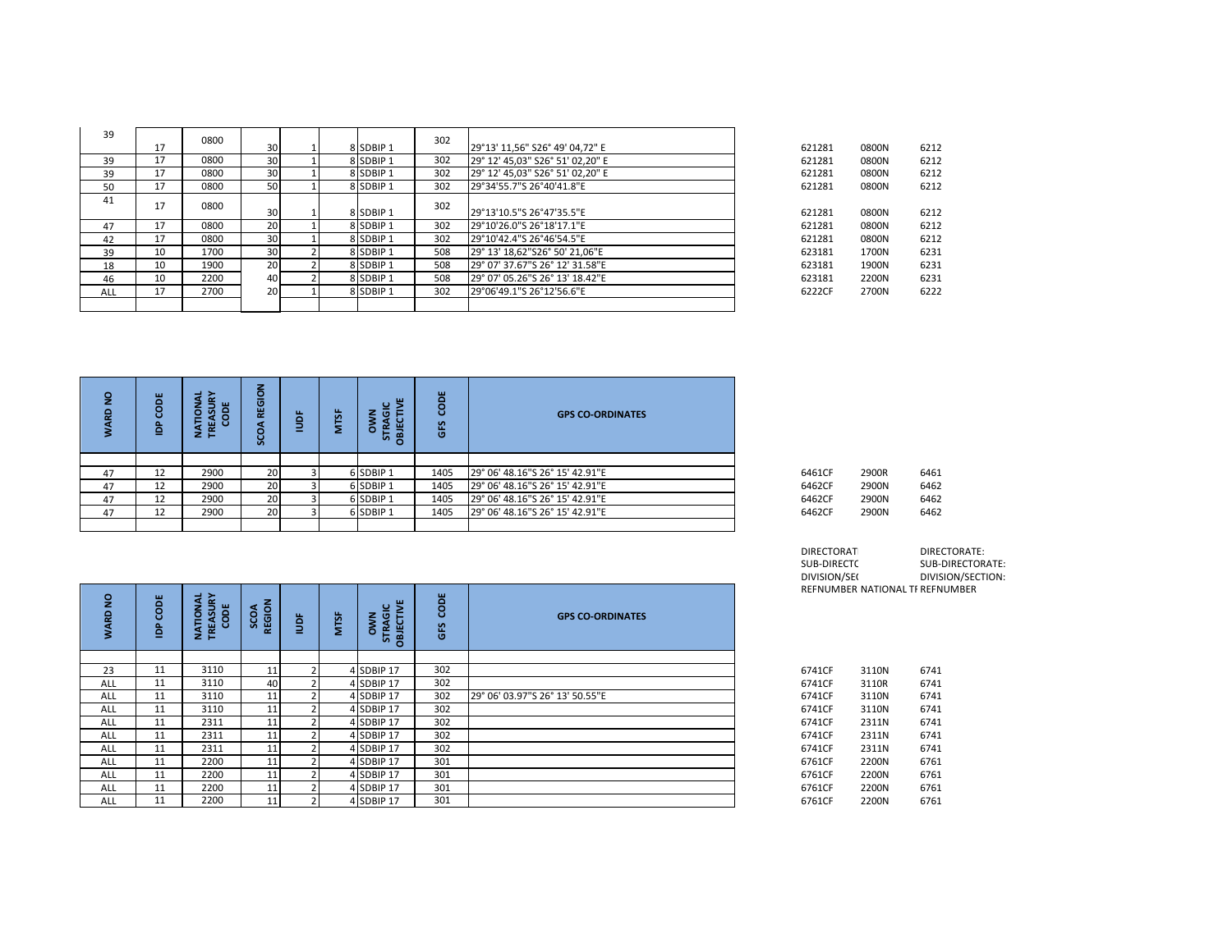| 39  | 17 | 0800 | 30 <sup>1</sup> |  | 8 SDBIP 1 | 302 | 29°13' 11.56" S26° 49' 04.72" E  | 621281 | 0800N | 6212 |
|-----|----|------|-----------------|--|-----------|-----|----------------------------------|--------|-------|------|
|     |    |      |                 |  |           |     |                                  |        |       |      |
| 39  | 17 | 0800 | 30 <sup>1</sup> |  | 8 SDBIP 1 | 302 | 29° 12' 45.03" S26° 51' 02.20" E | 621281 | 0800N | 6212 |
| 39  | 17 | 0800 | 30 <sup>1</sup> |  | 8 SDBIP 1 | 302 | 29° 12' 45,03" S26° 51' 02,20" E | 621281 | 0800N | 6212 |
| 50  | 17 | 0800 | 50              |  | 8 SDBIP 1 | 302 | 29°34'55.7"S 26°40'41.8"E        | 621281 | 0800N | 6212 |
| 41  | 17 | 0800 |                 |  |           | 302 |                                  |        |       |      |
|     |    |      | 30 <sup>1</sup> |  | 8 SDBIP 1 |     | 29°13'10.5"S 26°47'35.5"E        | 621281 | 0800N | 6212 |
| 47  | 17 | 0800 | <b>20</b>       |  | 8 SDBIP 1 | 302 | 29°10'26.0"S 26°18'17.1"E        | 621281 | 0800N | 6212 |
| 42  | 17 | 0800 | 30              |  | 8 SDBIP 1 | 302 | 29°10'42.4"S 26°46'54.5"E        | 621281 | 0800N | 6212 |
| 39  | 10 | 1700 | 30 <sup>1</sup> |  | 8 SDBIP 1 | 508 | 29° 13' 18.62" S26° 50' 21.06" E | 623181 | 1700N | 6231 |
| 18  | 10 | 1900 | 20              |  | 8 SDBIP 1 | 508 | 29° 07' 37.67"S 26° 12' 31.58"E  | 623181 | 1900N | 6231 |
| 46  | 10 | 2200 | 40 <sup>1</sup> |  | 8 SDBIP 1 | 508 | 29° 07' 05.26"S 26° 13' 18.42"E  | 623181 | 2200N | 6231 |
| ALL | 17 | 2700 | <b>201</b>      |  | 8 SDBIP 1 | 302 | 29°06'49.1"S 26°12'56.6"E        | 6222CF | 2700N | 6222 |
|     |    |      |                 |  |           |     |                                  |        |       |      |

| 621281 | 0800N | 6212 |
|--------|-------|------|
| 621281 | 0800N | 6212 |
| 621281 | 0800N | 6212 |
| 621281 | 0800N | 6212 |
|        |       |      |
| 621281 | 0800N | 6212 |
| 621281 | 0800N | 6212 |
| 621281 | 0800N | 6212 |
| 623181 | 1700N | 6231 |
| 623181 | 1900N | 6231 |
| 623181 | 2200N | 6231 |
| 6222CF | 2700N | 6222 |
|        |       |      |

| $\circ$<br>ဥ | ш<br>c<br>c<br>≘ | o<br>$\mathbf{v}$<br>⊢<br>붵<br>ž. | z<br>ဠ<br>엹<br>Ũ. | ш.<br>$\Omega$ | <b>MTSF</b> | ш<br>ပ<br>ø<br>븖<br>o<br><b>in</b><br>ō | 岂<br>ē<br>GES | <b>GPS CO-ORDINATES</b>         |        |       |      |
|--------------|------------------|-----------------------------------|-------------------|----------------|-------------|-----------------------------------------|---------------|---------------------------------|--------|-------|------|
|              |                  |                                   |                   |                |             |                                         |               |                                 |        |       |      |
| 47           | 12               | 2900                              | 20                |                |             | 6 SDBIP 1                               | 1405          | 29° 06' 48.16"S 26° 15' 42.91"E | 6461CF | 2900R | 6461 |
| 47           | 12               | 2900                              | 20                |                |             | 6 SDBIP 1                               | 1405          | 29° 06' 48.16"S 26° 15' 42.91"E | 6462CF | 2900N | 6462 |
| 47           | 12               | 2900                              | 20                |                |             | 6 SDBIP 1                               | 1405          | 29° 06' 48.16"S 26° 15' 42.91"E | 6462CF | 2900N | 6462 |
| 47           | 12               | 2900                              | <b>20</b>         |                |             | 6 SDBIP 1                               | 1405          | 29° 06' 48.16"S 26° 15' 42.91"E | 6462CF | 2900N | 6462 |
|              |                  |                                   |                   |                |             |                                         |               |                                 |        |       |      |

| 5461CF | 2900R | 6461 |
|--------|-------|------|
| 5462CF | 2900N | 6462 |
| 5462CF | 2900N | 6462 |
| 5462CF | 2900N | 6462 |

| <b>DIRECTORAT</b>               | DIRECTORATE:      |
|---------------------------------|-------------------|
| SUB-DIRECTC                     | SUB-DIRECTORATE:  |
| DIVISION/SEC                    | DIVISION/SECTION: |
| REFNUMBER NATIONAL TF REFNUMBER |                   |

| <b>WARD NO</b> | <b>IDP CODE</b> | <b>NATIONAL</b><br>TREASURY<br>CODE | <b>SCOA REGION</b> | $\frac{1}{2}$                    | <b>MTSF</b> | <b>OBJECTIVE</b><br><b>STRAGIC</b><br>OWN | CODE<br>GFS  | <b>GPS CO-ORDINATES</b>                                            |                                                  |                            |                              |
|----------------|-----------------|-------------------------------------|--------------------|----------------------------------|-------------|-------------------------------------------|--------------|--------------------------------------------------------------------|--------------------------------------------------|----------------------------|------------------------------|
|                |                 |                                     |                    |                                  |             |                                           |              |                                                                    |                                                  |                            |                              |
| 47             | 12<br>12        | 2900<br>2900                        | 20                 | 3<br>$\overline{3}$              |             | 6 SDBIP 1                                 | 1405<br>1405 | 29° 06' 48.16"S 26° 15' 42.91"E<br>29° 06' 48.16"S 26° 15' 42.91"E | 6461CF                                           | 2900R                      | 6461                         |
| 47             | 12              | 2900                                | 20<br>20           | 3                                |             | 6 SDBIP 1<br>6 SDBIP 1                    | 1405         | 29° 06' 48.16"S 26° 15' 42.91"E                                    | 6462CF<br>6462CF                                 | 2900N<br>2900N             | 6462<br>6462                 |
| 47             | 12              | 2900                                | 20                 | 3                                |             | 6 SDBIP 1                                 | 1405         | 29° 06' 48.16"S 26° 15' 42.91"E                                    | 6462CF                                           | 2900N                      |                              |
| 47             |                 |                                     |                    |                                  |             |                                           |              |                                                                    |                                                  |                            | 6462                         |
|                |                 |                                     |                    |                                  |             |                                           | CODE         |                                                                    | <b>DIRECTORAT</b><br>SUB-DIRECTC<br>DIVISION/SEC | REFNUMBER NATIONAL TF REFN | <b>DIRE</b><br>SUB-<br>DIVIS |
| WARD NO        | <b>IDP CODE</b> | <b>NATIONAL</b><br>TREASURY<br>CODE | SCOA<br>REGION     | ğ                                | <b>MTSF</b> | own                                       |              | <b>GPS CO-ORDINATES</b>                                            |                                                  |                            |                              |
|                |                 |                                     |                    |                                  |             | DBJECTIVE<br><b>STRAGIC</b>               | GFS          |                                                                    |                                                  |                            |                              |
|                |                 |                                     |                    |                                  |             |                                           |              |                                                                    |                                                  |                            |                              |
| 23             | 11              | 3110                                | 11                 | $\overline{2}$                   |             | 4 SDBIP 17                                | 302          |                                                                    | 6741CF                                           | 3110N                      | 6741                         |
| ALL            | 11              | 3110                                | 40                 | $\overline{2}$                   |             | 4 SDBIP 17                                | 302          |                                                                    | 6741CF                                           | 3110R                      | 6741                         |
| ALL            | 11              | 3110                                | 11                 | $\overline{2}$<br>$\overline{2}$ |             | 4 SDBIP 17                                | 302          | 29° 06' 03.97"S 26° 13' 50.55"E                                    | 6741CF                                           | 3110N                      | 6741                         |
| ALL<br>ALL     | 11<br>11        | 3110<br>2311                        | 11                 | $\overline{2}$                   |             | 4 SDBIP 17<br>4 SDBIP 17                  | 302<br>302   |                                                                    | 6741CF<br>6741CF                                 | 3110N<br>2311N             | 6741<br>6741                 |
| ALL            | 11              | 2311                                | 11<br>11           | $\overline{2}$                   |             | 4 SDBIP 17                                | 302          |                                                                    | 6741CF                                           | 2311N                      | 6741                         |
| ALL            | 11              | 2311                                | 11                 | $\overline{2}$                   |             | 4 SDBIP 17                                | 302          |                                                                    | 6741CF                                           | 2311N                      | 6741                         |
| ALL            | 11              | 2200                                | 11                 | $\overline{2}$                   |             | 4 SDBIP 17                                | 301          |                                                                    | 6761CF                                           | 2200N                      | 6761                         |
| ALL            | 11              | 2200                                | 11                 | $\overline{2}$                   |             | 4 SDBIP 17                                | 301          |                                                                    | 6761CF                                           | 2200N                      | 6761                         |
| ALL<br>ALL     | 11<br>11        | 2200<br>2200                        | 11<br>11           | $\overline{2}$<br>$\overline{2}$ |             | 4 SDBIP 17<br>4 SDBIP 17                  | 301<br>301   |                                                                    | 6761CF<br>6761CF                                 | 2200N<br>2200N             | 6761<br>6761                 |

| 6741CF | 3110N | 6741 |
|--------|-------|------|
| 6741CF | 3110R | 6741 |
| 6741CF | 3110N | 6741 |
| 6741CF | 3110N | 6741 |
| 6741CF | 2311N | 6741 |
| 6741CF | 2311N | 6741 |
| 6741CF | 2311N | 6741 |
| 6761CF | 2200N | 6761 |
| 6761CF | 2200N | 6761 |
| 6761CF | 2200N | 6761 |
| 6761CF | 2200N | 6761 |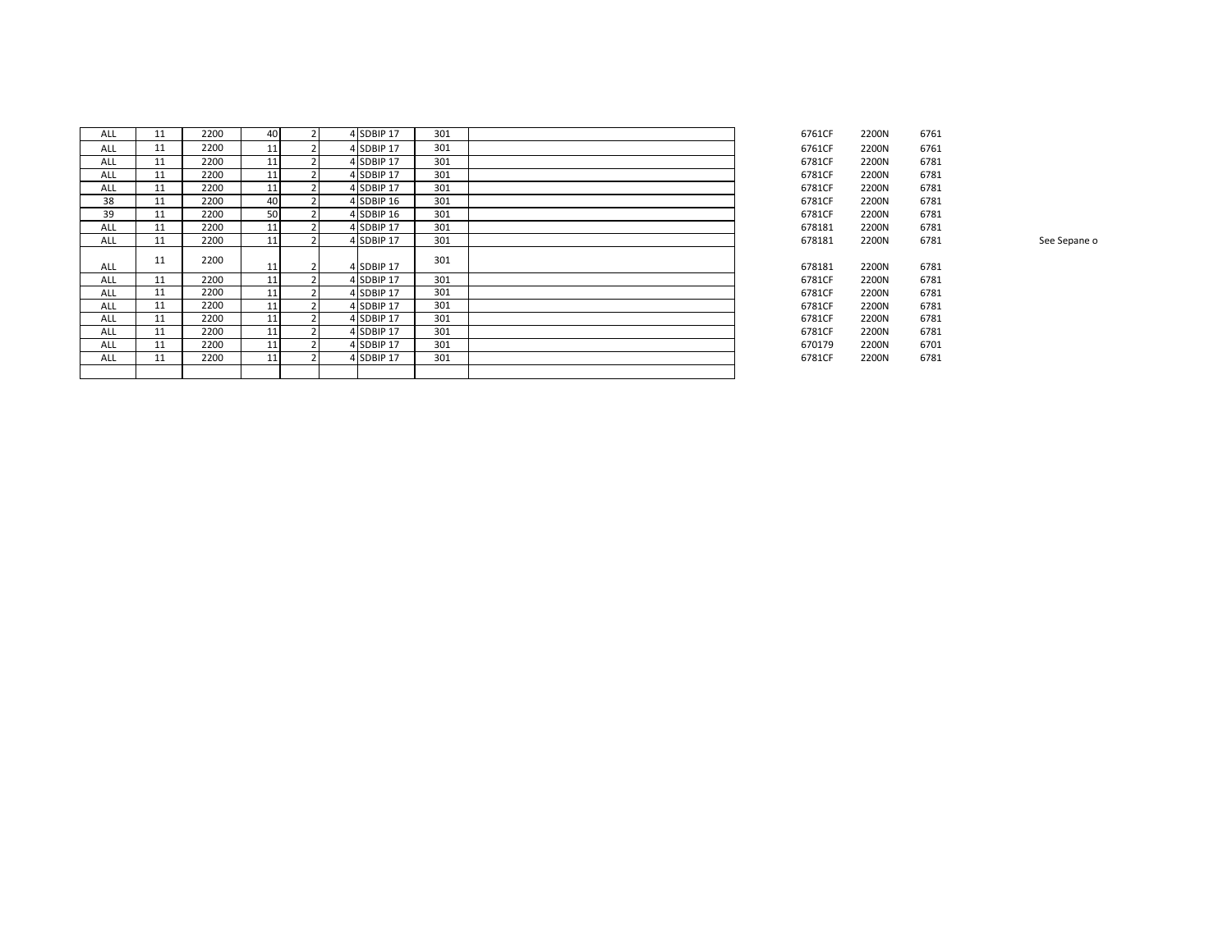| ALL        | 11 | 2200 | 40 |   | 4 SDBIP 17 | 301 |  | 6761CF | 2200N | 6761 |              |
|------------|----|------|----|---|------------|-----|--|--------|-------|------|--------------|
| ALL        | 11 | 2200 | 11 |   | 4 SDBIP 17 | 301 |  | 6761CF | 2200N | 6761 |              |
| ALL        | 11 | 2200 | 11 |   | 4 SDBIP 17 | 301 |  | 6781CF | 2200N | 6781 |              |
| ALL        | 11 | 2200 | 11 |   | 4 SDBIP 17 | 301 |  | 6781CF | 2200N | 6781 |              |
| ALL        | 11 | 2200 | 11 |   | 4 SDBIP 17 | 301 |  | 6781CF | 2200N | 6781 |              |
| 38         | 11 | 2200 | 40 |   | 4 SDBIP 16 | 301 |  | 6781CF | 2200N | 6781 |              |
| 39         | 11 | 2200 | 50 |   | 4 SDBIP 16 | 301 |  | 6781CF | 2200N | 6781 |              |
| ALL        | 11 | 2200 | 11 |   | 4 SDBIP 17 | 301 |  | 678181 | 2200N | 6781 |              |
| ALL        | 11 | 2200 | 11 |   | 4 SDBIP 17 | 301 |  | 678181 | 2200N | 6781 | See Sepane o |
| ALL        | 11 | 2200 | 11 | ຳ | 4 SDBIP 17 | 301 |  | 678181 | 2200N | 6781 |              |
| ALL        | 11 | 2200 | 11 |   | 4 SDBIP 17 | 301 |  | 6781CF | 2200N | 6781 |              |
| ALL        | 11 | 2200 | 11 |   | 4 SDBIP 17 | 301 |  | 6781CF | 2200N | 6781 |              |
| ALL        | 11 | 2200 | 11 |   | 4 SDBIP 17 | 301 |  | 6781CF | 2200N | 6781 |              |
| ALL        | 11 | 2200 | 11 |   | 4 SDBIP 17 | 301 |  | 6781CF | 2200N | 6781 |              |
| ALL        | 11 | 2200 | 11 |   | 4 SDBIP 17 | 301 |  | 6781CF | 2200N | 6781 |              |
| ALL        | 11 | 2200 | 11 |   | 4 SDBIP 17 | 301 |  | 670179 | 2200N | 6701 |              |
| <b>ALL</b> | 11 | 2200 | 11 |   | 4 SDBIP 17 | 301 |  | 6781CF | 2200N | 6781 |              |
|            |    |      |    |   |            |     |  |        |       |      |              |

| 6761CF | 2200N | 6761 |
|--------|-------|------|
| 6781CF | 2200N | 6781 |
| 6781CF | 2200N | 6781 |
| 6781CF | 2200N | 6781 |
| 6781CF | 2200N | 6781 |
| 6781CF | 2200N | 6781 |
| 678181 | 2200N | 6781 |
| 678181 | 2200N | 6781 |
|        |       |      |
| 678181 | 2200N | 6781 |
| 6781CF | 2200N | 6781 |
| 6781CF | 2200N | 6781 |
| 6781CF | 2200N | 6781 |
| 6781CF | 2200N | 6781 |
| 6781CF | 2200N | 6781 |
| 670179 | 2200N | 6701 |
| 6781CF | 2200N | 6781 |
|        |       |      |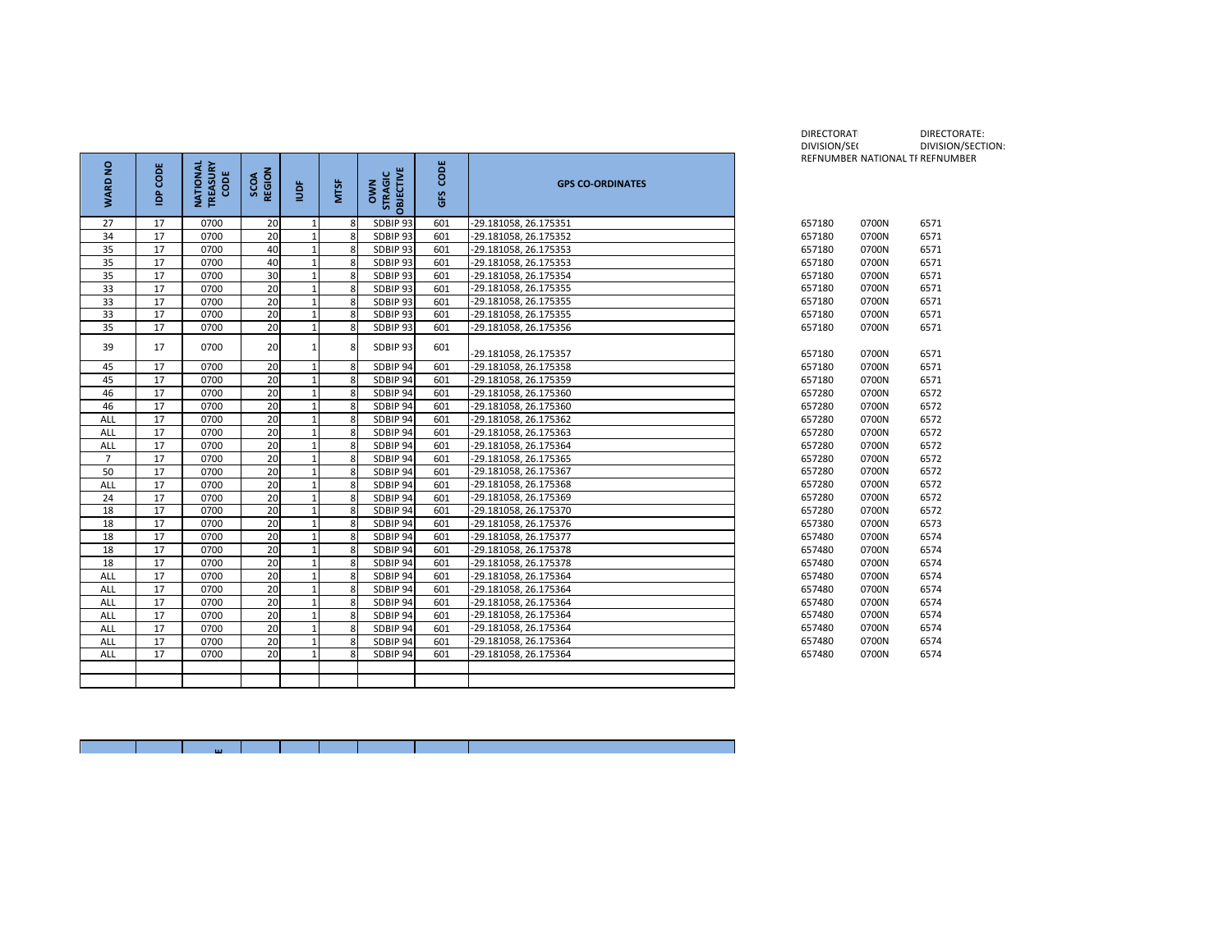| ş<br><b>WARD</b> | CODE<br>å | <b>NATIONAL<br/>TREASURY<br/>CODE</b> | SCOA<br>REGION | $\overline{9}$ | <b>MTSF</b> | OWN<br>STRAGIC<br>OBJECTIVE | CODE<br>GFS | <b>GPS CO-ORDINATES</b> |        | REFNUMBER NATIONAL TF REFN |      |
|------------------|-----------|---------------------------------------|----------------|----------------|-------------|-----------------------------|-------------|-------------------------|--------|----------------------------|------|
| 27               | 17        | 0700                                  | 20             | 1              | 8           | SDBIP 93                    | 601         | -29.181058, 26.175351   | 657180 | 0700N                      | 6571 |
| 34               | 17        | 0700                                  | 20             | $\mathbf{1}$   |             | SDBIP 93                    | 601         | -29.181058, 26.175352   | 657180 | 0700N                      | 6571 |
| 35               | 17        | 0700                                  | 40             | $\mathbf{1}$   | 8           | SDBIP 93                    | 601         | -29.181058, 26.175353   | 657180 | 0700N                      | 6571 |
| 35               | 17        | 0700                                  | 40             | $\mathbf{1}$   | 8           | SDBIP 93                    | 601         | -29.181058, 26.175353   | 657180 | 0700N                      | 6571 |
| 35               | 17        | 0700                                  | 30             | $\mathbf{1}$   | 8           | SDBIP 93                    | 601         | -29.181058, 26.175354   | 657180 | 0700N                      | 6571 |
| 33               | 17        | 0700                                  | 20             | 1              | 8           | SDBIP 93                    | 601         | -29.181058, 26.175355   | 657180 | 0700N                      | 6571 |
| 33               | 17        | 0700                                  | 20             | $\mathbf{1}$   | 8           | SDBIP 93                    | 601         | -29.181058, 26.175355   | 657180 | 0700N                      | 6571 |
| 33               | 17        | 0700                                  | 20             | $\mathbf{1}$   | 8           | SDBIP 93                    | 601         | -29.181058, 26.175355   | 657180 | 0700N                      | 6571 |
| 35               | 17        | 0700                                  | 20             | $\mathbf{1}$   | 8           | SDBIP 93                    | 601         | $-29.181058, 26.175356$ | 657180 | 0700N                      | 6571 |
| 39               | 17        | 0700                                  | 20             | $\mathbf{1}$   |             | SDBIP 93                    | 601         | -29.181058, 26.175357   | 657180 | 0700N                      | 6571 |
| 45               | 17        | 0700                                  | 20             | $\mathbf{1}$   | 8           | SDBIP 94                    | 601         | -29.181058, 26.175358   | 657180 | 0700N                      | 6571 |
| 45               | 17        | 0700                                  | 20             | $\mathbf{1}$   | 8           | SDBIP 94                    | 601         | -29.181058, 26.175359   | 657180 | 0700N                      | 6571 |
| 46               | 17        | 0700                                  | 20             | $\mathbf{1}$   | 8           | SDBIP 94                    | 601         | -29.181058, 26.175360   | 657280 | 0700N                      | 6572 |
| 46               | 17        | 0700                                  | 20             | $\mathbf{1}$   | 8           | SDBIP 94                    | 601         | -29.181058, 26.175360   | 657280 | 0700N                      | 6572 |
| ALL              | 17        | 0700                                  | 20             | $\mathbf{1}$   | 8           | SDBIP 94                    | 601         | -29.181058, 26.175362   | 657280 | 0700N                      | 6572 |
| ALL              | 17        | 0700                                  | 20             | $\mathbf{1}$   | 8           | SDBIP 94                    | 601         | -29.181058, 26.175363   | 657280 | 0700N                      | 6572 |
| ALL              | 17        | 0700                                  | 20             | $\mathbf{1}$   | 8           | SDBIP 94                    | 601         | -29.181058, 26.175364   | 657280 | 0700N                      | 6572 |
| $\overline{7}$   | 17        | 0700                                  | 20             | $\mathbf{1}$   | 8           | SDBIP 94                    | 601         | -29.181058, 26.175365   | 657280 | 0700N                      | 6572 |
| 50               | 17        | 0700                                  | 20             | $\overline{1}$ | 8           | SDBIP 94                    | 601         | -29.181058, 26.175367   | 657280 | 0700N                      | 6572 |
| ALL              | 17        | 0700                                  | 20             | $\mathbf{1}$   | 8           | SDBIP 94                    | 601         | -29.181058, 26.175368   | 657280 | 0700N                      | 6572 |
| 24               | 17        | 0700                                  | 20             | $\mathbf{1}$   | 8           | SDBIP 94                    | 601         | -29.181058, 26.175369   | 657280 | 0700N                      | 6572 |
| 18               | 17        | 0700                                  | 20             | $\mathbf{1}$   | 8           | SDBIP 94                    | 601         | -29.181058, 26.175370   | 657280 | 0700N                      | 6572 |
| 18               | 17        | 0700                                  | 20             | $\mathbf{1}$   | 8           | SDBIP 94                    | 601         | -29.181058, 26.175376   | 657380 | 0700N                      | 6573 |
| 18               | 17        | 0700                                  | 20             | $\mathbf{1}$   | 8           | SDBIP 94                    | 601         | -29.181058, 26.175377   | 657480 | 0700N                      | 6574 |
| 18               | 17        | 0700                                  | 20             | $\mathbf{1}$   | 8           | SDBIP 94                    | 601         | -29.181058, 26.175378   | 657480 | 0700N                      | 6574 |
| 18               | 17        | 0700                                  | 20             | $\mathbf{1}$   | 8           | SDBIP 94                    | 601         | -29.181058, 26.175378   | 657480 | 0700N                      | 6574 |
| ALL              | 17        | 0700                                  | 20             | $\mathbf{1}$   | 8           | SDBIP 94                    | 601         | -29.181058, 26.175364   | 657480 | 0700N                      | 6574 |
| ALL              | 17        | 0700                                  | 20             | $\mathbf{1}$   | 8           | SDBIP 94                    | 601         | -29.181058, 26.175364   | 657480 | 0700N                      | 6574 |
| ALL              | 17        | 0700                                  | 20             | $\mathbf{1}$   | 8           | SDBIP 94                    | 601         | -29.181058, 26.175364   | 657480 | 0700N                      | 6574 |
| ALL              | 17        | 0700                                  | 20             | $\mathbf{1}$   | 8           | SDBIP 94                    | 601         | -29.181058, 26.175364   | 657480 | 0700N                      | 6574 |
| ALL              | 17        | 0700                                  | 20             | $\mathbf{1}$   | 8           | SDBIP 94                    | 601         | -29.181058, 26.175364   | 657480 | 0700N                      | 6574 |
| ALL              | 17        | 0700                                  | 20             | $\mathbf{1}$   | 8           | SDBIP 94                    | 601         | -29.181058, 26.175364   | 657480 | 0700N                      | 6574 |
| ALL              | 17        | 0700                                  | 20             | $\mathbf{1}$   |             | SDBIP 94                    | 601         | -29.181058, 26.175364   | 657480 | 0700N                      | 6574 |
|                  |           |                                       |                |                |             |                             |             |                         |        |                            |      |

| DIRECTORAT                      | DIRECTORATE:      |
|---------------------------------|-------------------|
| DIVISION/SEC                    | DIVISION/SECTION: |
| REFNUMBER NATIONAL TF REFNUMBER |                   |

| 657180 | 0700N | 6571 |
|--------|-------|------|
| 657180 | 0700N | 6571 |
| 657180 | 0700N | 6571 |
| 657180 | 0700N | 6571 |
| 657180 | 0700N | 6571 |
| 657180 | 0700N | 6571 |
| 657180 | 0700N | 6571 |
| 657180 | 0700N | 6571 |
| 657180 | 0700N | 6571 |
| 657180 | 0700N | 6571 |
| 657180 | 0700N | 6571 |
| 657180 | 0700N | 6571 |
| 657280 | 0700N | 6572 |
| 657280 | 0700N | 6572 |
| 657280 | 0700N | 6572 |
| 657280 | 0700N | 6572 |
| 657280 | 0700N | 6572 |
| 657280 | 0700N | 6572 |
| 657280 | 0700N | 6572 |
| 657280 | 0700N | 6572 |
| 657280 | 0700N | 6572 |
| 657280 | 0700N | 6572 |
| 657380 | 0700N | 6573 |
| 657480 | 0700N | 6574 |
| 657480 | 0700N | 6574 |
| 657480 | 0700N | 6574 |
| 657480 | 0700N | 6574 |
| 657480 | 0700N | 6574 |
| 657480 | 0700N | 6574 |
| 657480 | 0700N | 6574 |
| 657480 | 0700N | 6574 |
| 657480 | 0700N | 6574 |
| 657480 | 0700N | 6574 |
|        |       |      |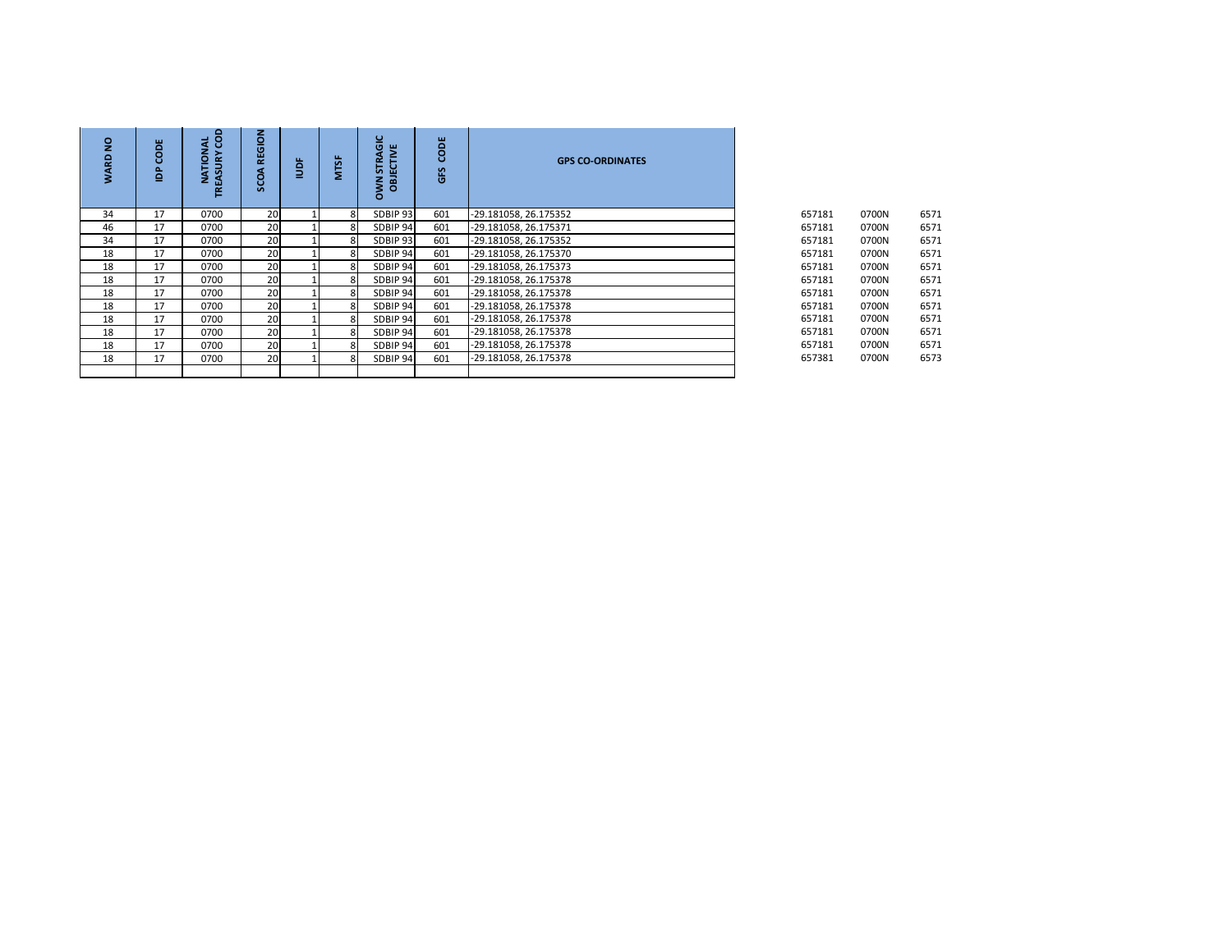| $\overline{2}$<br>WARD | ш<br>ō<br>ō<br>ō<br>≘ | 8<br>ಕ<br>ō<br>NON.<br>EASURY<br>z | REGION<br>o<br>ū | ğ | <b>MTSF</b> | ഉ<br>ō<br>뿔<br><b>STRA</b><br>m<br><b>NMO</b><br>굽<br>ō | CODE<br>GFS | <b>GPS CO-ORDINATES</b> |        |       |      |
|------------------------|-----------------------|------------------------------------|------------------|---|-------------|---------------------------------------------------------|-------------|-------------------------|--------|-------|------|
| 34                     | 17                    | 0700                               | 20               |   |             | SDBIP 93                                                | 601         | -29.181058, 26.175352   | 657181 | 0700N | 6571 |
| 46                     | 17                    | 0700                               | 20               |   |             | SDBIP 94                                                | 601         | -29.181058, 26.175371   | 657181 | 0700N | 6571 |
| 34                     | 17                    | 0700                               | 20               |   |             | SDBIP 93                                                | 601         | -29.181058, 26.175352   | 657181 | 0700N | 6571 |
| 18                     | 17                    | 0700                               | 20               |   |             | SDBIP 94                                                | 601         | -29.181058, 26.175370   | 657181 | 0700N | 6571 |
| 18                     | 17                    | 0700                               | 20               |   |             | SDBIP 94                                                | 601         | -29.181058, 26.175373   | 657181 | 0700N | 6571 |
| 18                     | 17                    | 0700                               | 20               |   |             | SDBIP 94                                                | 601         | -29.181058, 26.175378   | 657181 | 0700N | 6571 |
| 18                     | 17                    | 0700                               | 20               |   |             | SDBIP 94                                                | 601         | -29.181058, 26.175378   | 657181 | 0700N | 6571 |
| 18                     | 17                    | 0700                               | 20               |   |             | SDBIP 94                                                | 601         | -29.181058, 26.175378   | 657181 | 0700N | 6571 |
| 18                     | 17                    | 0700                               | 20               |   |             | SDBIP 94                                                | 601         | -29.181058, 26.175378   | 657181 | 0700N | 6571 |
| 18                     | 17                    | 0700                               | 20               |   |             | SDBIP 94                                                | 601         | -29.181058, 26.175378   | 657181 | 0700N | 6571 |
| 18                     | 17                    | 0700                               | 20               |   |             | SDBIP 94                                                | 601         | -29.181058, 26.175378   | 657181 | 0700N | 6571 |
| 18                     | 17                    | 0700                               | 20               |   |             | SDBIP 94                                                | 601         | -29.181058, 26.175378   | 657381 | 0700N | 6573 |
|                        |                       |                                    |                  |   |             |                                                         |             |                         |        |       |      |

| 657181 | 0700N | 6571 |
|--------|-------|------|
| 657181 | 0700N | 6571 |
| 657181 | 0700N | 6571 |
| 657181 | 0700N | 6571 |
| 657181 | 0700N | 6571 |
| 657181 | 0700N | 6571 |
| 657181 | 0700N | 6571 |
| 657181 | 0700N | 6571 |
| 657181 | 0700N | 6571 |
| 657181 | 0700N | 6571 |
| 657181 | 0700N | 6571 |
| 657381 | 0700N | 6573 |
|        |       |      |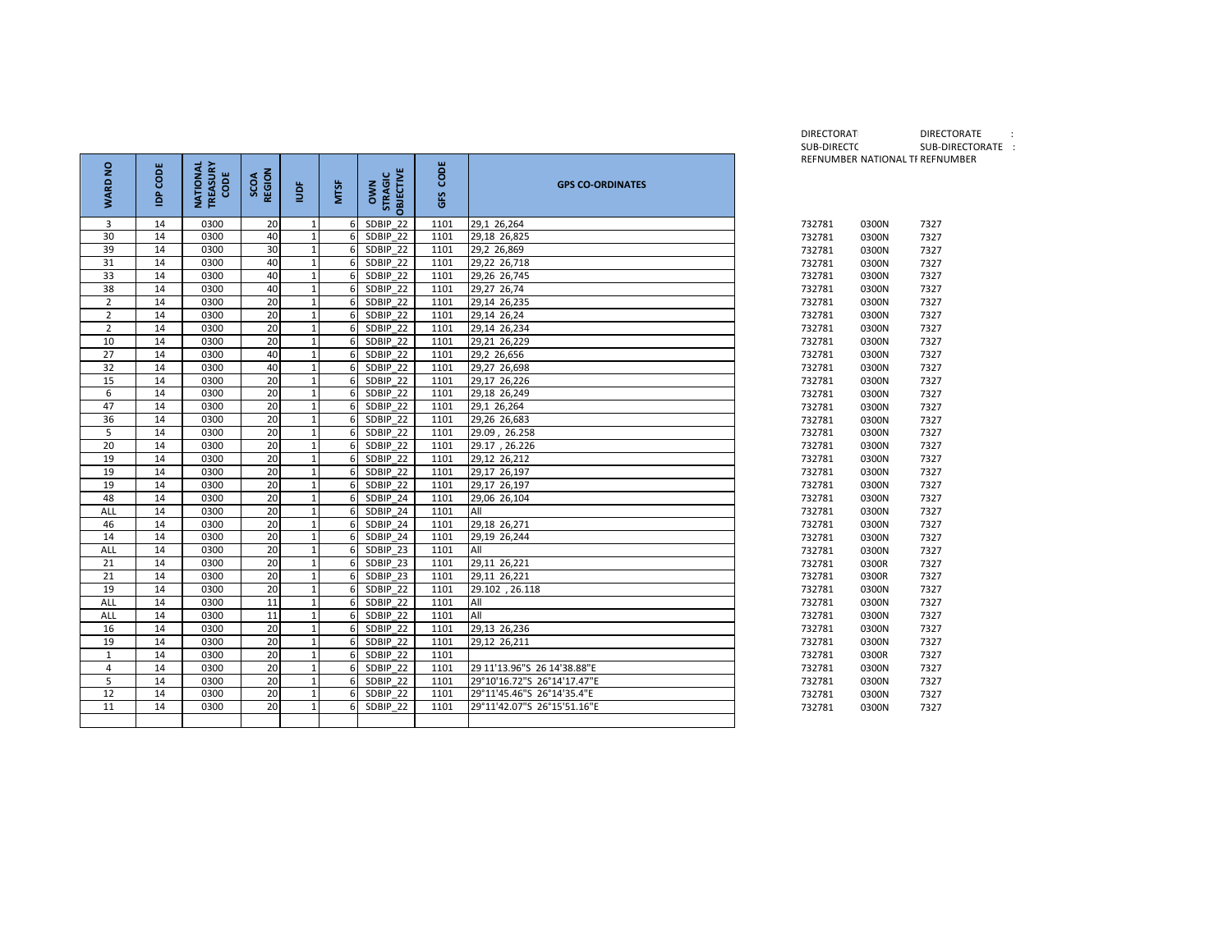|                  |                  |                                      |                       |                              |             |                                           |              |                              | <b>JUD-DINLUIT</b> | REFNUMBER NATIONAL TF REFN | ־טשכ         |
|------------------|------------------|--------------------------------------|-----------------------|------------------------------|-------------|-------------------------------------------|--------------|------------------------------|--------------------|----------------------------|--------------|
| g<br><b>WARD</b> | <b>CODE</b><br>å | <b>NATIONAL<br/>TREASURY</b><br>CODE | SCOA<br>REGION        | ğ                            | <b>MTSF</b> | <b>DBJECTIVE</b><br><b>STRAGIC</b><br>OWN | CODE<br>GFS  | <b>GPS CO-ORDINATES</b>      |                    |                            |              |
| 3                | 14               | 0300                                 | 20                    | 1                            | 6           | SDBIP 22                                  | 1101         | 29,1 26,264                  | 732781             | 0300N                      | 7327         |
| 30               | 14               | 0300                                 | 40                    | $\mathbf{1}$                 | 6           | SDBIP 22                                  | 1101         | 29,18 26,825                 | 732781             | 0300N                      | 7327         |
| 39               | 14               | 0300                                 | 30                    | $\mathbf 1$                  | 6           | $\overline{\text{SDBIP}}$ 22              | 1101         | 29,2 26,869                  | 732781             | 0300N                      | 7327         |
| 31               | 14               | 0300                                 | 40                    | $\mathbf{1}$                 | 6           | SDBIP 22                                  | 1101         | 29,22 26,718                 | 732781             | 0300N                      | 7327         |
| 33               | 14               | 0300                                 | 40                    | $\mathbf{1}$                 | 6           | SDBIP 22                                  | 1101         | 29,26 26,745                 | 732781             | 0300N                      | 7327         |
| 38               | 14               | 0300                                 | 40                    | $\mathbf{1}$                 | 6           | SDBIP 22                                  | 1101         | 29,27 26,74                  | 732781             | 0300N                      | 7327         |
| $\overline{2}$   | 14               | 0300                                 | 20                    | $\mathbf{1}$                 | 6           | SDBIP 22                                  | 1101         | 29,14 26,235                 | 732781             | 0300N                      | 7327         |
| $\overline{2}$   | 14               | 0300                                 | 20                    | $\mathbf{1}$                 | 6           | SDBIP 22                                  | 1101         | 29,14 26,24                  | 732781             | 0300N                      | 7327         |
| $\overline{2}$   | 14               | 0300                                 | 20                    | $\mathbf{1}$                 | 6           | SDBIP 22                                  | 1101         | 29,14 26,234                 | 732781             | 0300N                      | 7327         |
| 10               | 14               | 0300                                 | 20                    | $\mathbf{1}$                 | 6           | SDBIP 22                                  | 1101         | 29,21 26,229                 | 732781             | 0300N                      | 7327         |
| $\overline{27}$  | 14               | 0300                                 | 40                    | $\mathbf{1}$                 | 6           | SDBIP 22                                  | 1101         | 29,2 26,656                  | 732781             | 0300N                      | 7327         |
| 32               | 14               | 0300                                 | 40                    | $\mathbf 1$                  | 6           | SDBIP 22                                  | 1101         | 29,27 26,698                 | 732781             | 0300N                      | 7327         |
| 15               | 14               | 0300                                 | 20                    | $\mathbf{1}$                 | 6           | SDBIP 22                                  | 1101         | 29,17 26,226                 | 732781             | 0300N                      | 7327         |
| 6                | 14               | 0300                                 | $\overline{20}$       | $\mathbf{1}$                 | 6           | SDBIP 22                                  | 1101         | 29,18 26,249                 | 732781             | 0300N                      | 7327         |
| 47               | 14               | 0300                                 | 20                    | $1\,$                        | 6           | SDBIP 22                                  | 1101         | 29,1 26,264                  | 732781             | 0300N                      | 7327         |
| 36               | 14               | 0300                                 | 20                    | $1\,$                        | 6           | SDBIP 22                                  | 1101         | 29,26 26,683                 | 732781             | 0300N                      | 7327         |
| 5                | 14               | 0300                                 | 20                    | $\mathbf{1}$                 | 6           | SDBIP 22                                  | 1101         | 29.09, 26.258                | 732781             | 0300N                      | 7327         |
| 20               | 14               | 0300                                 | 20<br>20              | $1\,$                        | 6           | SDBIP 22                                  | 1101         | 29.17, 26.226                | 732781             | 0300N                      | 7327         |
| 19               | 14               | 0300                                 |                       | $\mathbf{1}$                 | 6           | SDBIP 22                                  | 1101         | 29,12 26,212                 | 732781             | 0300N                      | 7327         |
| 19<br>19         | 14<br>14         | 0300<br>0300                         | 20<br>$\overline{20}$ | $\mathbf{1}$<br>$\mathbf{1}$ | 6           | SDBIP 22<br>SDBIP 22                      | 1101<br>1101 | 29,17 26,197<br>29,17 26,197 | 732781             | 0300N                      | 7327         |
|                  |                  |                                      |                       |                              | 6           | SDBIP 24                                  |              |                              | 732781             | 0300N                      | 7327         |
| 48<br>ALL        | 14<br>14         | 0300<br>0300                         | 20<br>20              | $\mathbf{1}$<br>$\mathbf{1}$ | 6<br>6      | SDBIP 24                                  | 1101<br>1101 | 29,06 26,104<br>All          | 732781<br>732781   | 0300N<br>0300N             | 7327<br>7327 |
| 46               | 14               | 0300                                 | 20                    | $1\,$                        | 6           | SDBIP 24                                  | 1101         | 29,18 26,271                 | 732781             |                            | 7327         |
| 14               | 14               | 0300                                 | 20                    | $1\,$                        | 6           | SDBIP 24                                  | 1101         | 29,19 26,244                 | 732781             | 0300N<br>0300N             | 7327         |
| ALL              | 14               | 0300                                 | 20                    | $1\,$                        | 6           | SDBIP 23                                  | 1101         | All                          | 732781             | 0300N                      | 7327         |
| 21               | 14               | 0300                                 | 20                    | $\mathbf{1}$                 | 6           | SDBIP 23                                  | 1101         | 29,11 26,221                 | 732781             | 0300R                      | 7327         |
| 21               | 14               | 0300                                 | 20                    | $\mathbf{1}$                 | 6           | $\overline{SDBIP}$ 23                     | 1101         | 29,11 26,221                 | 732781             | 0300R                      | 7327         |
| 19               | 14               | 0300                                 | 20                    | $1\,$                        | 6           | SDBIP 22                                  | 1101         | 29.102, 26.118               | 732781             | 0300N                      | 7327         |
| ALL              | 14               | 0300                                 | 11                    | $\mathbf{1}$                 | 6           | SDBIP 22                                  | 1101         | All                          | 732781             | 0300N                      | 7327         |
| ALL              | 14               | 0300                                 | 11                    | $\mathbf{1}$                 | 6           | SDBIP 22                                  | 1101         | All                          | 732781             | 0300N                      | 7327         |
| 16               | 14               | 0300                                 | 20                    | 1                            | 6           | SDBIP 22                                  | 1101         | 29,13 26,236                 | 732781             | 0300N                      | 7327         |
| 19               | 14               | 0300                                 | 20                    | $\mathbf{1}$                 | 6           | SDBIP 22                                  | 1101         | 29,12 26,211                 | 732781             | 0300N                      | 7327         |
| $\mathbf{1}$     | 14               | 0300                                 | $\overline{20}$       | $\mathbf{1}$                 | 6           | SDBIP 22                                  | 1101         |                              | 732781             | 0300R                      | 7327         |
| $\overline{4}$   | 14               | 0300                                 | $\overline{20}$       | $\mathbf{1}$                 | 6           | SDBIP <sub>22</sub>                       | 1101         | 29 11'13.96"S 26 14'38.88"E  | 732781             | 0300N                      | 7327         |
| 5                | 14               | 0300                                 | 20                    | $\mathbf{1}$                 | 6           | SDBIP 22                                  | 1101         | 29°10'16.72"S 26°14'17.47"E  | 732781             | 0300N                      | 7327         |
| 12               | 14               | 0300                                 | 20                    | $\mathbf{1}$                 | 6           | SDBIP 22                                  | 1101         | 29°11'45.46"S 26°14'35.4"E   | 732781             | 0300N                      | 7327         |
| 11               | 14               | 0300                                 | 20                    | $\mathbf{1}$                 | 6           | SDBIP 22                                  | 1101         | 29°11'42.07"S 26°15'51.16"E  | 732781             | 0300N                      | 7327         |
|                  |                  |                                      |                       |                              |             |                                           |              |                              |                    |                            |              |

| DIRECTORAT                      | <b>DIRECTORATE</b> |  |
|---------------------------------|--------------------|--|
| SUB-DIRECTC                     | SUB-DIRECTORATE :  |  |
| REFNUMBER NATIONAL TF REFNUMBER |                    |  |

| 732781 | 0300N | 7327 |
|--------|-------|------|
| 732781 | 0300N | 7327 |
| 732781 | 0300N | 7327 |
| 732781 | 0300N | 7327 |
| 732781 | 0300N | 7327 |
| 732781 | 0300N | 7327 |
| 732781 | 0300N | 7327 |
| 732781 | 0300N | 7327 |
| 732781 | 0300N | 7327 |
| 732781 | 0300N | 7327 |
| 732781 | 0300N | 7327 |
| 732781 | 0300N | 7327 |
| 732781 | 0300N | 7327 |
| 732781 | 0300N | 7327 |
| 732781 | 0300N | 7327 |
| 732781 | 0300N | 7327 |
| 732781 | 0300N | 7327 |
| 732781 | 0300N | 7327 |
| 732781 | 0300N | 7327 |
| 732781 | 0300N | 7327 |
| 732781 | 0300N | 7327 |
| 732781 | 0300N | 7327 |
| 732781 | 0300N | 7327 |
| 732781 | 0300N | 7327 |
| 732781 | 0300N | 7327 |
| 732781 | 0300N | 7327 |
| 732781 | 0300R | 7327 |
| 732781 | 0300R | 7327 |
| 732781 | 0300N | 7327 |
| 732781 | 0300N | 7327 |
| 732781 | 0300N | 7327 |
| 732781 | 0300N | 7327 |
| 732781 | 0300N | 7327 |
| 732781 | 0300R | 7327 |
| 732781 | 0300N | 7327 |
| 732781 | 0300N | 7327 |
| 732781 | 0300N | 7327 |
| 732781 | 0300N | 7327 |
|        |       |      |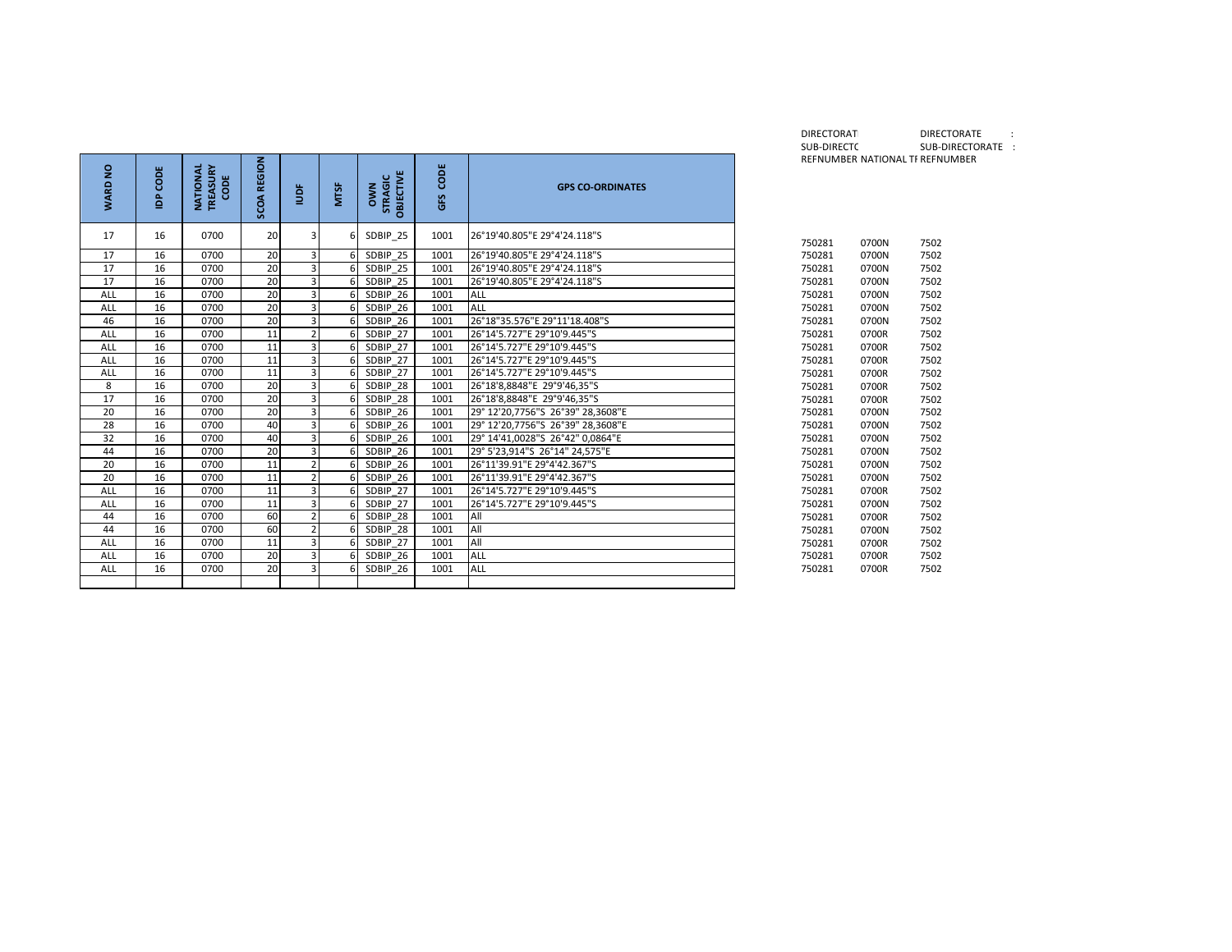| g           | CODE | <b>NATIONAL<br/>TREASURY<br/>CODE</b> | <b>REGION</b> | $\frac{a}{2}$  | <b>MTSF</b> | OBJECTIVE<br><b>STRAGIC</b> | <b>CODE</b> | <b>GPS CO-ORDINATES</b>           |        | <b>REFNUMBER NATIONAL TF REFN</b> |      |
|-------------|------|---------------------------------------|---------------|----------------|-------------|-----------------------------|-------------|-----------------------------------|--------|-----------------------------------|------|
| <b>WARD</b> | ê    |                                       | SCOA          |                |             | <b>S</b>                    | GFS         |                                   |        |                                   |      |
| 17          | 16   | 0700                                  | 20            | 3              |             | SDBIP 25                    | 1001        | 26°19'40.805"E 29°4'24.118"S      | 750281 | 0700N                             | 7502 |
| 17          | 16   | 0700                                  | 20            |                |             | SDBIP 25                    | 1001        | 26°19'40.805"E 29°4'24.118"S      | 750281 | 0700N                             | 7502 |
| 17          | 16   | 0700                                  | 20            | $\overline{3}$ |             | SDBIP 25                    | 1001        | 26°19'40.805"E 29°4'24.118"S      | 750281 | 0700N                             | 7502 |
| 17          | 16   | 0700                                  | 20            | $\overline{3}$ | 6           | SDBIP 25                    | 1001        | 26°19'40.805"E 29°4'24.118"S      | 750281 | 0700N                             | 7502 |
| ALL         | 16   | 0700                                  | 20            |                |             | SDBIP 26                    | 1001        | <b>ALL</b>                        | 750281 | 0700N                             | 7502 |
| ALL         | 16   | 0700                                  | 20            | $\overline{3}$ |             | SDBIP 26                    | 1001        | ALL                               | 750281 | 0700N                             | 7502 |
| 46          | 16   | 0700                                  | 20            |                |             | SDBIP 26                    | 1001        | 26°18"35.576"E 29°11'18.408"S     | 750281 | 0700N                             | 7502 |
| ALL         | 16   | 0700                                  | 11            | $\overline{2}$ |             | SDBIP 27                    | 1001        | 26°14'5.727"E 29°10'9.445"S       | 750281 | 0700R                             | 7502 |
| ALL         | 16   | 0700                                  | 11            | $\overline{3}$ |             | SDBIP 27                    | 1001        | 26°14'5.727"E 29°10'9.445"S       | 750281 | 0700R                             | 7502 |
| ALL         | 16   | 0700                                  | 11            |                |             | SDBIP 27                    | 1001        | 26°14'5.727"E 29°10'9.445"S       | 750281 | 0700R                             | 7502 |
| ALL         | 16   | 0700                                  | 11            |                |             | SDBIP 27                    | 1001        | 26°14'5.727"E 29°10'9.445"S       | 750281 | 0700R                             | 7502 |
| 8           | 16   | 0700                                  | 20            | $\overline{3}$ |             | SDBIP 28                    | 1001        | 26°18'8,8848"E 29°9'46,35"S       | 750281 | 0700R                             | 7502 |
| 17          | 16   | 0700                                  | 20            | $\overline{3}$ |             | SDBIP 28                    | 1001        | 26°18'8,8848"E 29°9'46,35"S       | 750281 | 0700R                             | 7502 |
| 20          | 16   | 0700                                  | 20            | $\overline{3}$ |             | SDBIP 26                    | 1001        | 29° 12'20.7756"S 26°39" 28.3608"E | 750281 | 0700N                             | 7502 |
| 28          | 16   | 0700                                  | 40            | $\overline{3}$ |             | SDBIP 26                    | 1001        | 29° 12'20.7756"S 26°39" 28.3608"E | 750281 | 0700N                             | 7502 |
| 32          | 16   | 0700                                  | 40            | $\overline{3}$ | 6           | SDBIP 26                    | 1001        | 29° 14'41,0028"S 26°42" 0,0864"E  | 750281 | 0700N                             | 7502 |
| 44          | 16   | 0700                                  | 20            | $\overline{3}$ |             | SDBIP 26                    | 1001        | 29° 5'23.914"S 26°14" 24.575"E    | 750281 | 0700N                             | 7502 |
| 20          | 16   | 0700                                  | 11            | $\overline{2}$ |             | SDBIP 26                    | 1001        | 26°11'39.91"E 29°4'42.367"S       | 750281 | 0700N                             | 7502 |
| 20          | 16   | 0700                                  | 11            |                |             | SDBIP 26                    | 1001        | 26°11'39.91"E 29°4'42.367"S       | 750281 | 0700N                             | 7502 |
| ALL         | 16   | 0700                                  | 11            | $\overline{3}$ | 6           | SDBIP 27                    | 1001        | 26°14'5.727"E 29°10'9.445"S       | 750281 | 0700R                             | 7502 |
| ALL         | 16   | 0700                                  | 11            |                |             | SDBIP 27                    | 1001        | 26°14'5.727"E 29°10'9.445"S       | 750281 | 0700N                             | 7502 |
| 44          | 16   | 0700                                  | 60            | $\overline{2}$ | 6           | SDBIP 28                    | 1001        | All                               | 750281 | 0700R                             | 7502 |
| 44          | 16   | 0700                                  | 60            | $\overline{2}$ |             | SDBIP 28                    | 1001        | All                               | 750281 | 0700N                             | 7502 |
| ALL         | 16   | 0700                                  | 11            | $\overline{3}$ | 6           | SDBIP 27                    | 1001        | All                               | 750281 | 0700R                             | 7502 |
| ALL         | 16   | 0700                                  | 20            | $\overline{3}$ |             | SDBIP 26                    | 1001        | ALL                               | 750281 | 0700R                             | 7502 |
| ALL         | 16   | 0700                                  | 20            | $\overline{3}$ |             | SDBIP 26                    | 1001        | <b>ALL</b>                        | 750281 | 0700R                             | 7502 |
|             |      |                                       |               |                |             |                             |             |                                   |        |                                   |      |

DIRECTORATE : DIRECTORATE : SUB-DIRECTORATE : REFNUMBER NATIONAL TF REFNUMBER

| 750281 | 0700N | 7502 |
|--------|-------|------|
| 750281 | 0700N | 7502 |
| 750281 | 0700N | 7502 |
| 750281 | 0700N | 7502 |
| 750281 | 0700N | 7502 |
| 750281 | 0700N | 7502 |
| 750281 | 0700N | 7502 |
| 750281 | 0700R | 7502 |
| 750281 | 0700R | 7502 |
| 750281 | 0700R | 7502 |
| 750281 | 0700R | 7502 |
| 750281 | 0700R | 7502 |
| 750281 | 0700R | 7502 |
| 750281 | 0700N | 7502 |
| 750281 | 0700N | 7502 |
| 750281 | 0700N | 7502 |
| 750281 | 0700N | 7502 |
| 750281 | 0700N | 7502 |
| 750281 | 0700N | 7502 |
| 750281 | 0700R | 7502 |
| 750281 | 0700N | 7502 |
| 750281 | 0700R | 7502 |
| 750281 | 0700N | 7502 |
| 750281 | 0700R | 7502 |
| 750281 | 0700R | 7502 |
| 750281 | 0700R | 7502 |
|        |       |      |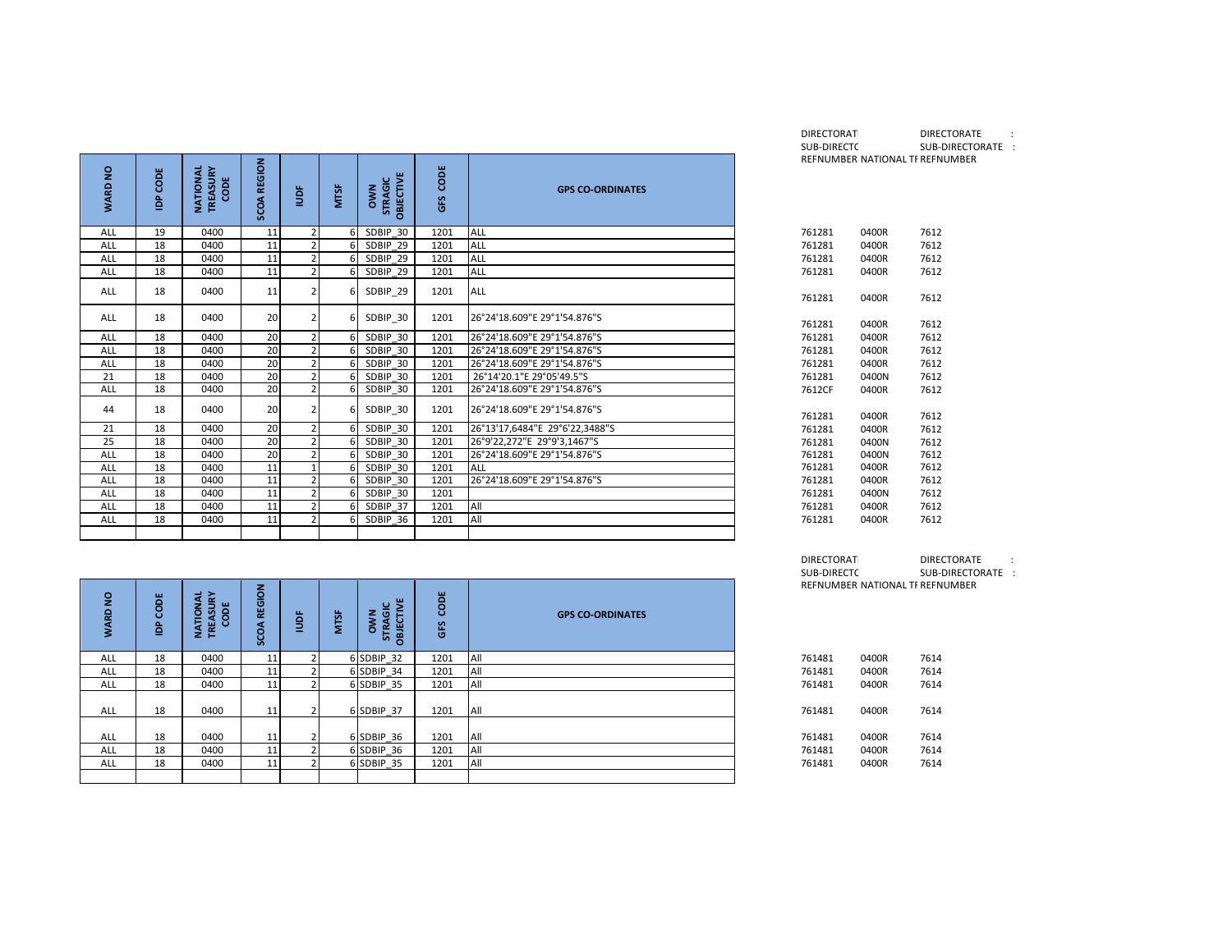| $\overline{2}$<br>WARD | CODE<br>å | NATIONAL<br>TREASURY<br>CODE | <b>SCOA REGION</b> | ğ              | <b>MTSF</b> | STRAGIC<br>OBJECTIVE<br>OWN | CODE<br>GFS | <b>GPS CO-ORDINATES</b>        |        | REFNUMBER NATIONAL TF REFN |      |
|------------------------|-----------|------------------------------|--------------------|----------------|-------------|-----------------------------|-------------|--------------------------------|--------|----------------------------|------|
| <b>ALL</b>             | 19        | 0400                         | 11                 | $\overline{2}$ |             | SDBIP 30                    | 1201        | ALL                            | 761281 | 0400R                      | 7612 |
| <b>ALL</b>             | 18        | 0400                         | 11                 | $\overline{2}$ |             | SDBIP 29                    | 1201        | <b>ALL</b>                     | 761281 | 0400R                      | 7612 |
| ALL                    | 18        | 0400                         | 11                 | $\overline{2}$ |             | SDBIP 29                    | 1201        | <b>ALL</b>                     | 761281 | 0400R                      | 7612 |
| ALL                    | 18        | 0400                         | 11                 | $\overline{2}$ |             | SDBIP 29                    | 1201        | ALL                            | 761281 | 0400R                      | 7612 |
| <b>ALL</b>             | 18        | 0400                         | 11                 | $\overline{2}$ |             | SDBIP 29                    | 1201        | ALL                            | 761281 | 0400R                      | 7612 |
| <b>ALL</b>             | 18        | 0400                         | 20                 | $\overline{2}$ | 61          | SDBIP 30                    | 1201        | 26°24'18.609"E 29°1'54.876"S   | 761281 | 0400R                      | 7612 |
| <b>ALL</b>             | 18        | 0400                         | 20                 | $\overline{2}$ |             | SDBIP 30                    | 1201        | 26°24'18.609"E 29°1'54.876"S   | 761281 | 0400R                      | 7612 |
| <b>ALL</b>             | 18        | 0400                         | 20                 | $\overline{2}$ |             | SDBIP 30                    | 1201        | 26°24'18.609"E 29°1'54.876"S   | 761281 | 0400R                      | 7612 |
| ALL                    | 18        | 0400                         | 20                 | $\overline{2}$ |             | SDBIP 30                    | 1201        | 26°24'18.609"E 29°1'54.876"S   | 761281 | 0400R                      | 7612 |
| 21                     | 18        | 0400                         | 20                 | $\overline{2}$ |             | SDBIP 30                    | 1201        | 26°14'20.1"E 29°05'49.5"S      | 761281 | 0400N                      | 7612 |
| <b>ALL</b>             | 18        | 0400                         | 20                 | $\overline{2}$ |             | SDBIP 30                    | 1201        | 26°24'18.609"E 29°1'54.876"S   | 7612CF | 0400R                      | 7612 |
| 44                     | 18        | 0400                         | 20                 | 2              | 61          | SDBIP 30                    | 1201        | 26°24'18.609"E 29°1'54.876"S   | 761281 | 0400R                      | 7612 |
| 21                     | 18        | 0400                         | 20                 | $\overline{2}$ |             | SDBIP 30                    | 1201        | 26°13'17,6484"E 29°6'22,3488"S | 761281 | 0400R                      | 7612 |
| 25                     | 18        | 0400                         | 20                 | $\overline{2}$ |             | SDBIP 30                    | 1201        | 26°9'22,272"E 29°9'3,1467"S    | 761281 | 0400N                      | 7612 |
| ALL                    | 18        | 0400                         | 20                 | $\overline{2}$ |             | SDBIP 30                    | 1201        | 26°24'18.609"E 29°1'54.876"S   | 761281 | 0400N                      | 7612 |
| ALL                    | 18        | 0400                         | 11                 | $\mathbf{1}$   |             | $SDBIP$ 30                  | 1201        | ALL                            | 761281 | 0400R                      | 7612 |
| ALL                    | 18        | 0400                         | 11                 | $\overline{2}$ |             | SDBIP 30                    | 1201        | 26°24'18.609"E 29°1'54.876"S   | 761281 | 0400R                      | 7612 |
| <b>ALL</b>             | 18        | 0400                         | 11                 | $\overline{2}$ |             | SDBIP 30                    | 1201        |                                | 761281 | 0400N                      | 7612 |
| ALL                    | 18        | 0400                         | 11                 | $\overline{2}$ |             | SDBIP 37                    | 1201        | All                            | 761281 | 0400R                      | 7612 |
| ALL                    | 18        | 0400                         | 11                 | $\overline{2}$ |             | SDBIP 36                    | 1201        | All                            | 761281 | 0400R                      | 7612 |
|                        |           |                              |                    |                |             |                             |             |                                |        |                            |      |

| DIRECTORAT                      | <b>DIRECTORATE</b> | ٠<br>٠ |
|---------------------------------|--------------------|--------|
| SUB-DIRECTC                     | SUB-DIRECTORATE :  |        |
| REFNUMBER NATIONAL TF REFNUMBER |                    |        |

| 761281 | 0400R | 7612 |
|--------|-------|------|
| 761281 | 0400R | 7612 |
| 761281 | 0400R | 7612 |
| 761281 | 0400R | 7612 |
|        |       |      |
| 761281 | 0400R | 7612 |
|        |       |      |
| 761281 | 0400R | 7612 |
| 761281 | 0400R | 7612 |
| 761281 | 0400R | 7612 |
| 761281 | 0400R | 7612 |
| 761281 | 0400N | 7612 |
| 7612CF | 0400R | 7612 |
|        |       |      |
| 761281 | 0400R | 7612 |
| 761281 | 0400R | 7612 |
| 761281 | 0400N | 7612 |
| 761281 | 0400N | 7612 |
| 761281 | 0400R | 7612 |
| 761281 | 0400R | 7612 |
| 761281 | 0400N | 7612 |
| 761281 | 0400R | 7612 |
| 761281 | 0400R | 7612 |
|        |       |      |

| DIRECTORAT                      | <b>DIRECTORATE</b> |  |
|---------------------------------|--------------------|--|
| SUB-DIRECTC                     | SUB-DIRECTORATE    |  |
| REFNUMBER NATIONAL TF REFNUMBER |                    |  |

| 761481 | 0400R | 7614 |
|--------|-------|------|
| 761481 | 0400R | 7614 |
| 761481 | 0400R | 7614 |
| 761481 | 0400R | 7614 |
| 761481 | 0400R | 7614 |
| 761481 | 0400R | 7614 |
| 761481 | 0400R | 7614 |

| $\overline{2}$<br>윤<br>℥ | 뿜<br>ō<br>ō<br>Δ.<br>훀 | ಕ<br><b>EY</b><br>z<br>CODE<br><b>NATIOI</b><br>TREASI | <b>REGION</b><br>င္ပင | ğ | <b>MTSF</b> | <b>STRAGIC</b><br><b>NMO</b><br>OBJECTI | CODE<br>GFS | <b>GPS CO-ORDINATES</b> |        | REFNUMBER NATIONAL TF REFN |      |
|--------------------------|------------------------|--------------------------------------------------------|-----------------------|---|-------------|-----------------------------------------|-------------|-------------------------|--------|----------------------------|------|
| ALL                      | 18                     | 0400                                                   | 11                    |   |             | 6 SDBIP 32                              | 1201        | <b>All</b>              | 761481 | 0400R                      | 7614 |
| ALL                      | 18                     | 0400                                                   | 11 <sub>1</sub>       |   |             | 6 SDBIP 34                              | 1201        | All                     | 761481 | 0400R                      | 7614 |
| <b>ALL</b>               | 18                     | 0400                                                   | 11                    |   |             | 6 SDBIP 35                              | 1201        | <b>All</b>              | 761481 | 0400R                      | 7614 |
| ALL                      | 18                     | 0400                                                   | 11                    |   |             | 6 SDBIP 37                              | 1201        | <b>All</b>              | 761481 | 0400R                      | 7614 |
| <b>ALL</b>               | 18                     | 0400                                                   | 11                    |   |             | 6 SDBIP 36                              | 1201        | <b>All</b>              | 761481 | 0400R                      | 7614 |
| <b>ALL</b>               | 18                     | 0400                                                   | 11                    |   |             | 6 SDBIP 36                              | 1201        | <b>All</b>              | 761481 | 0400R                      | 7614 |
| ALL                      | 18                     | 0400                                                   | 11                    |   |             | 6 SDBIP 35                              | 1201        | All                     | 761481 | 0400R                      | 7614 |
|                          |                        |                                                        |                       |   |             |                                         |             |                         |        |                            |      |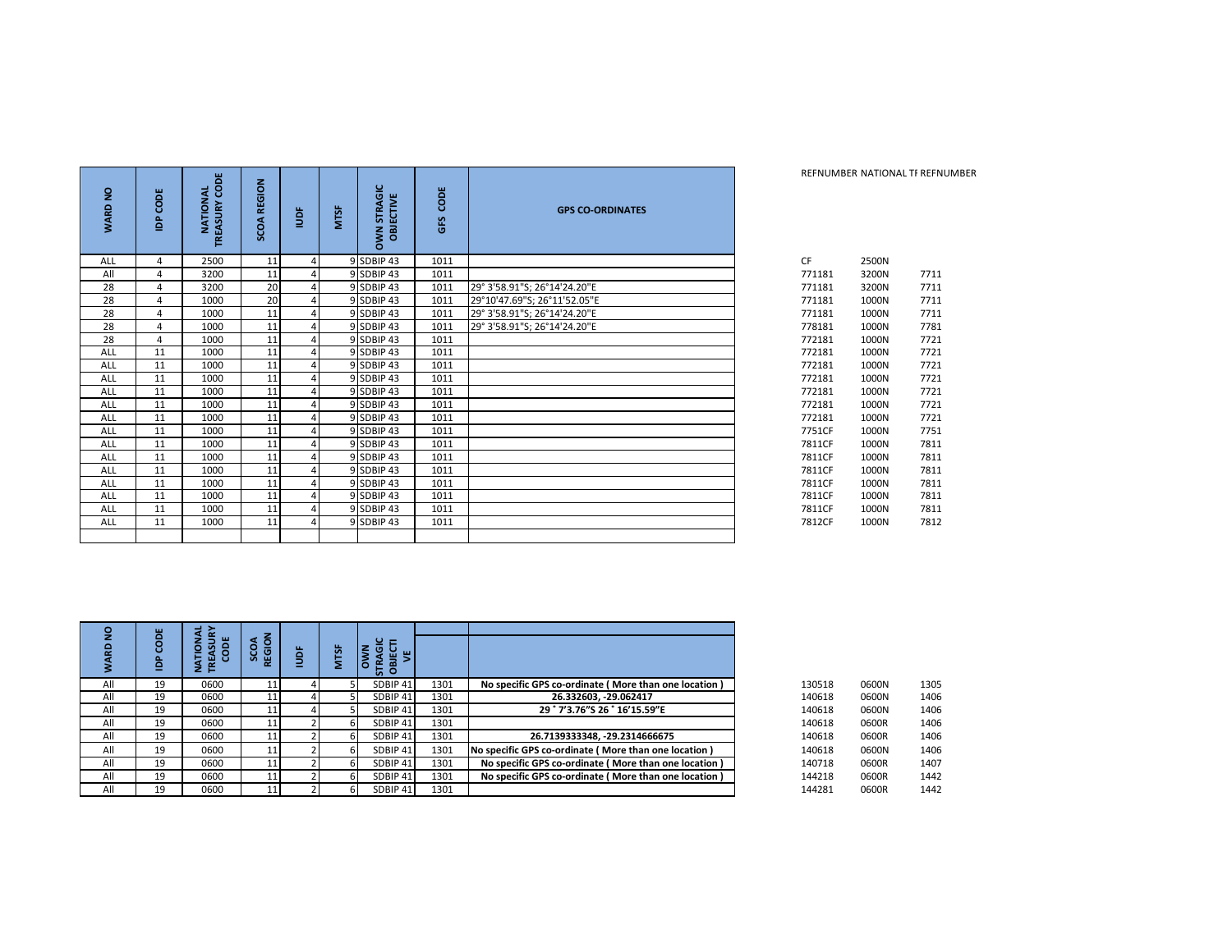| $\mathsf{S}$<br>WARD I | CODE<br>å        | <b>TREASURY CODE</b><br>NATIONAL    | <b>SCOA REGION</b>    | $\frac{1}{2}$                    | <b>MTSF</b> | <b>OWN STRAGIC</b><br>OBJECTIVE                           | CODE<br>GFS  | <b>GPS CO-ORDINATES</b>                                  |                  | REFNUMBER NATIONAL TF REFN |              |
|------------------------|------------------|-------------------------------------|-----------------------|----------------------------------|-------------|-----------------------------------------------------------|--------------|----------------------------------------------------------|------------------|----------------------------|--------------|
| ALL                    | 4                | 2500                                | 11                    | $\overline{4}$                   |             | 9 SDBIP 43                                                | 1011         |                                                          | CF               | 2500N                      |              |
| All                    | 4                | 3200                                | 11                    | $\overline{4}$                   | 9           | SDBIP 43                                                  | 1011         |                                                          | 771181           | 3200N                      | 7711         |
| 28                     | 4                | 3200                                | 20                    | $\overline{4}$                   |             | 9 SDBIP 43                                                | 1011         | 29° 3'58.91"S; 26°14'24.20"E                             | 771181           | 3200N                      | 7711         |
| 28                     | 4                | 1000                                | $\overline{20}$       | $\overline{4}$                   |             | 9 SDBIP 43                                                | 1011         | 29°10'47.69"S; 26°11'52.05"E                             | 771181           | 1000N                      | 7711         |
| 28                     | $\overline{4}$   | 1000                                | 11                    | 4                                |             | 9 SDBIP 43                                                | 1011         | 29° 3'58.91"S; 26°14'24.20"E                             | 771181           | 1000N                      | 7711         |
| 28                     | 4                | 1000                                | 11                    | 4                                |             | 9 SDBIP 43                                                | 1011         | 29° 3'58.91"S; 26°14'24.20"E                             | 778181           | 1000N                      | 7781         |
| 28                     | 4                | 1000                                | 11                    | $\overline{4}$                   |             | 9 SDBIP 43                                                | 1011         |                                                          | 772181           | 1000N                      | 7721         |
| ALL                    | 11               | 1000                                | 11                    | $\overline{a}$                   |             | 9 SDBIP 43                                                | 1011         |                                                          | 772181           | 1000N                      | 7721         |
| ALL                    | 11               | 1000                                | 11                    | 4                                |             | 9 SDBIP 43                                                | 1011         |                                                          | 772181           | 1000N                      | 7721         |
| ALL                    | 11               | 1000                                | 11                    | 4                                |             | 9 SDBIP 43                                                | 1011         |                                                          | 772181           | 1000N                      | 7721         |
| ALL                    | 11               | 1000                                | $\overline{11}$       | $\overline{4}$                   |             | 9 SDBIP 43                                                | 1011         |                                                          | 772181           | 1000N                      | 7721         |
| ALL                    | 11               | 1000                                | 11                    | $\overline{4}$                   |             | 9 SDBIP 43                                                | 1011         |                                                          | 772181           | 1000N                      | 7721         |
| ALL<br>ALL             | 11<br>11         | 1000<br>1000                        | 11<br>11              | 4                                |             | 9 SDBIP 43<br>9 SDBIP 43                                  | 1011<br>1011 |                                                          | 772181<br>7751CF | 1000N                      | 7721<br>7751 |
| ALL                    | 11               | 1000                                | 11                    | 4<br>4                           |             | 9 SDBIP 43                                                | 1011         |                                                          | 7811CF           | 1000N<br>1000N             | 7811         |
| ALL                    | 11               | 1000                                | 11                    | 4                                |             | 9 SDBIP 43                                                | 1011         |                                                          | 7811CF           | 1000N                      | 7811         |
| ALL                    | 11               | 1000                                | 11                    | 4                                |             | 9 SDBIP 43                                                | 1011         |                                                          | 7811CF           | 1000N                      | 7811         |
| ALL                    | 11               | 1000                                | 11                    | 4                                |             | 9 SDBIP 43                                                | 1011         |                                                          | 7811CF           | 1000N                      | 7811         |
| ALL                    | 11               | 1000                                | 11                    | 4                                |             | 9 SDBIP 43                                                | 1011         |                                                          | 7811CF           | 1000N                      | 7811         |
| ALL                    | 11               | 1000                                | 11                    | 4                                |             | 9 SDBIP 43                                                | 1011         |                                                          | 7811CF           | 1000N                      | 7811         |
| <b>ALL</b>             | 11               | 1000                                | 11                    | 4                                |             | 9 SDBIP 43                                                | 1011         |                                                          | 7812CF           | 1000N                      | 7812         |
|                        |                  |                                     |                       |                                  |             |                                                           |              |                                                          |                  |                            |              |
| WARD NO                | <b>CODE</b><br>å | <b>NATIONAL</b><br>TREASURY<br>CODE | SCOA<br>REGION        | ğ                                | <b>MTSF</b> | <b>STRAGIC</b><br>OBJECTI<br><b>NAO</b><br>$\overline{5}$ |              |                                                          |                  |                            |              |
| All                    | 19               | 0600                                | 11<br>$\overline{11}$ | 4                                | 5           | SDBIP 41                                                  | 1301<br>1301 | No specific GPS co-ordinate (More than one location)     | 130518           | 0600N                      | 1305         |
| All<br>All             | 19<br>19         | 0600<br>0600                        | $\overline{11}$       | $\overline{4}$<br>$\overline{4}$ | 5<br>5      | SDBIP 41<br>SDBIP 41                                      | 1301         | 26.332603, -29.062417<br>29 ° 7'3.76" S 26 ° 16'15.59" E | 140618<br>140618 | 0600N<br>0600N             | 1406<br>1406 |
| All                    | 19               | 0600                                | 11                    | $\overline{2}$                   | 6           | SDBIP 41                                                  | 1301         |                                                          | 140618           | 0600R                      | 1406         |
| All                    | 19               | 0600                                | 11                    | $\overline{\mathbf{c}}$          | 6           | SDBIP 41                                                  | 1301         | 26.7139333348, -29.2314666675                            | 140618           | 0600R                      | 1406         |
| All                    | 19               | 0600                                | 11                    | $\overline{2}$                   | 6           | SDBIP 41                                                  | 1301         | No specific GPS co-ordinate (More than one location)     | 140618           | 0600N                      | 1406         |
| All                    | 19               | 0600                                | 11                    | $\overline{2}$                   | 6           | SDBIP 41                                                  | 1301         | No specific GPS co-ordinate (More than one location)     | 140718           | 0600R                      | 1407         |
| All                    | 19               | 0600                                | 11                    | $\overline{2}$                   | 6           | SDBIP 41                                                  | 1301         | No specific GPS co-ordinate (More than one location)     | 144218           | 0600R                      | 1442         |
| All                    | 19               | 0600                                | 11                    | $\overline{2}$                   | $6 \mid$    | SDBIP 41                                                  | 1301         |                                                          | 144281           | 0600R                      | 1442         |
|                        |                  |                                     |                       |                                  |             |                                                           |              |                                                          |                  |                            |              |

REFNUMBER NATIONAL TF REFNUMBER

| CF     | 2500N |      |
|--------|-------|------|
| 771181 | 3200N | 7711 |
| 771181 | 3200N | 7711 |
| 771181 | 1000N | 7711 |
| 771181 | 1000N | 7711 |
| 778181 | 1000N | 7781 |
| 772181 | 1000N | 7721 |
| 772181 | 1000N | 7721 |
| 772181 | 1000N | 7721 |
| 772181 | 1000N | 7721 |
| 772181 | 1000N | 7721 |
| 772181 | 1000N | 7721 |
| 772181 | 1000N | 7721 |
| 7751CF | 1000N | 7751 |
| 7811CF | 1000N | 7811 |
| 7811CF | 1000N | 7811 |
| 7811CF | 1000N | 7811 |
| 7811CF | 1000N | 7811 |
| 7811CF | 1000N | 7811 |
| 7811CF | 1000N | 7811 |
| 7812CF | 1000N | 7812 |
|        |       |      |

| g                | ш  |             |                |   |            |                         |      |                                                      |        |       |      |
|------------------|----|-------------|----------------|---|------------|-------------------------|------|------------------------------------------------------|--------|-------|------|
| $\triangleright$ |    | ш<br>ē<br>o | REGION<br>SCOA | š | <b>TSF</b> | ē<br>$\zeta$<br>o<br>ш  |      |                                                      |        |       |      |
|                  |    |             |                |   |            | <b>OBJE</b><br>O<br>in. |      |                                                      |        |       |      |
| All              | 19 | 0600        | 11             |   |            | SDBIP 41                | 1301 | No specific GPS co-ordinate (More than one location) | 130518 | 0600N | 1305 |
| All              | 19 | 0600        | 11             |   |            | SDBIP 41                | 1301 | 26.332603, -29.062417                                | 140618 | 0600N | 1406 |
| All              | 19 | 0600        | 11             |   |            | SDBIP 41                | 1301 | 29 ° 7'3.76" S 26 ° 16' 15.59" E                     | 140618 | 0600N | 1406 |
| All              | 19 | 0600        | 11             |   |            | SDBIP 41                | 1301 |                                                      | 140618 | 0600R | 1406 |
| All              | 19 | 0600        | 11             |   |            | SDBIP 41                | 1301 | 26.7139333348, -29.2314666675                        | 140618 | 0600R | 1406 |
| All              | 19 | 0600        | 11             |   |            | SDBIP 41                | 1301 | No specific GPS co-ordinate (More than one location) | 140618 | 0600N | 1406 |
| All              | 19 | 0600        | 11             |   |            | SDBIP <sub>41</sub>     | 1301 | No specific GPS co-ordinate (More than one location) | 140718 | 0600R | 1407 |
| All              | 19 | 0600        | 11             |   |            | SDBIP 41                | 1301 | No specific GPS co-ordinate (More than one location) | 144218 | 0600R | 1442 |
| All              | 19 | 0600        |                |   |            | SDBIP 41                | 1301 |                                                      | 144281 | 0600R | 1442 |

| 130518 | 0600N | 1305 |
|--------|-------|------|
| 140618 | 0600N | 1406 |
| 140618 | 0600N | 1406 |
| 140618 | 0600R | 1406 |
| 140618 | 0600R | 1406 |
| 140618 | 0600N | 1406 |
| 140718 | 0600R | 1407 |
| 144218 | 0600R | 1442 |
| 144281 | 0600R | 1442 |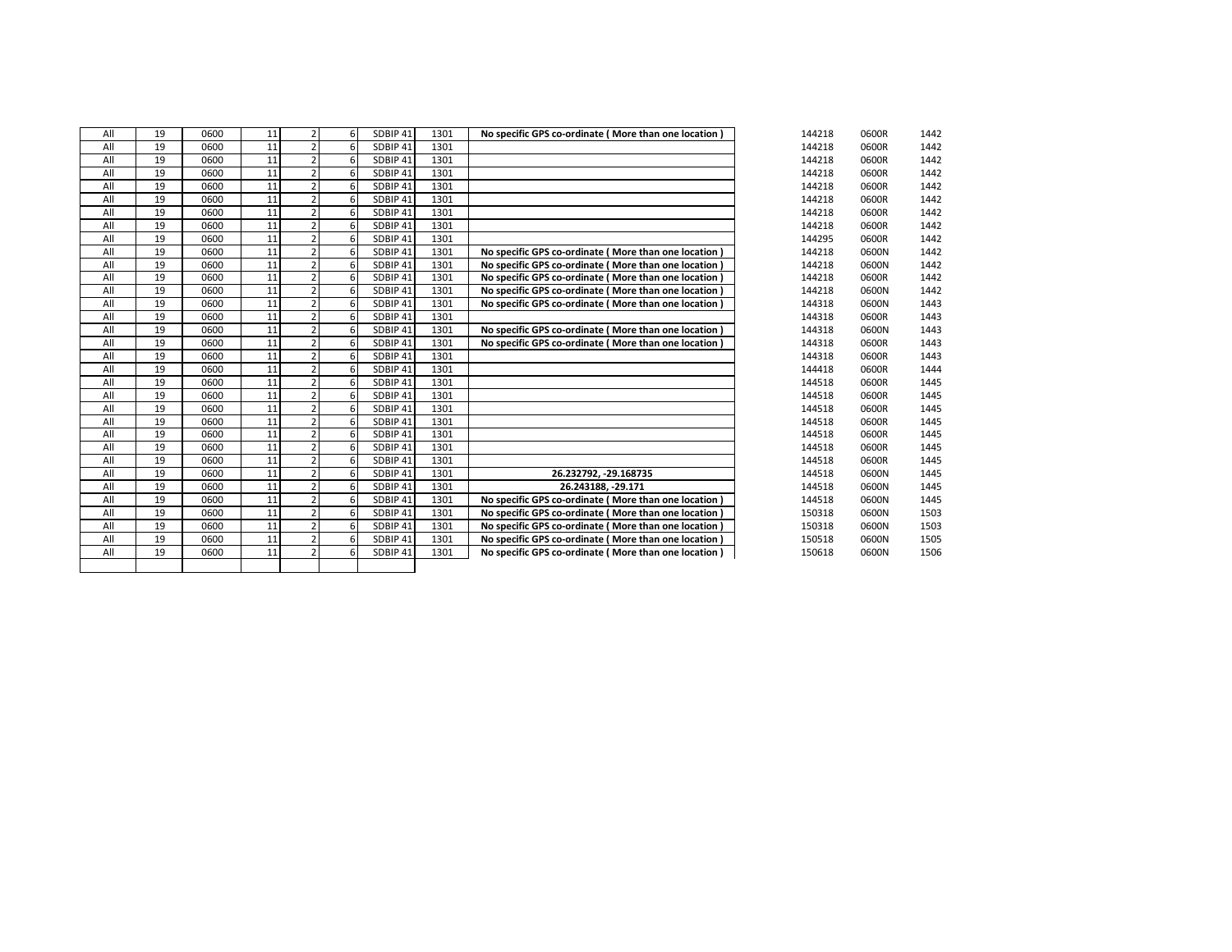| All | 19 | 0600 | 11 | $\overline{2}$ | 6 | SDBIP <sub>41</sub> | 1301 | No specific GPS co-ordinate (More than one location) | 144218 | 0600R | 1442 |
|-----|----|------|----|----------------|---|---------------------|------|------------------------------------------------------|--------|-------|------|
| All | 19 | 0600 | 11 | $\overline{2}$ |   | SDBIP <sub>41</sub> | 1301 |                                                      | 144218 | 0600R | 1442 |
| All | 19 | 0600 | 11 | $\overline{2}$ | 6 | SDBIP <sub>41</sub> | 1301 |                                                      | 144218 | 0600R | 1442 |
| All | 19 | 0600 | 11 | $\overline{2}$ |   | SDBIP <sub>41</sub> | 1301 |                                                      | 144218 | 0600R | 1442 |
| All | 19 | 0600 | 11 | $\overline{2}$ |   | SDBIP <sub>41</sub> | 1301 |                                                      | 144218 | 0600R | 1442 |
| All | 19 | 0600 | 11 | $\overline{2}$ |   | SDBIP 41            | 1301 |                                                      | 144218 | 0600R | 1442 |
| All | 19 | 0600 | 11 | $\overline{2}$ |   | SDBIP 41            | 1301 |                                                      | 144218 | 0600R | 1442 |
| All | 19 | 0600 | 11 | $\overline{2}$ |   | SDBIP 41            | 1301 |                                                      | 144218 | 0600R | 1442 |
| All | 19 | 0600 | 11 | $\overline{2}$ |   | SDBIP 41            | 1301 |                                                      | 144295 | 0600R | 1442 |
| All | 19 | 0600 | 11 | $\overline{2}$ |   | SDBIP 41            | 1301 | No specific GPS co-ordinate (More than one location) | 144218 | 0600N | 1442 |
| All | 19 | 0600 | 11 | $\overline{2}$ |   | SDBIP <sub>41</sub> | 1301 | No specific GPS co-ordinate (More than one location) | 144218 | 0600N | 1442 |
| All | 19 | 0600 | 11 | $\overline{2}$ |   | SDBIP <sub>41</sub> | 1301 | No specific GPS co-ordinate (More than one location) | 144218 | 0600R | 1442 |
| All | 19 | 0600 | 11 | $\overline{2}$ | 6 | SDBIP 41            | 1301 | No specific GPS co-ordinate (More than one location) | 144218 | 0600N | 1442 |
| All | 19 | 0600 | 11 | $\overline{2}$ |   | SDBIP <sub>41</sub> | 1301 | No specific GPS co-ordinate (More than one location) | 144318 | 0600N | 1443 |
| All | 19 | 0600 | 11 | $\overline{2}$ |   | SDBIP 41            | 1301 |                                                      | 144318 | 0600R | 1443 |
| All | 19 | 0600 | 11 | $\overline{2}$ |   | SDBIP <sub>41</sub> | 1301 | No specific GPS co-ordinate (More than one location) | 144318 | 0600N | 1443 |
| All | 19 | 0600 | 11 | $\overline{2}$ |   | SDBIP <sub>41</sub> | 1301 | No specific GPS co-ordinate (More than one location) | 144318 | 0600R | 1443 |
| All | 19 | 0600 | 11 | $\overline{2}$ |   | SDBIP <sub>41</sub> | 1301 |                                                      | 144318 | 0600R | 1443 |
| All | 19 | 0600 | 11 | $\overline{2}$ |   | SDBIP <sub>41</sub> | 1301 |                                                      | 144418 | 0600R | 1444 |
| All | 19 | 0600 | 11 | $\overline{2}$ | 6 | SDBIP 41            | 1301 |                                                      | 144518 | 0600R | 1445 |
| All | 19 | 0600 | 11 | $\overline{2}$ |   | SDBIP 41            | 1301 |                                                      | 144518 | 0600R | 1445 |
| All | 19 | 0600 | 11 | $\overline{2}$ |   | SDBIP <sub>41</sub> | 1301 |                                                      | 144518 | 0600R | 1445 |
| All | 19 | 0600 | 11 | $\overline{2}$ |   | SDBIP <sub>41</sub> | 1301 |                                                      | 144518 | 0600R | 1445 |
| All | 19 | 0600 | 11 | $\overline{2}$ |   | SDBIP 41            | 1301 |                                                      | 144518 | 0600R | 1445 |
| All | 19 | 0600 | 11 | $\overline{2}$ |   | SDBIP <sub>41</sub> | 1301 |                                                      | 144518 | 0600R | 1445 |
| All | 19 | 0600 | 11 | $\overline{2}$ |   | SDBIP 41            | 1301 |                                                      | 144518 | 0600R | 1445 |
| All | 19 | 0600 | 11 | $\overline{2}$ |   | SDBIP 41            | 1301 | 26.232792, -29.168735                                | 144518 | 0600N | 1445 |
| All | 19 | 0600 | 11 | $\overline{2}$ |   | SDBIP <sub>41</sub> | 1301 | 26.243188. - 29.171                                  | 144518 | 0600N | 1445 |
| All | 19 | 0600 | 11 | $\overline{2}$ |   | SDBIP 41            | 1301 | No specific GPS co-ordinate (More than one location) | 144518 | 0600N | 1445 |
| All | 19 | 0600 | 11 | $\overline{2}$ | 6 | SDBIP <sub>41</sub> | 1301 | No specific GPS co-ordinate (More than one location) | 150318 | 0600N | 1503 |
| All | 19 | 0600 | 11 | $\overline{2}$ | 6 | SDBIP 41            | 1301 | No specific GPS co-ordinate (More than one location) | 150318 | 0600N | 1503 |
| All | 19 | 0600 | 11 | $\overline{2}$ | 6 | SDBIP 41            | 1301 | No specific GPS co-ordinate (More than one location) | 150518 | 0600N | 1505 |
| All | 19 | 0600 | 11 | $\overline{2}$ |   | SDBIP 41            | 1301 | No specific GPS co-ordinate (More than one location) | 150618 | 0600N | 1506 |
|     |    |      |    |                |   |                     |      |                                                      |        |       |      |
|     |    |      |    |                |   |                     |      |                                                      |        |       |      |

| 144218 | 0600R | 1442 |
|--------|-------|------|
| 144218 | 0600R | 1442 |
| 144218 | 0600R | 1442 |
| 144218 | 0600R | 1442 |
| 144218 | 0600R | 1442 |
| 144218 | 0600R | 1442 |
| 144218 | 0600R | 1442 |
| 144218 | 0600R | 1442 |
| 144295 | 0600R | 1442 |
| 144218 | 0600N | 1442 |
| 144218 | 0600N | 1442 |
| 144218 | 0600R | 1442 |
| 144218 | 0600N | 1442 |
| 144318 | 0600N | 1443 |
| 144318 | 0600R | 1443 |
| 144318 | 0600N | 1443 |
| 144318 | 0600R | 1443 |
| 144318 | 0600R | 1443 |
| 144418 | 0600R | 1444 |
| 144518 | 0600R | 1445 |
| 144518 | 0600R | 1445 |
| 144518 | 0600R | 1445 |
| 144518 | 0600R | 1445 |
| 144518 | 0600R | 1445 |
| 144518 | 0600R | 1445 |
| 144518 | 0600R | 1445 |
| 144518 | 0600N | 1445 |
| 144518 | 0600N | 1445 |
| 144518 | 0600N | 1445 |
| 150318 | 0600N | 1503 |
| 150318 | 0600N | 1503 |
| 150518 | 0600N | 1505 |
| 150618 | 0600N | 1506 |
|        |       |      |